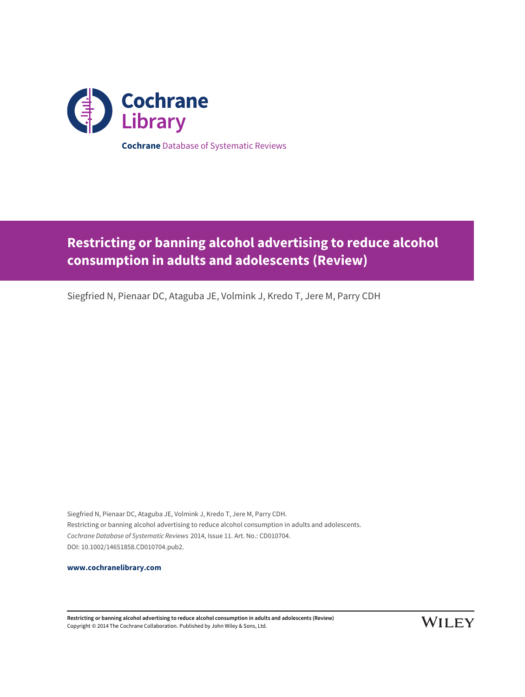

**Restricting or banning alcohol advertising to reduce alcohol consumption in adults and adolescents (Review)**

Siegfried N, Pienaar DC, Ataguba JE, Volmink J, Kredo T, Jere M, Parry CDH

Siegfried N, Pienaar DC, Ataguba JE, Volmink J, Kredo T, Jere M, Parry CDH. Restricting or banning alcohol advertising to reduce alcohol consumption in adults and adolescents. Cochrane Database of Systematic Reviews 2014, Issue 11. Art. No.: CD010704. DOI: 10.1002/14651858.CD010704.pub2.

**[www.cochranelibrary.com](http://www.cochranelibrary.com)**

**Restricting or banning alcohol advertising to reduce alcohol consumption in adults and adolescents (Review)** Copyright © 2014 The Cochrane Collaboration. Published by John Wiley & Sons, Ltd.

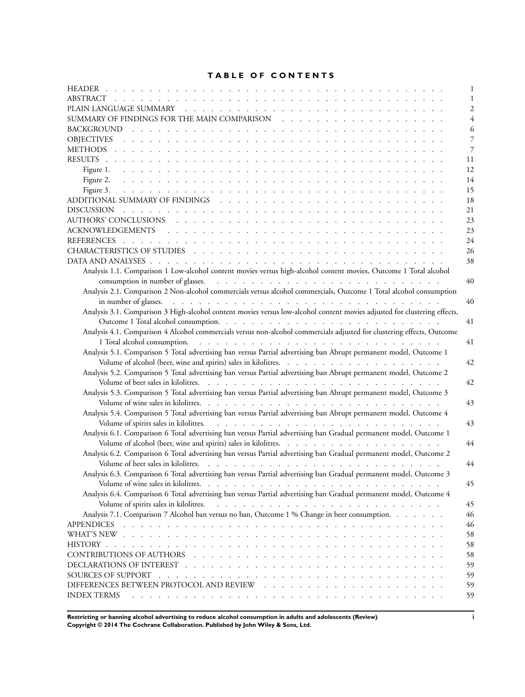# **TABLE OF CONTENTS**

|                                                                                                                           | 1  |
|---------------------------------------------------------------------------------------------------------------------------|----|
|                                                                                                                           | 1  |
|                                                                                                                           | 2  |
|                                                                                                                           | 4  |
|                                                                                                                           | 6  |
|                                                                                                                           | 7  |
|                                                                                                                           | 7  |
|                                                                                                                           | 11 |
|                                                                                                                           | 12 |
|                                                                                                                           | 14 |
| Figure 3.                                                                                                                 | 15 |
|                                                                                                                           | 18 |
|                                                                                                                           | 21 |
|                                                                                                                           | 23 |
|                                                                                                                           | 23 |
|                                                                                                                           | 24 |
|                                                                                                                           | 26 |
|                                                                                                                           | 38 |
| Analysis 1.1. Comparison 1 Low-alcohol content movies versus high-alcohol content movies, Outcome 1 Total alcohol         |    |
|                                                                                                                           | 40 |
| Analysis 2.1. Comparison 2 Non-alcohol commercials versus alcohol commercials, Outcome 1 Total alcohol consumption        |    |
|                                                                                                                           | 40 |
| Analysis 3.1. Comparison 3 High-alcohol content movies versus low-alcohol content movies adjusted for clustering effects, |    |
|                                                                                                                           | 41 |
| Analysis 4.1. Comparison 4 Alcohol commercials versus non-alcohol commercials adjusted for clustering effects, Outcome    |    |
|                                                                                                                           | 41 |
| Analysis 5.1. Comparison 5 Total advertising ban versus Partial advertising ban Abrupt permanent model, Outcome 1         |    |
|                                                                                                                           | 42 |
| Analysis 5.2. Comparison 5 Total advertising ban versus Partial advertising ban Abrupt permanent model, Outcome 2         |    |
|                                                                                                                           | 42 |
| Analysis 5.3. Comparison 5 Total advertising ban versus Partial advertising ban Abrupt permanent model, Outcome 3         |    |
|                                                                                                                           | 43 |
| Analysis 5.4. Comparison 5 Total advertising ban versus Partial advertising ban Abrupt permanent model, Outcome 4         |    |
| Volume of spirits sales in kilolitres.                                                                                    | 43 |
| Analysis 6.1. Comparison 6 Total advertising ban versus Partial advertising ban Gradual permanent model, Outcome 1        |    |
|                                                                                                                           | 44 |
| Analysis 6.2. Comparison 6 Total advertising ban versus Partial advertising ban Gradual permanent model, Outcome 2        |    |
|                                                                                                                           | 44 |
| Analysis 6.3. Comparison 6 Total advertising ban versus Partial advertising ban Gradual permanent model, Outcome 3        |    |
|                                                                                                                           | 45 |
| Analysis 6.4. Comparison 6 Total advertising ban versus Partial advertising ban Gradual permanent model, Outcome 4        |    |
|                                                                                                                           | 45 |
| Analysis 7.1. Comparison 7 Alcohol ban versus no ban, Outcome 1 % Change in beer consumption.                             | 46 |
|                                                                                                                           | 46 |
|                                                                                                                           | 58 |
|                                                                                                                           | 58 |
|                                                                                                                           | 58 |
|                                                                                                                           | 59 |
|                                                                                                                           | 59 |
|                                                                                                                           | 59 |
| <b>INDEX TERMS</b>                                                                                                        | 59 |
|                                                                                                                           |    |

**Restricting or banning alcohol advertising to reduce alcohol consumption in adults and adolescents (Review) i Copyright © 2014 The Cochrane Collaboration. Published by John Wiley & Sons, Ltd.**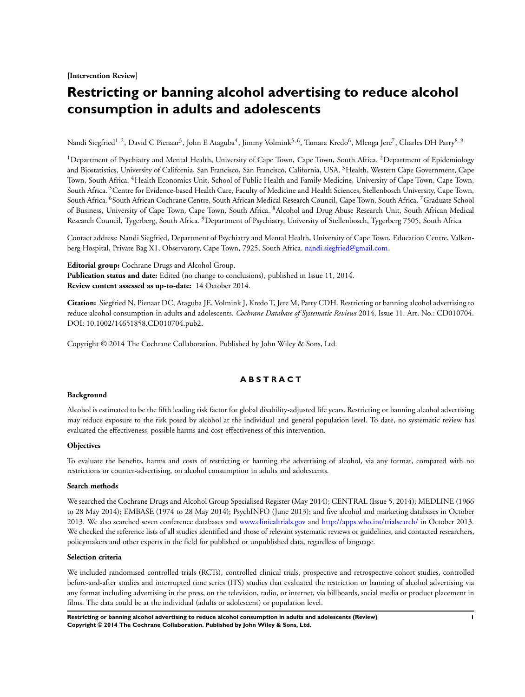**[Intervention Review]**

# **Restricting or banning alcohol advertising to reduce alcohol consumption in adults and adolescents**

Nandi Siegfried<sup>1,2</sup>, David C Pienaar<sup>3</sup>, John E Ataguba<sup>4</sup>, Jimmy Volmink<sup>5,6</sup>, Tamara Kredo<sup>6</sup>, Mlenga Jere<sup>7</sup>, Charles DH Parry<sup>8,9</sup>

<sup>1</sup>Department of Psychiatry and Mental Health, University of Cape Town, Cape Town, South Africa. <sup>2</sup>Department of Epidemiology and Biostatistics, University of California, San Francisco, San Francisco, California, USA. <sup>3</sup>Health, Western Cape Government, Cape Town, South Africa. <sup>4</sup>Health Economics Unit, School of Public Health and Family Medicine, University of Cape Town, Cape Town, South Africa. <sup>5</sup>Centre for Evidence-based Health Care, Faculty of Medicine and Health Sciences, Stellenbosch University, Cape Town, South Africa. <sup>6</sup>South African Cochrane Centre, South African Medical Research Council, Cape Town, South Africa. <sup>7</sup>Graduate School of Business, University of Cape Town, Cape Town, South Africa. <sup>8</sup>Alcohol and Drug Abuse Research Unit, South African Medical Research Council, Tygerberg, South Africa. <sup>9</sup>Department of Psychiatry, University of Stellenbosch, Tygerberg 7505, South Africa

Contact address: Nandi Siegfried, Department of Psychiatry and Mental Health, University of Cape Town, Education Centre, Valkenberg Hospital, Private Bag X1, Observatory, Cape Town, 7925, South Africa. [nandi.siegfried@gmail.com](mailto:nandi.siegfried@gmail.com).

**Editorial group:** Cochrane Drugs and Alcohol Group. **Publication status and date:** Edited (no change to conclusions), published in Issue 11, 2014. **Review content assessed as up-to-date:** 14 October 2014.

**Citation:** Siegfried N, Pienaar DC, Ataguba JE, Volmink J, Kredo T, Jere M, Parry CDH. Restricting or banning alcohol advertising to reduce alcohol consumption in adults and adolescents. *Cochrane Database of Systematic Reviews* 2014, Issue 11. Art. No.: CD010704. DOI: 10.1002/14651858.CD010704.pub2.

Copyright © 2014 The Cochrane Collaboration. Published by John Wiley & Sons, Ltd.

# **A B S T R A C T**

#### **Background**

Alcohol is estimated to be the fifth leading risk factor for global disability-adjusted life years. Restricting or banning alcohol advertising may reduce exposure to the risk posed by alcohol at the individual and general population level. To date, no systematic review has evaluated the effectiveness, possible harms and cost-effectiveness of this intervention.

#### **Objectives**

To evaluate the benefits, harms and costs of restricting or banning the advertising of alcohol, via any format, compared with no restrictions or counter-advertising, on alcohol consumption in adults and adolescents.

## **Search methods**

We searched the Cochrane Drugs and Alcohol Group Specialised Register (May 2014); CENTRAL (Issue 5, 2014); MEDLINE (1966 to 28 May 2014); EMBASE (1974 to 28 May 2014); PsychINFO (June 2013); and five alcohol and marketing databases in October 2013. We also searched seven conference databases and [www.clinicaltrials.gov](http://www.clinicaltrials.gov) and <http://apps.who.int/trialsearch/> in October 2013. We checked the reference lists of all studies identified and those of relevant systematic reviews or guidelines, and contacted researchers, policymakers and other experts in the field for published or unpublished data, regardless of language.

#### **Selection criteria**

We included randomised controlled trials (RCTs), controlled clinical trials, prospective and retrospective cohort studies, controlled before-and-after studies and interrupted time series (ITS) studies that evaluated the restriction or banning of alcohol advertising via any format including advertising in the press, on the television, radio, or internet, via billboards, social media or product placement in films. The data could be at the individual (adults or adolescent) or population level.

**Restricting or banning alcohol advertising to reduce alcohol consumption in adults and adolescents (Review) 1 Copyright © 2014 The Cochrane Collaboration. Published by John Wiley & Sons, Ltd.**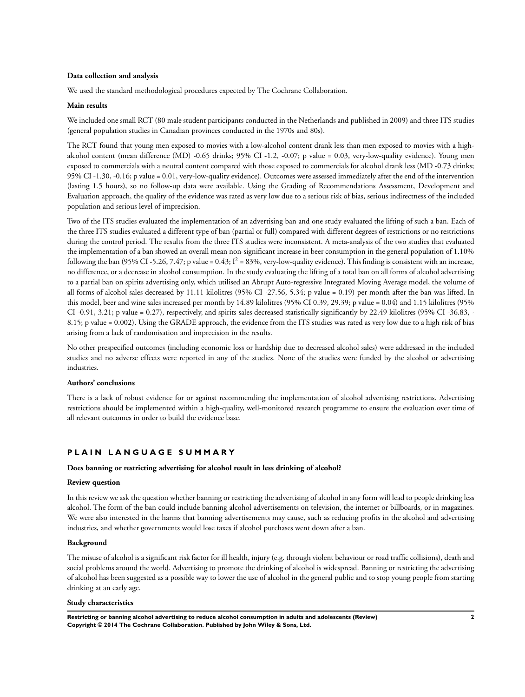#### **Data collection and analysis**

We used the standard methodological procedures expected by The Cochrane Collaboration.

#### **Main results**

We included one small RCT (80 male student participants conducted in the Netherlands and published in 2009) and three ITS studies (general population studies in Canadian provinces conducted in the 1970s and 80s).

The RCT found that young men exposed to movies with a low-alcohol content drank less than men exposed to movies with a highalcohol content (mean difference (MD) -0.65 drinks; 95% CI -1.2, -0.07; p value = 0.03, very-low-quality evidence). Young men exposed to commercials with a neutral content compared with those exposed to commercials for alcohol drank less (MD -0.73 drinks; 95% CI -1.30, -0.16; p value = 0.01, very-low-quality evidence). Outcomes were assessed immediately after the end of the intervention (lasting 1.5 hours), so no follow-up data were available. Using the Grading of Recommendations Assessment, Development and Evaluation approach, the quality of the evidence was rated as very low due to a serious risk of bias, serious indirectness of the included population and serious level of imprecision.

Two of the ITS studies evaluated the implementation of an advertising ban and one study evaluated the lifting of such a ban. Each of the three ITS studies evaluated a different type of ban (partial or full) compared with different degrees of restrictions or no restrictions during the control period. The results from the three ITS studies were inconsistent. A meta-analysis of the two studies that evaluated the implementation of a ban showed an overall mean non-significant increase in beer consumption in the general population of 1.10% following the ban (95% CI -5.26, 7.47; p value = 0.43;  $I^2 = 83\%$ , very-low-quality evidence). This finding is consistent with an increase, no difference, or a decrease in alcohol consumption. In the study evaluating the lifting of a total ban on all forms of alcohol advertising to a partial ban on spirits advertising only, which utilised an Abrupt Auto-regressive Integrated Moving Average model, the volume of all forms of alcohol sales decreased by 11.11 kilolitres (95% CI -27.56, 5.34; p value = 0.19) per month after the ban was lifted. In this model, beer and wine sales increased per month by 14.89 kilolitres (95% CI 0.39, 29.39; p value = 0.04) and 1.15 kilolitres (95% CI -0.91, 3.21; p value = 0.27), respectively, and spirits sales decreased statistically significantly by 22.49 kilolitres (95% CI -36.83, - 8.15; p value = 0.002). Using the GRADE approach, the evidence from the ITS studies was rated as very low due to a high risk of bias arising from a lack of randomisation and imprecision in the results.

No other prespecified outcomes (including economic loss or hardship due to decreased alcohol sales) were addressed in the included studies and no adverse effects were reported in any of the studies. None of the studies were funded by the alcohol or advertising industries.

#### **Authors' conclusions**

There is a lack of robust evidence for or against recommending the implementation of alcohol advertising restrictions. Advertising restrictions should be implemented within a high-quality, well-monitored research programme to ensure the evaluation over time of all relevant outcomes in order to build the evidence base.

#### **P L A I N L A N G U A G E S U M M A R Y**

#### **Does banning or restricting advertising for alcohol result in less drinking of alcohol?**

#### **Review question**

In this review we ask the question whether banning or restricting the advertising of alcohol in any form will lead to people drinking less alcohol. The form of the ban could include banning alcohol advertisements on television, the internet or billboards, or in magazines. We were also interested in the harms that banning advertisements may cause, such as reducing profits in the alcohol and advertising industries, and whether governments would lose taxes if alcohol purchases went down after a ban.

#### **Background**

The misuse of alcohol is a significant risk factor for ill health, injury (e.g. through violent behaviour or road traffic collisions), death and social problems around the world. Advertising to promote the drinking of alcohol is widespread. Banning or restricting the advertising of alcohol has been suggested as a possible way to lower the use of alcohol in the general public and to stop young people from starting drinking at an early age.

#### **Study characteristics**

**Restricting or banning alcohol advertising to reduce alcohol consumption in adults and adolescents (Review) 2 Copyright © 2014 The Cochrane Collaboration. Published by John Wiley & Sons, Ltd.**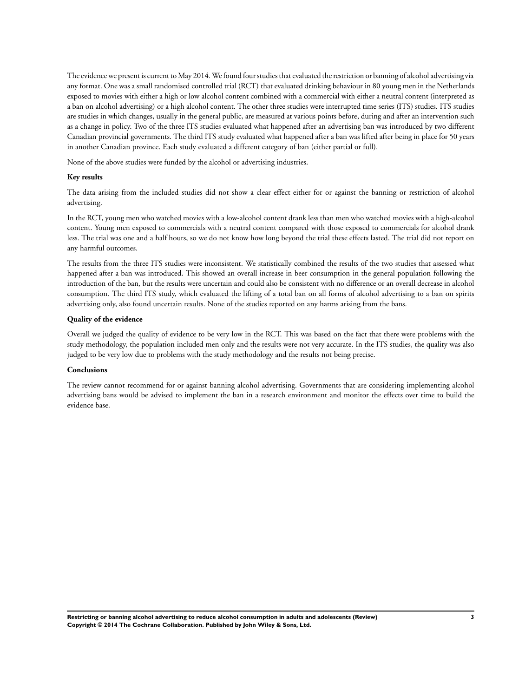The evidence we present is current to May 2014. We found four studies that evaluated the restriction or banning of alcohol advertising via any format. One was a small randomised controlled trial (RCT) that evaluated drinking behaviour in 80 young men in the Netherlands exposed to movies with either a high or low alcohol content combined with a commercial with either a neutral content (interpreted as a ban on alcohol advertising) or a high alcohol content. The other three studies were interrupted time series (ITS) studies. ITS studies are studies in which changes, usually in the general public, are measured at various points before, during and after an intervention such as a change in policy. Two of the three ITS studies evaluated what happened after an advertising ban was introduced by two different Canadian provincial governments. The third ITS study evaluated what happened after a ban was lifted after being in place for 50 years in another Canadian province. Each study evaluated a different category of ban (either partial or full).

None of the above studies were funded by the alcohol or advertising industries.

# **Key results**

The data arising from the included studies did not show a clear effect either for or against the banning or restriction of alcohol advertising.

In the RCT, young men who watched movies with a low-alcohol content drank less than men who watched movies with a high-alcohol content. Young men exposed to commercials with a neutral content compared with those exposed to commercials for alcohol drank less. The trial was one and a half hours, so we do not know how long beyond the trial these effects lasted. The trial did not report on any harmful outcomes.

The results from the three ITS studies were inconsistent. We statistically combined the results of the two studies that assessed what happened after a ban was introduced. This showed an overall increase in beer consumption in the general population following the introduction of the ban, but the results were uncertain and could also be consistent with no difference or an overall decrease in alcohol consumption. The third ITS study, which evaluated the lifting of a total ban on all forms of alcohol advertising to a ban on spirits advertising only, also found uncertain results. None of the studies reported on any harms arising from the bans.

# **Quality of the evidence**

Overall we judged the quality of evidence to be very low in the RCT. This was based on the fact that there were problems with the study methodology, the population included men only and the results were not very accurate. In the ITS studies, the quality was also judged to be very low due to problems with the study methodology and the results not being precise.

# **Conclusions**

The review cannot recommend for or against banning alcohol advertising. Governments that are considering implementing alcohol advertising bans would be advised to implement the ban in a research environment and monitor the effects over time to build the evidence base.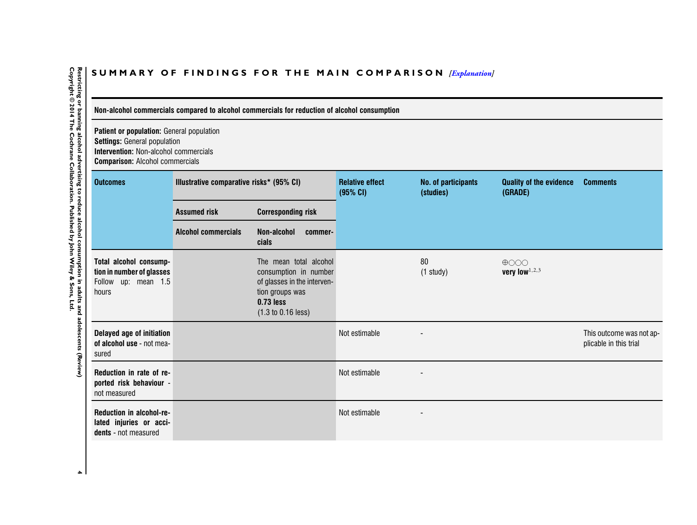# <span id="page-5-0"></span>SUMMARY OF FINDINGS FOR THE MAIN COMPARISON *[\[Explanation\]](http://www.thecochranelibrary.com/view/0/SummaryFindings.html)*

Non-alcohol commercials compared to alcohol commercials for reduction of alcohol consumption

**Patient or population:** General population **Settings:** General population **Intervention:** Non-alcohol commercials

**Comparison:** Alcohol commercials

| <b>Outcomes</b>                                                                           | Illustrative comparative risks* (95% CI) |                                                                                                                                                           | <b>Relative effect</b><br>(95% CI)<br>(studies) | No. of participants | <b>Quality of the evidence</b><br>(GRADE) | <b>Comments</b>                                    |
|-------------------------------------------------------------------------------------------|------------------------------------------|-----------------------------------------------------------------------------------------------------------------------------------------------------------|-------------------------------------------------|---------------------|-------------------------------------------|----------------------------------------------------|
|                                                                                           | <b>Assumed risk</b>                      | <b>Corresponding risk</b>                                                                                                                                 |                                                 |                     |                                           |                                                    |
|                                                                                           | <b>Alcohol commercials</b>               | Non-alcohol<br>commer-<br>cials                                                                                                                           |                                                 |                     |                                           |                                                    |
| Total alcohol consump-<br>tion in number of glasses<br>Follow up: mean 1.5<br>hours       |                                          | The mean total alcohol<br>consumption in number<br>of glasses in the interven-<br>tion groups was<br>$0.73$ less<br>$(1.3 \text{ to } 0.16 \text{ less})$ |                                                 | 80<br>$(1$ study)   | $\bigoplus$ OOO<br>very low $1,2,3$       |                                                    |
| Delayed age of initiation<br>of alcohol use - not mea-<br>sured                           |                                          |                                                                                                                                                           | Not estimable                                   |                     |                                           | This outcome was not ap-<br>plicable in this trial |
| Reduction in rate of re-<br>ported risk behaviour -<br>not measured                       |                                          |                                                                                                                                                           | Not estimable                                   |                     |                                           |                                                    |
| <b>Reduction in alcohol-re-</b><br>lated injuries or acci-<br><b>dents</b> - not measured |                                          |                                                                                                                                                           | Not estimable                                   |                     |                                           |                                                    |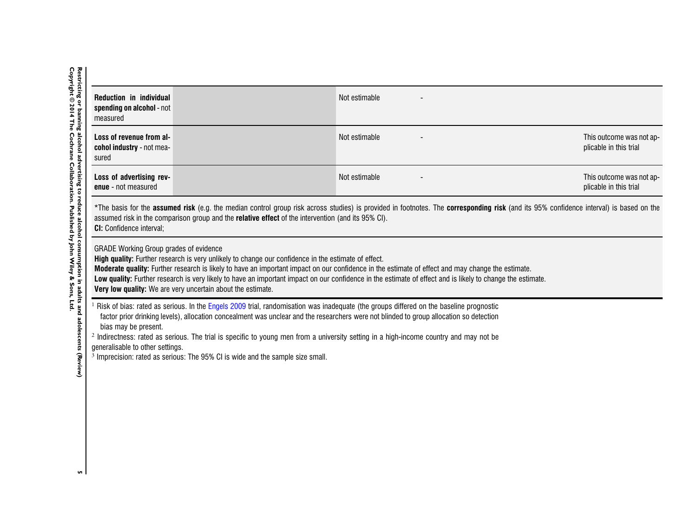| Reduction in individual<br>spending on alcohol - not<br>measured |                                                                                                                                                                    | Not estimable                                                                                                                                                                                                                                                                                                                                                                                                                          |                                                    |
|------------------------------------------------------------------|--------------------------------------------------------------------------------------------------------------------------------------------------------------------|----------------------------------------------------------------------------------------------------------------------------------------------------------------------------------------------------------------------------------------------------------------------------------------------------------------------------------------------------------------------------------------------------------------------------------------|----------------------------------------------------|
| Loss of revenue from al-<br>cohol industry - not mea-<br>sured   |                                                                                                                                                                    | Not estimable                                                                                                                                                                                                                                                                                                                                                                                                                          | This outcome was not ap-<br>plicable in this trial |
| Loss of advertising rev-<br>enue - not measured                  |                                                                                                                                                                    | Not estimable                                                                                                                                                                                                                                                                                                                                                                                                                          | This outcome was not ap-<br>plicable in this trial |
| CI: Confidence interval;                                         | assumed risk in the comparison group and the relative effect of the intervention (and its 95% CI).                                                                 | *The basis for the assumed risk (e.g. the median control group risk across studies) is provided in footnotes. The corresponding risk (and its 95% confidence interval) is based on the                                                                                                                                                                                                                                                 |                                                    |
| <b>GRADE Working Group grades of evidence</b>                    | High quality: Further research is very unlikely to change our confidence in the estimate of effect.<br>Very low quality: We are very uncertain about the estimate. | Moderate quality: Further research is likely to have an important impact on our confidence in the estimate of effect and may change the estimate.<br>Low quality: Further research is very likely to have an important impact on our confidence in the estimate of effect and is likely to change the estimate.                                                                                                                        |                                                    |
| bias may be present.<br>generalisable to other settings.         | <sup>3</sup> Imprecision: rated as serious: The 95% CI is wide and the sample size small.                                                                          | Risk of bias: rated as serious. In the Engels 2009 trial, randomisation was inadequate (the groups differed on the baseline prognostic<br>factor prior drinking levels), allocation concealment was unclear and the researchers were not blinded to group allocation so detection<br><sup>2</sup> Indirectness: rated as serious. The trial is specific to young men from a university setting in a high-income country and may not be |                                                    |
|                                                                  |                                                                                                                                                                    |                                                                                                                                                                                                                                                                                                                                                                                                                                        |                                                    |
|                                                                  |                                                                                                                                                                    |                                                                                                                                                                                                                                                                                                                                                                                                                                        |                                                    |
|                                                                  |                                                                                                                                                                    |                                                                                                                                                                                                                                                                                                                                                                                                                                        |                                                    |

Restricting or banning alcohol advertising to reduce alcohol consumption in adults and adolescents (Review)<br>Copyright © 2014 The Cochrane Collaboration. Published by John Wiley & Sons, Ltd. **Copyright © 2014 The Cochrane Collaboration. Published by John Wiley & Sons, Ltd.5 Restricting or banning alcohol advertising to reduce alcohol consumption in addits and adolescents (Review)**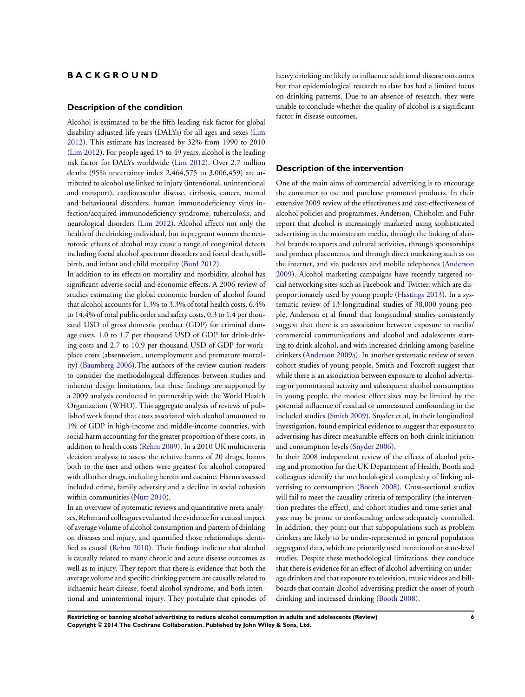# **B A C K G R O U N D**

## **Description of the condition**

Alcohol is estimated to be the fifth leading risk factor for global disability-adjusted life years (DALYs) for all ages and sexes ([Lim](#page-25-0) [2012](#page-25-0)). This estimate has increased by 32% from 1990 to 2010 [\(Lim 2012](#page-25-0)). For people aged 15 to 49 years, alcohol is the leading risk factor for DALYs worldwide ([Lim 2012](#page-25-0)). Over 2.7 million deaths (95% uncertainty index 2,464,575 to 3,006,459) are attributed to alcohol use linked to injury (intentional, unintentional and transport), cardiovascular disease, cirrhosis, cancer, mental and behavioural disorders, human immunodeficiency virus infection/acquired immunodeficiency syndrome, tuberculosis, and neurological disorders ([Lim 2012](#page-25-0)). Alcohol affects not only the health of the drinking individual, but in pregnant women the neurotoxic effects of alcohol may cause a range of congenital defects including foetal alcohol spectrum disorders and foetal death, stillbirth, and infant and child mortality [\(Burd 2012\)](#page-25-0).

In addition to its effects on mortality and morbidity, alcohol has significant adverse social and economic effects. A 2006 review of studies estimating the global economic burden of alcohol found that alcohol accounts for 1.3% to 3.3% of total health costs, 6.4% to 14.4% of total public order and safety costs, 0.3 to 1.4 per thousand USD of gross domestic product (GDP) for criminal damage costs, 1.0 to 1.7 per thousand USD of GDP for drink-driving costs and 2.7 to 10.9 per thousand USD of GDP for workplace costs (absenteeism, unemployment and premature mortality) ([Baumberg 2006](#page-25-0)).The authors of the review caution readers to consider the methodological differences between studies and inherent design limitations, but these findings are supported by a 2009 analysis conducted in partnership with the World Health Organization (WHO). This aggregate analysis of reviews of published work found that costs associated with alcohol amounted to 1% of GDP in high-income and middle-income countries, with social harm accounting for the greater proportion of these costs, in addition to health costs ([Rehm 2009\)](#page-25-0). In a 2010 UK multicriteria decision analysis to assess the relative harms of 20 drugs, harms both to the user and others were greatest for alcohol compared with all other drugs, including heroin and cocaine. Harms assessed included crime, family adversity and a decline in social cohesion within communities ([Nutt 2010\)](#page-25-0).

In an overview of systematic reviews and quantitative meta-analyses, Rehm and colleagues evaluated the evidence for a causal impact of average volume of alcohol consumption and pattern of drinking on diseases and injury, and quantified those relationships identified as causal [\(Rehm 2010\)](#page-25-0). Their findings indicate that alcohol is causally related to many chronic and acute disease outcomes as well as to injury. They report that there is evidence that both the average volume and specific drinking pattern are causally related to ischaemic heart disease, foetal alcohol syndrome, and both intentional and unintentional injury. They postulate that episodes of heavy drinking are likely to influence additional disease outcomes but that epidemiological research to date has had a limited focus on drinking patterns. Due to an absence of research, they were unable to conclude whether the quality of alcohol is a significant factor in disease outcomes.

## **Description of the intervention**

One of the main aims of commercial advertising is to encourage the consumer to use and purchase promoted products. In their extensive 2009 review of the effectiveness and cost-effectiveness of alcohol policies and programmes, Anderson, Chisholm and Fuhr report that alcohol is increasingly marketed using sophisticated advertising in the mainstream media, through the linking of alcohol brands to sports and cultural activities, through sponsorships and product placements, and through direct marketing such as on the internet, and via podcasts and mobile telephones ([Anderson](#page-25-0) [2009](#page-25-0)). Alcohol marketing campaigns have recently targeted social networking sites such as Facebook and Twitter, which are disproportionately used by young people ([Hastings 2013\)](#page-25-0). In a systematic review of 13 longitudinal studies of 38,000 young people, Anderson et al found that longitudinal studies consistently suggest that there is an association between exposure to media/ commercial communications and alcohol and adolescents starting to drink alcohol, and with increased drinking among baseline drinkers [\(Anderson 2009a\)](#page-25-0). In another systematic review of seven cohort studies of young people, Smith and Foxcroft suggest that while there is an association between exposure to alcohol advertising or promotional activity and subsequent alcohol consumption in young people, the modest effect sizes may be limited by the potential influence of residual or unmeasured confounding in the included studies [\(Smith 2009\)](#page-25-0). Snyder et al, in their longitudinal investigation, found empirical evidence to suggest that exposure to advertising has direct measurable effects on both drink initiation and consumption levels [\(Snyder 2006](#page-25-0)).

In their 2008 independent review of the effects of alcohol pricing and promotion for the UK Department of Health, Booth and colleagues identify the methodological complexity of linking advertising to consumption [\(Booth 2008\)](#page-25-0). Cross-sectional studies will fail to meet the causality criteria of temporality (the intervention predates the effect), and cohort studies and time series analyses may be prone to confounding unless adequately controlled. In addition, they point out that subpopulations such as problem drinkers are likely to be under-represented in general population aggregated data, which are primarily used in national or state-level studies. Despite these methodological limitations, they conclude that there is evidence for an effect of alcohol advertising on underage drinkers and that exposure to television, music videos and billboards that contain alcohol advertising predict the onset of youth drinking and increased drinking ([Booth 2008\)](#page-25-0).

**Restricting or banning alcohol advertising to reduce alcohol consumption in adults and adolescents (Review) 6 Copyright © 2014 The Cochrane Collaboration. Published by John Wiley & Sons, Ltd.**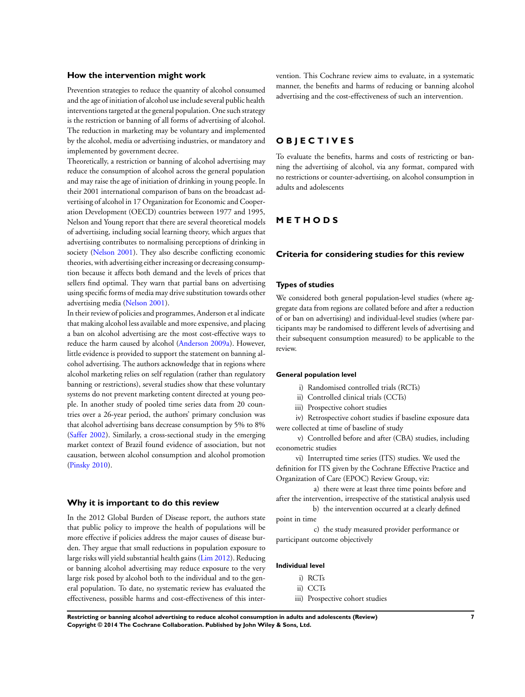## **How the intervention might work**

Prevention strategies to reduce the quantity of alcohol consumed and the age of initiation of alcohol use include several public health interventions targeted at the general population. One such strategy is the restriction or banning of all forms of advertising of alcohol. The reduction in marketing may be voluntary and implemented by the alcohol, media or advertising industries, or mandatory and implemented by government decree.

Theoretically, a restriction or banning of alcohol advertising may reduce the consumption of alcohol across the general population and may raise the age of initiation of drinking in young people. In their 2001 international comparison of bans on the broadcast advertising of alcohol in 17 Organization for Economic and Cooperation Development (OECD) countries between 1977 and 1995, Nelson and Young report that there are several theoretical models of advertising, including social learning theory, which argues that advertising contributes to normalising perceptions of drinking in society [\(Nelson 2001](#page-25-0)). They also describe conflicting economic theories, with advertising either increasing or decreasing consumption because it affects both demand and the levels of prices that sellers find optimal. They warn that partial bans on advertising using specific forms of media may drive substitution towards other advertising media [\(Nelson 2001](#page-25-0)).

In their review of policies and programmes, Anderson et al indicate that making alcohol less available and more expensive, and placing a ban on alcohol advertising are the most cost-effective ways to reduce the harm caused by alcohol ([Anderson 2009a\)](#page-25-0). However, little evidence is provided to support the statement on banning alcohol advertising. The authors acknowledge that in regions where alcohol marketing relies on self regulation (rather than regulatory banning or restrictions), several studies show that these voluntary systems do not prevent marketing content directed at young people. In another study of pooled time series data from 20 countries over a 26-year period, the authors' primary conclusion was that alcohol advertising bans decrease consumption by 5% to 8% [\(Saffer 2002\)](#page-25-0). Similarly, a cross-sectional study in the emerging market context of Brazil found evidence of association, but not causation, between alcohol consumption and alcohol promotion [\(Pinsky 2010](#page-25-0)).

#### **Why it is important to do this review**

In the 2012 Global Burden of Disease report, the authors state that public policy to improve the health of populations will be more effective if policies address the major causes of disease burden. They argue that small reductions in population exposure to large risks will yield substantial health gains [\(Lim 2012](#page-25-0)). Reducing or banning alcohol advertising may reduce exposure to the very large risk posed by alcohol both to the individual and to the general population. To date, no systematic review has evaluated the effectiveness, possible harms and cost-effectiveness of this inter-

vention. This Cochrane review aims to evaluate, in a systematic manner, the benefits and harms of reducing or banning alcohol advertising and the cost-effectiveness of such an intervention.

# **O B J E C T I V E S**

To evaluate the benefits, harms and costs of restricting or banning the advertising of alcohol, via any format, compared with no restrictions or counter-advertising, on alcohol consumption in adults and adolescents

# **M E T H O D S**

## **Criteria for considering studies for this review**

#### **Types of studies**

We considered both general population-level studies (where aggregate data from regions are collated before and after a reduction of or ban on advertising) and individual-level studies (where participants may be randomised to different levels of advertising and their subsequent consumption measured) to be applicable to the review.

#### **General population level**

- i) Randomised controlled trials (RCTs)
- ii) Controlled clinical trials (CCTs)
- iii) Prospective cohort studies

iv) Retrospective cohort studies if baseline exposure data were collected at time of baseline of study

v) Controlled before and after (CBA) studies, including econometric studies

vi) Interrupted time series (ITS) studies. We used the definition for ITS given by the Cochrane Effective Practice and Organization of Care (EPOC) Review Group, viz:

a) there were at least three time points before and after the intervention, irrespective of the statistical analysis used

b) the intervention occurred at a clearly defined point in time

c) the study measured provider performance or participant outcome objectively

#### **Individual level**

- i) RCTs
- ii) CCTs
- iii) Prospective cohort studies

**Restricting or banning alcohol advertising to reduce alcohol consumption in adults and adolescents (Review) 7 Copyright © 2014 The Cochrane Collaboration. Published by John Wiley & Sons, Ltd.**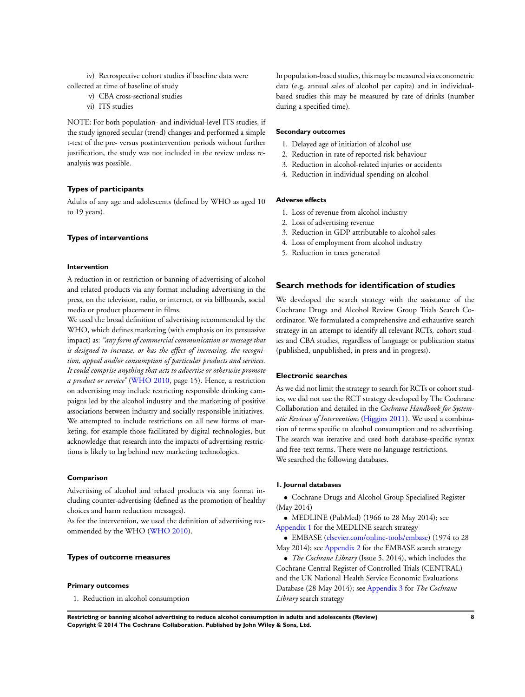iv) Retrospective cohort studies if baseline data were collected at time of baseline of study

- v) CBA cross-sectional studies
- vi) ITS studies

NOTE: For both population- and individual-level ITS studies, if the study ignored secular (trend) changes and performed a simple t-test of the pre- versus postintervention periods without further justification, the study was not included in the review unless reanalysis was possible.

#### **Types of participants**

Adults of any age and adolescents (defined by WHO as aged 10 to 19 years).

#### **Types of interventions**

#### **Intervention**

A reduction in or restriction or banning of advertising of alcohol and related products via any format including advertising in the press, on the television, radio, or internet, or via billboards, social media or product placement in films.

We used the broad definition of advertising recommended by the WHO, which defines marketing (with emphasis on its persuasive impact) as: *"any form of commercial communication or message that is designed to increase, or has the effect of increasing, the recognition, appeal and/or consumption of particular products and services. It could comprise anything that acts to advertise or otherwise promote a product or service"* ([WHO 2010](#page-25-0), page 15). Hence, a restriction on advertising may include restricting responsible drinking campaigns led by the alcohol industry and the marketing of positive associations between industry and socially responsible initiatives. We attempted to include restrictions on all new forms of marketing, for example those facilitated by digital technologies, but acknowledge that research into the impacts of advertising restrictions is likely to lag behind new marketing technologies.

#### **Comparison**

Advertising of alcohol and related products via any format including counter-advertising (defined as the promotion of healthy choices and harm reduction messages).

As for the intervention, we used the definition of advertising recommended by the WHO [\(WHO 2010](#page-25-0)).

#### **Types of outcome measures**

#### **Primary outcomes**

1. Reduction in alcohol consumption

In population-based studies, this may be measured via econometric data (e.g. annual sales of alcohol per capita) and in individualbased studies this may be measured by rate of drinks (number during a specified time).

#### **Secondary outcomes**

- 1. Delayed age of initiation of alcohol use
- 2. Reduction in rate of reported risk behaviour
- 3. Reduction in alcohol-related injuries or accidents
- 4. Reduction in individual spending on alcohol

#### **Adverse effects**

- 1. Loss of revenue from alcohol industry
- 2. Loss of advertising revenue
- 3. Reduction in GDP attributable to alcohol sales
- 4. Loss of employment from alcohol industry
- 5. Reduction in taxes generated

#### **Search methods for identification of studies**

We developed the search strategy with the assistance of the Cochrane Drugs and Alcohol Review Group Trials Search Coordinator. We formulated a comprehensive and exhaustive search strategy in an attempt to identify all relevant RCTs, cohort studies and CBA studies, regardless of language or publication status (published, unpublished, in press and in progress).

#### **Electronic searches**

As we did not limit the strategy to search for RCTs or cohort studies, we did not use the RCT strategy developed by The Cochrane Collaboration and detailed in the *Cochrane Handbook for Systematic Reviews of Interventions* [\(Higgins 2011](#page-25-0)). We used a combination of terms specific to alcohol consumption and to advertising. The search was iterative and used both database-specific syntax and free-text terms. There were no language restrictions. We searched the following databases.

#### **1. Journal databases**

• Cochrane Drugs and Alcohol Group Specialised Register (May 2014)

• MEDLINE (PubMed) (1966 to 28 May 2014); see [Appendix 1](#page-47-0) for the MEDLINE search strategy

• EMBASE ([elsevier.com/online-tools/embase\)](http://www.elsevier.com/online-tools/embase) (1974 to 28 May 2014); see [Appendix 2](#page-48-0) for the EMBASE search strategy

• *The Cochrane Library* (Issue 5, 2014), which includes the Cochrane Central Register of Controlled Trials (CENTRAL) and the UK National Health Service Economic Evaluations Database (28 May 2014); see [Appendix 3](#page-50-0) for *The Cochrane Library* search strategy

**Restricting or banning alcohol advertising to reduce alcohol consumption in adults and adolescents (Review) 8 Copyright © 2014 The Cochrane Collaboration. Published by John Wiley & Sons, Ltd.**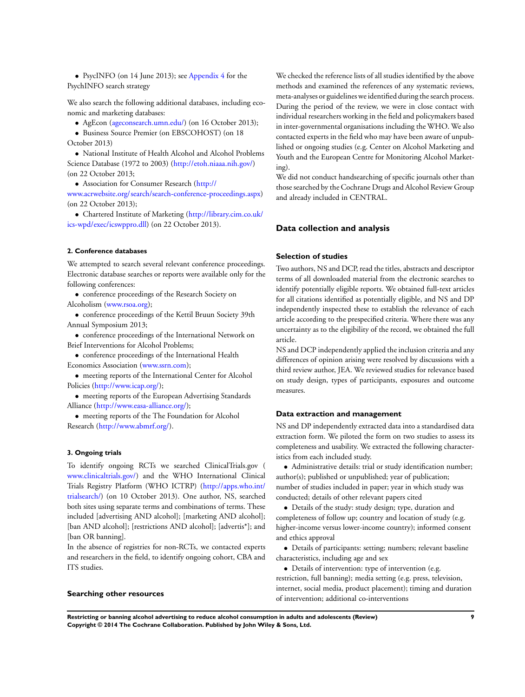• PsycINFO (on 14 June 2013); see [Appendix 4](#page-51-0) for the PsychINFO search strategy

We also search the following additional databases, including economic and marketing databases:

• AgEcon ([ageconsearch.umn.edu/\)](http://ageconsearch.umn.edu/) (on 16 October 2013);

• Business Source Premier (on EBSCOHOST) (on 18 October 2013)

• National Institute of Health Alcohol and Alcohol Problems Science Database (1972 to 2003) ([http://etoh.niaaa.nih.gov/\)](http://etoh.niaaa.nih.gov/) (on 22 October 2013;

• Association for Consumer Research ([http://](http://www.acrwebsite.org/search/search-conference-proceedings.aspx) [www.acrwebsite.org/search/search-conference-proceedings.aspx\)](http://www.acrwebsite.org/search/search-conference-proceedings.aspx) (on 22 October 2013);

• Chartered Institute of Marketing ([http://library.cim.co.uk/](http://library.cim.co.uk/ics-wpd/exec/icswppro.dll) [ics-wpd/exec/icswppro.dll](http://library.cim.co.uk/ics-wpd/exec/icswppro.dll)) (on 22 October 2013).

#### **2. Conference databases**

We attempted to search several relevant conference proceedings. Electronic database searches or reports were available only for the following conferences:

• conference proceedings of the Research Society on Alcoholism ([www.rsoa.org\)](http://www.rsoa.org);

• conference proceedings of the Kettil Bruun Society 39th Annual Symposium 2013;

• conference proceedings of the International Network on Brief Interventions for Alcohol Problems;

• conference proceedings of the International Health Economics Association ([www.ssrn.com\)](http://www.ssrn.com);

• meeting reports of the International Center for Alcohol Policies [\(http://www.icap.org/](http://www.icap.org/));

• meeting reports of the European Advertising Standards Alliance [\(http://www.easa-alliance.org/](http://www.easa-alliance.org/));

• meeting reports of the The Foundation for Alcohol Research (<http://www.abmrf.org/>).

#### **3. Ongoing trials**

To identify ongoing RCTs we searched ClinicalTrials.gov ( [www.clinicaltrials.gov/](http://www.clinicaltrials.gov/)) and the WHO International Clinical Trials Registry Platform (WHO ICTRP) [\(http://apps.who.int/](http://apps.who.int/trialsearch/) [trialsearch/](http://apps.who.int/trialsearch/)) (on 10 October 2013). One author, NS, searched both sites using separate terms and combinations of terms. These included [advertising AND alcohol]; [marketing AND alcohol]; [ban AND alcohol]; [restrictions AND alcohol]; [advertis\*]; and [ban OR banning].

In the absence of registries for non-RCTs, we contacted experts and researchers in the field, to identify ongoing cohort, CBA and ITS studies.

#### **Searching other resources**

We checked the reference lists of all studies identified by the above methods and examined the references of any systematic reviews, meta-analyses or guidelines we identified during the search process. During the period of the review, we were in close contact with individual researchers working in the field and policymakers based in inter-governmental organisations including the WHO. We also contacted experts in the field who may have been aware of unpublished or ongoing studies (e.g. Center on Alcohol Marketing and Youth and the European Centre for Monitoring Alcohol Marketing).

We did not conduct handsearching of specific journals other than those searched by the Cochrane Drugs and Alcohol Review Group and already included in CENTRAL.

# **Data collection and analysis**

## **Selection of studies**

Two authors, NS and DCP, read the titles, abstracts and descriptor terms of all downloaded material from the electronic searches to identify potentially eligible reports. We obtained full-text articles for all citations identified as potentially eligible, and NS and DP independently inspected these to establish the relevance of each article according to the prespecified criteria. Where there was any uncertainty as to the eligibility of the record, we obtained the full article.

NS and DCP independently applied the inclusion criteria and any differences of opinion arising were resolved by discussions with a third review author, JEA. We reviewed studies for relevance based on study design, types of participants, exposures and outcome measures.

#### **Data extraction and management**

NS and DP independently extracted data into a standardised data extraction form. We piloted the form on two studies to assess its completeness and usability. We extracted the following characteristics from each included study.

• Administrative details: trial or study identification number; author(s); published or unpublished; year of publication; number of studies included in paper; year in which study was conducted; details of other relevant papers cited

• Details of the study: study design; type, duration and completeness of follow up; country and location of study (e.g. higher-income versus lower-income country); informed consent and ethics approval

• Details of participants: setting; numbers; relevant baseline characteristics, including age and sex

• Details of intervention: type of intervention (e.g. restriction, full banning); media setting (e.g. press, television, internet, social media, product placement); timing and duration of intervention; additional co-interventions

**Restricting or banning alcohol advertising to reduce alcohol consumption in adults and adolescents (Review) 9 Copyright © 2014 The Cochrane Collaboration. Published by John Wiley & Sons, Ltd.**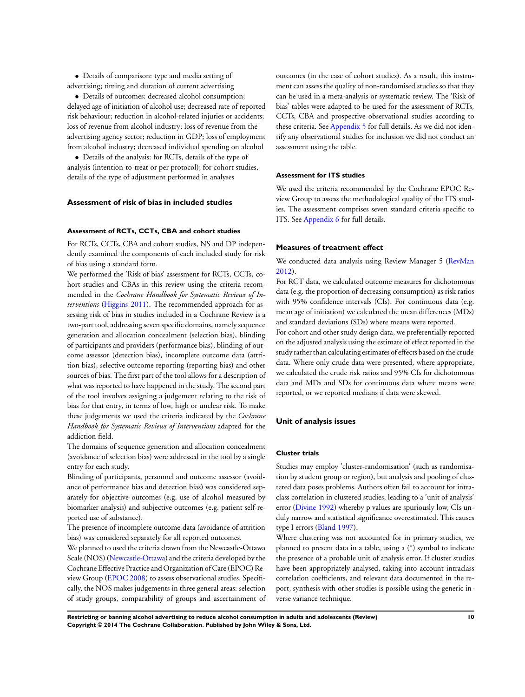• Details of comparison: type and media setting of advertising; timing and duration of current advertising

• Details of outcomes: decreased alcohol consumption; delayed age of initiation of alcohol use; decreased rate of reported risk behaviour; reduction in alcohol-related injuries or accidents; loss of revenue from alcohol industry; loss of revenue from the advertising agency sector; reduction in GDP; loss of employment from alcohol industry; decreased individual spending on alcohol

• Details of the analysis: for RCTs, details of the type of analysis (intention-to-treat or per protocol); for cohort studies, details of the type of adjustment performed in analyses

## **Assessment of risk of bias in included studies**

#### **Assessment of RCTs, CCTs, CBA and cohort studies**

For RCTs, CCTs, CBA and cohort studies, NS and DP independently examined the components of each included study for risk of bias using a standard form.

We performed the 'Risk of bias' assessment for RCTs, CCTs, cohort studies and CBAs in this review using the criteria recommended in the *Cochrane Handbook for Systematic Reviews of Interventions* ([Higgins 2011](#page-25-0)). The recommended approach for assessing risk of bias in studies included in a Cochrane Review is a two-part tool, addressing seven specific domains, namely sequence generation and allocation concealment (selection bias), blinding of participants and providers (performance bias), blinding of outcome assessor (detection bias), incomplete outcome data (attrition bias), selective outcome reporting (reporting bias) and other sources of bias. The first part of the tool allows for a description of what was reported to have happened in the study. The second part of the tool involves assigning a judgement relating to the risk of bias for that entry, in terms of low, high or unclear risk. To make these judgements we used the criteria indicated by the *Cochrane Handbook for Systematic Reviews of Interventions* adapted for the addiction field.

The domains of sequence generation and allocation concealment (avoidance of selection bias) were addressed in the tool by a single entry for each study.

Blinding of participants, personnel and outcome assessor (avoidance of performance bias and detection bias) was considered separately for objective outcomes (e.g. use of alcohol measured by biomarker analysis) and subjective outcomes (e.g. patient self-reported use of substance).

The presence of incomplete outcome data (avoidance of attrition bias) was considered separately for all reported outcomes.

We planned to used the criteria drawn from the Newcastle-Ottawa Scale (NOS) ([Newcastle-Ottawa](#page-25-0)) and the criteria developed by the Cochrane Effective Practice and Organization of Care (EPOC) Review Group ([EPOC 2008](#page-25-0)) to assess observational studies. Specifically, the NOS makes judgements in three general areas: selection of study groups, comparability of groups and ascertainment of

outcomes (in the case of cohort studies). As a result, this instrument can assess the quality of non-randomised studies so that they can be used in a meta-analysis or systematic review. The 'Risk of bias' tables were adapted to be used for the assessment of RCTs, CCTs, CBA and prospective observational studies according to these criteria. See [Appendix 5](#page-52-0) for full details. As we did not identify any observational studies for inclusion we did not conduct an assessment using the table.

#### **Assessment for ITS studies**

We used the criteria recommended by the Cochrane EPOC Review Group to assess the methodological quality of the ITS studies. The assessment comprises seven standard criteria specific to ITS. See [Appendix 6](#page-55-0) for full details.

#### **Measures of treatment effect**

We conducted data analysis using Review Manager 5 ([RevMan](#page-25-0) [2012](#page-25-0)).

For RCT data, we calculated outcome measures for dichotomous data (e.g. the proportion of decreasing consumption) as risk ratios with 95% confidence intervals (CIs). For continuous data (e.g. mean age of initiation) we calculated the mean differences (MDs) and standard deviations (SDs) where means were reported.

For cohort and other study design data, we preferentially reported on the adjusted analysis using the estimate of effect reported in the study rather than calculating estimates of effects based on the crude data. Where only crude data were presented, where appropriate, we calculated the crude risk ratios and 95% CIs for dichotomous data and MDs and SDs for continuous data where means were reported, or we reported medians if data were skewed.

# **Unit of analysis issues**

#### **Cluster trials**

Studies may employ 'cluster-randomisation' (such as randomisation by student group or region), but analysis and pooling of clustered data poses problems. Authors often fail to account for intraclass correlation in clustered studies, leading to a 'unit of analysis' error [\(Divine 1992](#page-25-0)) whereby p values are spuriously low, CIs unduly narrow and statistical significance overestimated. This causes type I errors [\(Bland 1997](#page-25-0)).

Where clustering was not accounted for in primary studies, we planned to present data in a table, using a (\*) symbol to indicate the presence of a probable unit of analysis error. If cluster studies have been appropriately analysed, taking into account intraclass correlation coefficients, and relevant data documented in the report, synthesis with other studies is possible using the generic inverse variance technique.

**Restricting or banning alcohol advertising to reduce alcohol consumption in adults and adolescents (Review) 10 Copyright © 2014 The Cochrane Collaboration. Published by John Wiley & Sons, Ltd.**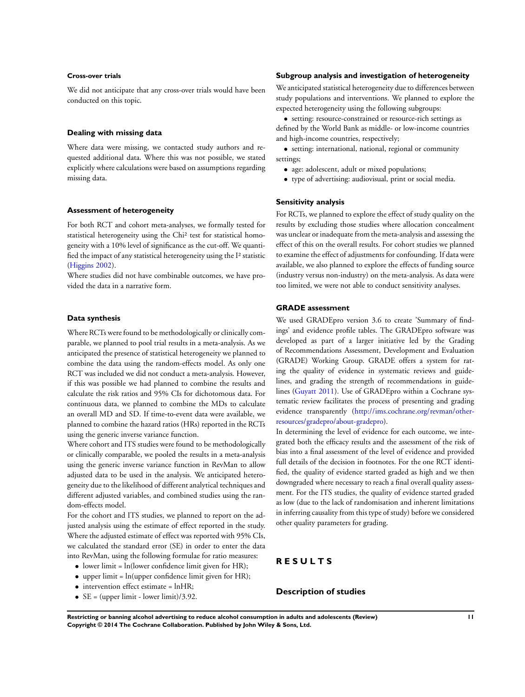#### **Cross-over trials**

We did not anticipate that any cross-over trials would have been conducted on this topic.

#### **Dealing with missing data**

Where data were missing, we contacted study authors and requested additional data. Where this was not possible, we stated explicitly where calculations were based on assumptions regarding missing data.

#### **Assessment of heterogeneity**

For both RCT and cohort meta-analyses, we formally tested for statistical heterogeneity using the Chi² test for statistical homogeneity with a 10% level of significance as the cut-off. We quantified the impact of any statistical heterogeneity using the I² statistic [\(Higgins 2002\)](#page-25-0).

Where studies did not have combinable outcomes, we have provided the data in a narrative form.

# **Data synthesis**

Where RCTs were found to be methodologically or clinically comparable, we planned to pool trial results in a meta-analysis. As we anticipated the presence of statistical heterogeneity we planned to combine the data using the random-effects model. As only one RCT was included we did not conduct a meta-analysis. However, if this was possible we had planned to combine the results and calculate the risk ratios and 95% CIs for dichotomous data. For continuous data, we planned to combine the MDs to calculate an overall MD and SD. If time-to-event data were available, we planned to combine the hazard ratios (HRs) reported in the RCTs using the generic inverse variance function.

Where cohort and ITS studies were found to be methodologically or clinically comparable, we pooled the results in a meta-analysis using the generic inverse variance function in RevMan to allow adjusted data to be used in the analysis. We anticipated heterogeneity due to the likelihood of different analytical techniques and different adjusted variables, and combined studies using the random-effects model.

For the cohort and ITS studies, we planned to report on the adjusted analysis using the estimate of effect reported in the study. Where the adjusted estimate of effect was reported with 95% CIs, we calculated the standard error (SE) in order to enter the data into RevMan, using the following formulae for ratio measures:

- lower limit = ln(lower confidence limit given for HR);
- upper limit = ln(upper confidence limit given for HR);
- intervention effect estimate = lnHR;
- $SE = (upper limit lower limit)/3.92$ .

#### **Subgroup analysis and investigation of heterogeneity**

We anticipated statistical heterogeneity due to differences between study populations and interventions. We planned to explore the expected heterogeneity using the following subgroups:

• setting: resource-constrained or resource-rich settings as defined by the World Bank as middle- or low-income countries and high-income countries, respectively;

• setting: international, national, regional or community settings;

- age: adolescent, adult or mixed populations;
- type of advertising: audiovisual, print or social media.

## **Sensitivity analysis**

For RCTs, we planned to explore the effect of study quality on the results by excluding those studies where allocation concealment was unclear or inadequate from the meta-analysis and assessing the effect of this on the overall results. For cohort studies we planned to examine the effect of adjustments for confounding. If data were available, we also planned to explore the effects of funding source (industry versus non-industry) on the meta-analysis. As data were too limited, we were not able to conduct sensitivity analyses.

# **GRADE assessment**

We used GRADEpro version 3.6 to create 'Summary of findings' and evidence profile tables. The GRADEpro software was developed as part of a larger initiative led by the Grading of Recommendations Assessment, Development and Evaluation (GRADE) Working Group. GRADE offers a system for rating the quality of evidence in systematic reviews and guidelines, and grading the strength of recommendations in guidelines [\(Guyatt 2011\)](#page-25-0). Use of GRADEpro within a Cochrane systematic review facilitates the process of presenting and grading evidence transparently [\(http://ims.cochrane.org/revman/other](http://ims.cochrane.org/revman/other-resources/gradepro/about-gradepro)[resources/gradepro/about-gradepro](http://ims.cochrane.org/revman/other-resources/gradepro/about-gradepro)).

In determining the level of evidence for each outcome, we integrated both the efficacy results and the assessment of the risk of bias into a final assessment of the level of evidence and provided full details of the decision in footnotes. For the one RCT identified, the quality of evidence started graded as high and we then downgraded where necessary to reach a final overall quality assessment. For the ITS studies, the quality of evidence started graded as low (due to the lack of randomisation and inherent limitations in inferring causality from this type of study) before we considered other quality parameters for grading.

# **R E S U L T S**

# **Description of studies**

**Restricting or banning alcohol advertising to reduce alcohol consumption in adults and adolescents (Review) 11 Copyright © 2014 The Cochrane Collaboration. Published by John Wiley & Sons, Ltd.**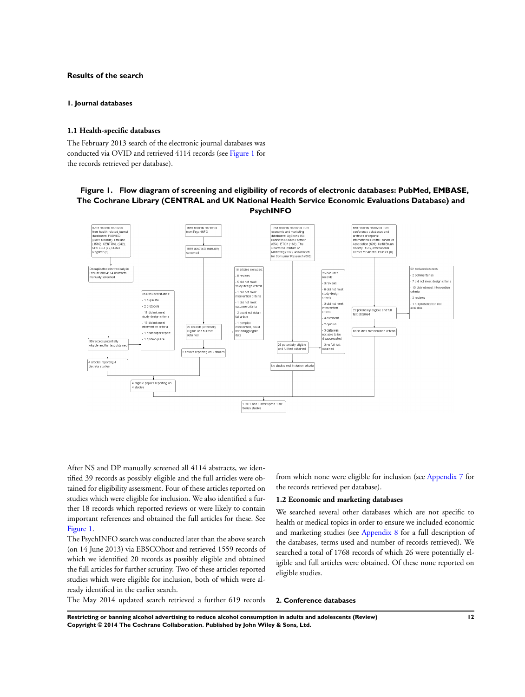# <span id="page-13-0"></span>**Results of the search**

#### **1. Journal databases**

#### **1.1 Health-specific databases**

The February 2013 search of the electronic journal databases was conducted via OVID and retrieved 4114 records (see Figure 1 for the records retrieved per database).

# **Figure 1. Flow diagram of screening and eligibility of records of electronic databases: PubMed, EMBASE, The Cochrane Library (CENTRAL and UK National Health Service Economic Evaluations Database) and PsychINFO**



After NS and DP manually screened all 4114 abstracts, we identified 39 records as possibly eligible and the full articles were obtained for eligibility assessment. Four of these articles reported on studies which were eligible for inclusion. We also identified a further 18 records which reported reviews or were likely to contain important references and obtained the full articles for these. See Figure 1.

The PsychINFO search was conducted later than the above search (on 14 June 2013) via EBSCOhost and retrieved 1559 records of which we identified 20 records as possibly eligible and obtained the full articles for further scrutiny. Two of these articles reported studies which were eligible for inclusion, both of which were already identified in the earlier search.

from which none were eligible for inclusion (see [Appendix 7](#page-56-0) for the records retrieved per database).

# **1.2 Economic and marketing databases**

We searched several other databases which are not specific to health or medical topics in order to ensure we included economic and marketing studies (see [Appendix 8](#page-57-0) for a full description of the databases, terms used and number of records retrieved). We searched a total of 1768 records of which 26 were potentially eligible and full articles were obtained. Of these none reported on eligible studies.

The May 2014 updated search retrieved a further 619 records

**2. Conference databases**

**Restricting or banning alcohol advertising to reduce alcohol consumption in adults and adolescents (Review) 12 Copyright © 2014 The Cochrane Collaboration. Published by John Wiley & Sons, Ltd.**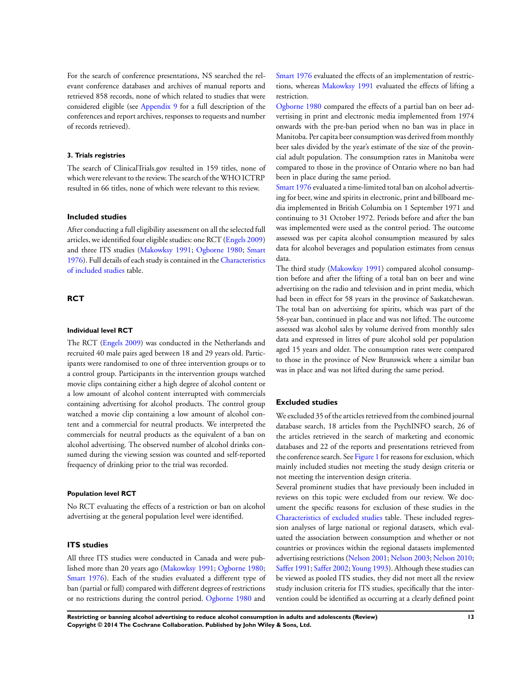For the search of conference presentations, NS searched the relevant conference databases and archives of manual reports and retrieved 858 records, none of which related to studies that were considered eligible (see [Appendix 9](#page-58-0) for a full description of the conferences and report archives, responses to requests and number of records retrieved).

#### **3. Trials registries**

The search of ClinicalTrials.gov resulted in 159 titles, none of which were relevant to the review. The search of the WHO ICTRP resulted in 66 titles, none of which were relevant to this review.

## **Included studies**

After conducting a full eligibility assessment on all the selected full articles, we identified four eligible studies: one RCT [\(Engels 2009](#page-25-0)) and three ITS studies ([Makowksy 1991](#page-25-0); [Ogborne 1980](#page-25-0); [Smart](#page-25-0) [1976](#page-25-0)). Full details of each study is contained in the [Characteristics](#page-28-0) [of included studies](#page-28-0) table.

## **RCT**

# **Individual level RCT**

The RCT [\(Engels 2009\)](#page-25-0) was conducted in the Netherlands and recruited 40 male pairs aged between 18 and 29 years old. Participants were randomised to one of three intervention groups or to a control group. Participants in the intervention groups watched movie clips containing either a high degree of alcohol content or a low amount of alcohol content interrupted with commercials containing advertising for alcohol products. The control group watched a movie clip containing a low amount of alcohol content and a commercial for neutral products. We interpreted the commercials for neutral products as the equivalent of a ban on alcohol advertising. The observed number of alcohol drinks consumed during the viewing session was counted and self-reported frequency of drinking prior to the trial was recorded.

#### **Population level RCT**

No RCT evaluating the effects of a restriction or ban on alcohol advertising at the general population level were identified.

# **ITS studies**

All three ITS studies were conducted in Canada and were published more than 20 years ago ([Makowksy 1991;](#page-25-0) [Ogborne 1980;](#page-25-0) [Smart 1976](#page-25-0)). Each of the studies evaluated a different type of ban (partial or full) compared with different degrees of restrictions or no restrictions during the control period. [Ogborne 1980](#page-25-0) and

[Smart 1976](#page-25-0) evaluated the effects of an implementation of restrictions, whereas [Makowksy 1991](#page-25-0) evaluated the effects of lifting a restriction.

[Ogborne 1980](#page-25-0) compared the effects of a partial ban on beer advertising in print and electronic media implemented from 1974 onwards with the pre-ban period when no ban was in place in Manitoba. Per capita beer consumption was derived from monthly beer sales divided by the year's estimate of the size of the provincial adult population. The consumption rates in Manitoba were compared to those in the province of Ontario where no ban had been in place during the same period.

[Smart 1976](#page-25-0) evaluated a time-limited total ban on alcohol advertising for beer, wine and spirits in electronic, print and billboard media implemented in British Columbia on 1 September 1971 and continuing to 31 October 1972. Periods before and after the ban was implemented were used as the control period. The outcome assessed was per capita alcohol consumption measured by sales data for alcohol beverages and population estimates from census data.

The third study ([Makowksy 1991\)](#page-25-0) compared alcohol consumption before and after the lifting of a total ban on beer and wine advertising on the radio and television and in print media, which had been in effect for 58 years in the province of Saskatchewan. The total ban on advertising for spirits, which was part of the 58-year ban, continued in place and was not lifted. The outcome assessed was alcohol sales by volume derived from monthly sales data and expressed in litres of pure alcohol sold per population aged 15 years and older. The consumption rates were compared to those in the province of New Brunswick where a similar ban was in place and was not lifted during the same period.

# **Excluded studies**

We excluded 35 of the articles retrieved from the combined journal database search, 18 articles from the PsychINFO search, 26 of the articles retrieved in the search of marketing and economic databases and 22 of the reports and presentations retrieved from the conference search. See [Figure 1](#page-13-0) for reasons for exclusion, which mainly included studies not meeting the study design criteria or not meeting the intervention design criteria.

Several prominent studies that have previously been included in reviews on this topic were excluded from our review. We document the specific reasons for exclusion of these studies in the [Characteristics of excluded studies](#page-37-0) table. These included regression analyses of large national or regional datasets, which evaluated the association between consumption and whether or not countries or provinces within the regional datasets implemented advertising restrictions [\(Nelson 2001;](#page-25-0) [Nelson 2003;](#page-25-0) [Nelson 2010;](#page-25-0) [Saffer 1991](#page-25-0); [Saffer 2002;](#page-25-0) [Young 1993\)](#page-25-0). Although these studies can be viewed as pooled ITS studies, they did not meet all the review study inclusion criteria for ITS studies, specifically that the intervention could be identified as occurring at a clearly defined point

**Restricting or banning alcohol advertising to reduce alcohol consumption in adults and adolescents (Review) 13 Copyright © 2014 The Cochrane Collaboration. Published by John Wiley & Sons, Ltd.**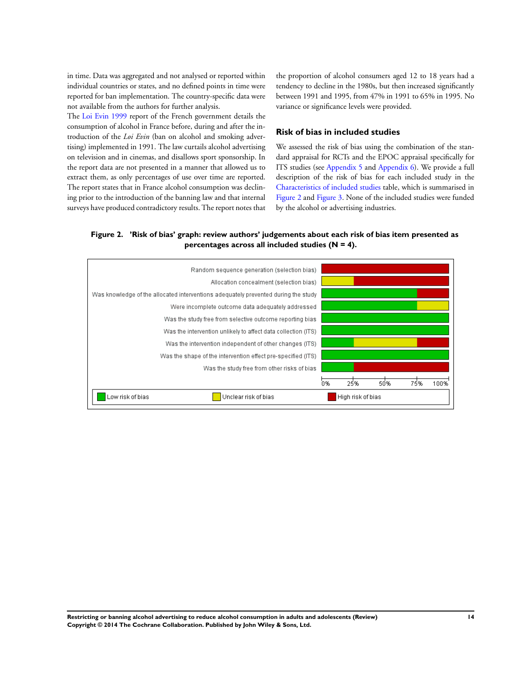in time. Data was aggregated and not analysed or reported within individual countries or states, and no defined points in time were reported for ban implementation. The country-specific data were not available from the authors for further analysis.

The [Loi Evin 1999](#page-25-0) report of the French government details the consumption of alcohol in France before, during and after the introduction of the *Loi Evin* (ban on alcohol and smoking advertising) implemented in 1991. The law curtails alcohol advertising on television and in cinemas, and disallows sport sponsorship. In the report data are not presented in a manner that allowed us to extract them, as only percentages of use over time are reported. The report states that in France alcohol consumption was declining prior to the introduction of the banning law and that internal surveys have produced contradictory results. The report notes that the proportion of alcohol consumers aged 12 to 18 years had a tendency to decline in the 1980s, but then increased significantly between 1991 and 1995, from 47% in 1991 to 65% in 1995. No variance or significance levels were provided.

# **Risk of bias in included studies**

We assessed the risk of bias using the combination of the standard appraisal for RCTs and the EPOC appraisal specifically for ITS studies (see [Appendix 5](#page-52-0) and [Appendix 6](#page-55-0)). We provide a full description of the risk of bias for each included study in the [Characteristics of included studies](#page-28-0) table, which is summarised in Figure 2 and [Figure 3](#page-16-0). None of the included studies were funded by the alcohol or advertising industries.

**Figure 2. 'Risk of bias' graph: review authors' judgements about each risk of bias item presented as percentages across all included studies (N = 4).**

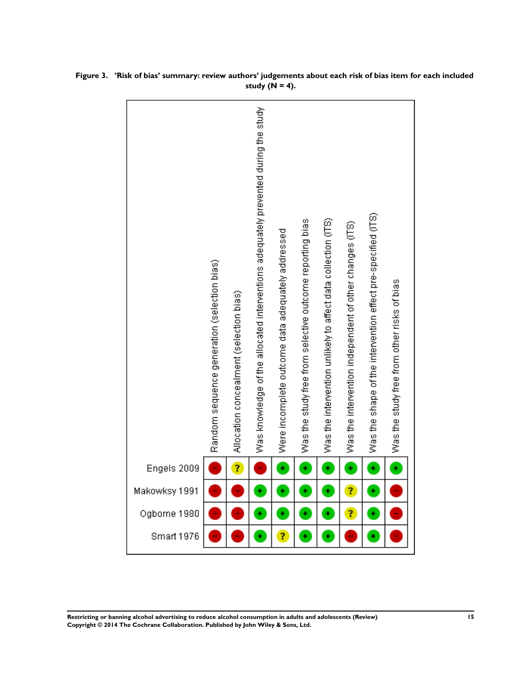|               | Random sequence generation (selection bias) | Allocation concealment (selection bias) | Was knowledge of the allocated interventions adequately prevented during the study | Were incomplete outcome data adequately addressed | Was the study free from selective outcome reporting bias | Was the intervention unlikely to affect data collection (ITS) | Was the intervention independent of other changes (ITS) | Was the shape of the intervention effect pre-specified (ITS) | $\blacksquare$ Was the study free from other risks of bias |
|---------------|---------------------------------------------|-----------------------------------------|------------------------------------------------------------------------------------|---------------------------------------------------|----------------------------------------------------------|---------------------------------------------------------------|---------------------------------------------------------|--------------------------------------------------------------|------------------------------------------------------------|
| Engels 2009   |                                             | ?                                       |                                                                                    | Ŧ                                                 | Ŧ                                                        | Ŧ                                                             | Ŧ                                                       | Ŧ                                                            |                                                            |
| Makowksy 1991 |                                             |                                         | ÷                                                                                  | Ŧ                                                 | Ŧ                                                        | ¥                                                             | ?                                                       | ¥                                                            | F                                                          |
| Ogborne 1980  |                                             |                                         | ÷                                                                                  | ¥                                                 | ¥                                                        | Ŧ                                                             | ?                                                       | ¥                                                            |                                                            |
| Smart 1976    |                                             |                                         | ÷                                                                                  | ?                                                 | ¥                                                        | ¥                                                             |                                                         | ¥                                                            |                                                            |

<span id="page-16-0"></span>**Figure 3. 'Risk of bias' summary: review authors' judgements about each risk of bias item for each included study (N = 4).**

**Restricting or banning alcohol advertising to reduce alcohol consumption in adults and adolescents (Review) 15 Copyright © 2014 The Cochrane Collaboration. Published by John Wiley & Sons, Ltd.**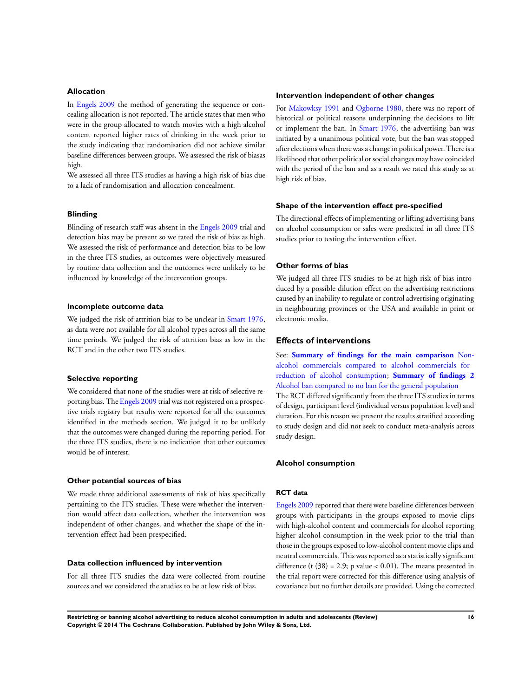# **Allocation**

In [Engels 2009](#page-25-0) the method of generating the sequence or concealing allocation is not reported. The article states that men who were in the group allocated to watch movies with a high alcohol content reported higher rates of drinking in the week prior to the study indicating that randomisation did not achieve similar baseline differences between groups. We assessed the risk of biasas high.

We assessed all three ITS studies as having a high risk of bias due to a lack of randomisation and allocation concealment.

#### **Blinding**

Blinding of research staff was absent in the [Engels 2009](#page-25-0) trial and detection bias may be present so we rated the risk of bias as high. We assessed the risk of performance and detection bias to be low in the three ITS studies, as outcomes were objectively measured by routine data collection and the outcomes were unlikely to be influenced by knowledge of the intervention groups.

# **Incomplete outcome data**

We judged the risk of attrition bias to be unclear in [Smart 1976,](#page-25-0) as data were not available for all alcohol types across all the same time periods. We judged the risk of attrition bias as low in the RCT and in the other two ITS studies.

# **Selective reporting**

We considered that none of the studies were at risk of selective reporting bias. The [Engels 2009](#page-25-0) trial was not registered on a prospective trials registry but results were reported for all the outcomes identified in the methods section. We judged it to be unlikely that the outcomes were changed during the reporting period. For the three ITS studies, there is no indication that other outcomes would be of interest.

#### **Other potential sources of bias**

We made three additional assessments of risk of bias specifically pertaining to the ITS studies. These were whether the intervention would affect data collection, whether the intervention was independent of other changes, and whether the shape of the intervention effect had been prespecified.

## **Data collection influenced by intervention**

For all three ITS studies the data were collected from routine sources and we considered the studies to be at low risk of bias.

#### **Intervention independent of other changes**

For [Makowksy 1991](#page-25-0) and [Ogborne 1980,](#page-25-0) there was no report of historical or political reasons underpinning the decisions to lift or implement the ban. In [Smart 1976,](#page-25-0) the advertising ban was initiated by a unanimous political vote, but the ban was stopped after elections when there was a change in political power. There is a likelihood that other political or social changes may have coincided with the period of the ban and as a result we rated this study as at high risk of bias.

#### **Shape of the intervention effect pre-specified**

The directional effects of implementing or lifting advertising bans on alcohol consumption or sales were predicted in all three ITS studies prior to testing the intervention effect.

# **Other forms of bias**

We judged all three ITS studies to be at high risk of bias introduced by a possible dilution effect on the advertising restrictions caused by an inability to regulate or control advertising originating in neighbouring provinces or the USA and available in print or electronic media.

# **Effects of interventions**

See: **[Summary of findings for the main comparison](#page-5-0)** [Non](#page-5-0)[alcohol commercials compared to alcohol commercials for](#page-5-0) [reduction of alcohol consumption](#page-5-0); **[Summary of findings 2](#page-20-0)** [Alcohol ban compared to no ban for the general population](#page-20-0) The RCT differed significantly from the three ITS studies in terms of design, participant level (individual versus population level) and duration. For this reason we present the results stratified according to study design and did not seek to conduct meta-analysis across study design.

#### **Alcohol consumption**

# **RCT data**

[Engels 2009](#page-25-0) reported that there were baseline differences between groups with participants in the groups exposed to movie clips with high-alcohol content and commercials for alcohol reporting higher alcohol consumption in the week prior to the trial than those in the groups exposed to low-alcohol content movie clips and neutral commercials. This was reported as a statistically significant difference (t  $(38) = 2.9$ ; p value < 0.01). The means presented in the trial report were corrected for this difference using analysis of covariance but no further details are provided. Using the corrected

**Restricting or banning alcohol advertising to reduce alcohol consumption in adults and adolescents (Review) 16 Copyright © 2014 The Cochrane Collaboration. Published by John Wiley & Sons, Ltd.**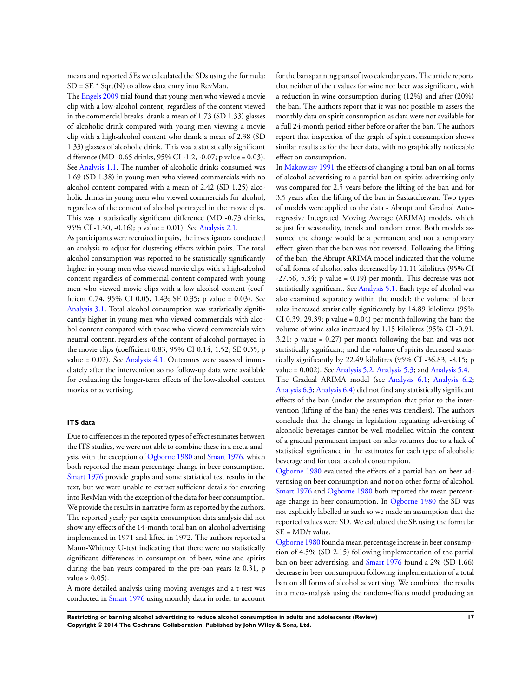means and reported SEs we calculated the SDs using the formula:  $SD = SE * Sqrt(N)$  to allow data entry into RevMan.

The [Engels 2009](#page-25-0) trial found that young men who viewed a movie clip with a low-alcohol content, regardless of the content viewed in the commercial breaks, drank a mean of 1.73 (SD 1.33) glasses of alcoholic drink compared with young men viewing a movie clip with a high-alcohol content who drank a mean of 2.38 (SD 1.33) glasses of alcoholic drink. This was a statistically significant difference (MD -0.65 drinks, 95% CI -1.2, -0.07; p value = 0.03). See [Analysis 1.1](#page-41-0). The number of alcoholic drinks consumed was 1.69 (SD 1.38) in young men who viewed commercials with no alcohol content compared with a mean of 2.42 (SD 1.25) alcoholic drinks in young men who viewed commercials for alcohol, regardless of the content of alcohol portrayed in the movie clips. This was a statistically significant difference (MD -0.73 drinks, 95% CI -1.30, -0.16); p value = 0.01). See [Analysis 2.1.](#page-41-0)

As participants were recruited in pairs, the investigators conducted an analysis to adjust for clustering effects within pairs. The total alcohol consumption was reported to be statistically significantly higher in young men who viewed movie clips with a high-alcohol content regardless of commercial content compared with young men who viewed movie clips with a low-alcohol content (coefficient 0.74, 95% CI 0.05, 1.43; SE 0.35; p value = 0.03). See [Analysis 3.1.](#page-41-0) Total alcohol consumption was statistically significantly higher in young men who viewed commercials with alcohol content compared with those who viewed commercials with neutral content, regardless of the content of alcohol portrayed in the movie clips (coefficient 0.83, 95% CI 0.14, 1.52; SE 0.35; p value = 0.02). See [Analysis 4.1](#page-42-0). Outcomes were assessed immediately after the intervention so no follow-up data were available for evaluating the longer-term effects of the low-alcohol content movies or advertising.

#### **ITS data**

Due to differences in the reported types of effect estimates between the ITS studies, we were not able to combine these in a meta-analysis, with the exception of [Ogborne 1980](#page-25-0) and [Smart 1976.](#page-25-0) which both reported the mean percentage change in beer consumption. [Smart 1976](#page-25-0) provide graphs and some statistical test results in the text, but we were unable to extract sufficient details for entering into RevMan with the exception of the data for beer consumption. We provide the results in narrative form as reported by the authors. The reported yearly per capita consumption data analysis did not show any effects of the 14-month total ban on alcohol advertising implemented in 1971 and lifted in 1972. The authors reported a Mann-Whitney U-test indicating that there were no statistically significant differences in consumption of beer, wine and spirits during the ban years compared to the pre-ban years (z 0.31, p value  $> 0.05$ ).

A more detailed analysis using moving averages and a t-test was conducted in [Smart 1976](#page-25-0) using monthly data in order to account for the ban spanning parts of two calendar years. The article reports that neither of the t values for wine nor beer was significant, with a reduction in wine consumption during (12%) and after (20%) the ban. The authors report that it was not possible to assess the monthly data on spirit consumption as data were not available for a full 24-month period either before or after the ban. The authors report that inspection of the graph of spirit consumption shows similar results as for the beer data, with no graphically noticeable effect on consumption.

In [Makowksy 1991](#page-25-0) the effects of changing a total ban on all forms of alcohol advertising to a partial ban on spirits advertising only was compared for 2.5 years before the lifting of the ban and for 3.5 years after the lifting of the ban in Saskatchewan. Two types of models were applied to the data - Abrupt and Gradual Autoregressive Integrated Moving Average (ARIMA) models, which adjust for seasonality, trends and random error. Both models assumed the change would be a permanent and not a temporary effect, given that the ban was not reversed. Following the lifting of the ban, the Abrupt ARIMA model indicated that the volume of all forms of alcohol sales decreased by 11.11 kilolitres (95% CI  $-27.56$ ,  $5.34$ ; p value = 0.19) per month. This decrease was not statistically significant. See [Analysis 5.1.](#page-42-0) Each type of alcohol was also examined separately within the model: the volume of beer sales increased statistically significantly by 14.89 kilolitres (95% CI 0.39, 29.39;  $p$  value = 0.04) per month following the ban; the volume of wine sales increased by 1.15 kilolitres (95% CI -0.91, 3.21; p value = 0.27) per month following the ban and was not statistically significant; and the volume of spirits decreased statistically significantly by 22.49 kilolitres (95% CI -36.83, -8.15; p value = 0.002). See [Analysis 5.2](#page-43-0), [Analysis 5.3](#page-43-0); and [Analysis 5.4.](#page-44-0) The Gradual ARIMA model (see [Analysis 6.1](#page-44-0); [Analysis 6.2;](#page-45-0) [Analysis 6.3;](#page-45-0) [Analysis 6.4](#page-46-0)) did not find any statistically significant effects of the ban (under the assumption that prior to the intervention (lifting of the ban) the series was trendless). The authors conclude that the change in legislation regulating advertising of alcoholic beverages cannot be well modelled within the context

statistical significance in the estimates for each type of alcoholic beverage and for total alcohol consumption. [Ogborne 1980](#page-25-0) evaluated the effects of a partial ban on beer advertising on beer consumption and not on other forms of alcohol. [Smart 1976](#page-25-0) and [Ogborne 1980](#page-25-0) both reported the mean percentage change in beer consumption. In [Ogborne 1980](#page-25-0) the SD was not explicitly labelled as such so we made an assumption that the reported values were SD. We calculated the SE using the formula:

of a gradual permanent impact on sales volumes due to a lack of

SE = MD/t value. [Ogborne 1980](#page-25-0) found a mean percentage increase in beer consumption of 4.5% (SD 2.15) following implementation of the partial ban on beer advertising, and [Smart 1976](#page-25-0) found a 2% (SD 1.66) decrease in beer consumption following implementation of a total

ban on all forms of alcohol advertising. We combined the results in a meta-analysis using the random-effects model producing an

**Restricting or banning alcohol advertising to reduce alcohol consumption in adults and adolescents (Review) 17 Copyright © 2014 The Cochrane Collaboration. Published by John Wiley & Sons, Ltd.**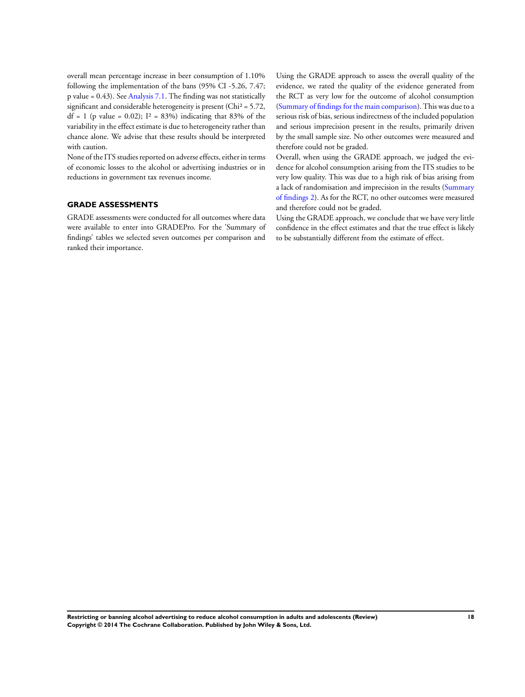overall mean percentage increase in beer consumption of 1.10% following the implementation of the bans (95% CI -5.26, 7.47; p value = 0.43). See [Analysis 7.1](#page-46-0). The finding was not statistically significant and considerable heterogeneity is present (Chi<sup>2</sup> = 5.72,  $df = 1$  (p value = 0.02);  $I^2 = 83\%$ ) indicating that 83% of the variability in the effect estimate is due to heterogeneity rather than chance alone. We advise that these results should be interpreted with caution.

None of the ITS studies reported on adverse effects, either in terms of economic losses to the alcohol or advertising industries or in reductions in government tax revenues income.

## **GRADE ASSESSMENTS**

GRADE assessments were conducted for all outcomes where data were available to enter into GRADEPro. For the 'Summary of findings' tables we selected seven outcomes per comparison and ranked their importance.

Using the GRADE approach to assess the overall quality of the evidence, we rated the quality of the evidence generated from the RCT as very low for the outcome of alcohol consumption [\(Summary of findings for the main comparison](#page-5-0)). This was due to a serious risk of bias, serious indirectness of the included population and serious imprecision present in the results, primarily driven by the small sample size. No other outcomes were measured and therefore could not be graded.

Overall, when using the GRADE approach, we judged the evidence for alcohol consumption arising from the ITS studies to be very low quality. This was due to a high risk of bias arising from a lack of randomisation and imprecision in the results [\(Summary](#page-20-0) [of findings 2\)](#page-20-0). As for the RCT, no other outcomes were measured and therefore could not be graded.

Using the GRADE approach, we conclude that we have very little confidence in the effect estimates and that the true effect is likely to be substantially different from the estimate of effect.

**Restricting or banning alcohol advertising to reduce alcohol consumption in adults and adolescents (Review) 18 Copyright © 2014 The Cochrane Collaboration. Published by John Wiley & Sons, Ltd.**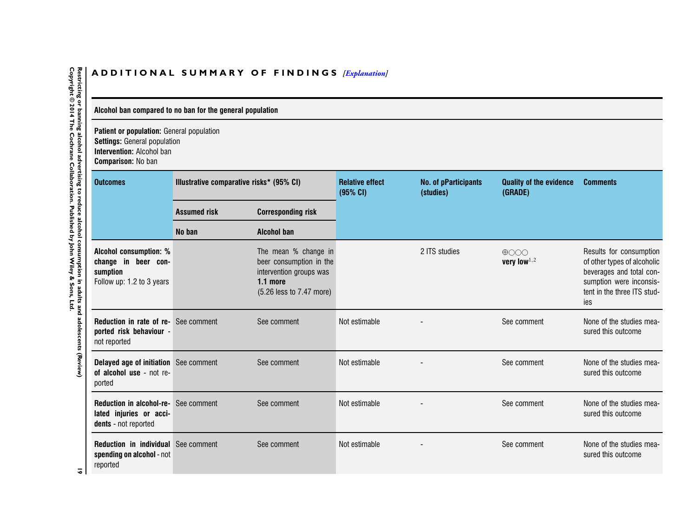| Alcohol ban compared to no ban for the general population                                                                                  |                                          |                                                                                                                      |                                    |                                   |                                           |                                                                                                                                                     |
|--------------------------------------------------------------------------------------------------------------------------------------------|------------------------------------------|----------------------------------------------------------------------------------------------------------------------|------------------------------------|-----------------------------------|-------------------------------------------|-----------------------------------------------------------------------------------------------------------------------------------------------------|
| Patient or population: General population<br>Settings: General population<br><b>Intervention: Alcohol ban</b><br><b>Comparison: No ban</b> |                                          |                                                                                                                      |                                    |                                   |                                           |                                                                                                                                                     |
| <b>Outcomes</b>                                                                                                                            | Illustrative comparative risks* (95% CI) |                                                                                                                      | <b>Relative effect</b><br>(95% CI) | No. of pParticipants<br>(studies) | <b>Quality of the evidence</b><br>(GRADE) | <b>Comments</b>                                                                                                                                     |
|                                                                                                                                            | <b>Assumed risk</b>                      | <b>Corresponding risk</b>                                                                                            |                                    |                                   |                                           |                                                                                                                                                     |
|                                                                                                                                            | No ban                                   | <b>Alcohol ban</b>                                                                                                   |                                    |                                   |                                           |                                                                                                                                                     |
| Alcohol consumption: %<br>change in beer con-<br>sumption<br>Follow up: 1.2 to 3 years                                                     |                                          | The mean % change in<br>beer consumption in the<br>intervention groups was<br>$1.1$ more<br>(5.26 less to 7.47 more) |                                    | 2 ITS studies                     | $\bigoplus$ OOO<br>very low $^{1,2}$      | Results for consumption<br>of other types of alcoholic<br>beverages and total con-<br>sumption were inconsis-<br>tent in the three ITS stud-<br>ies |
| <b>Reduction in rate of re-</b> See comment<br>ported risk behaviour -<br>not reported                                                     |                                          | See comment                                                                                                          | Not estimable                      |                                   | See comment                               | None of the studies mea-<br>sured this outcome                                                                                                      |
| <b>Delayed age of initiation</b> See comment<br>of alcohol use - not re-<br>ported                                                         |                                          | See comment                                                                                                          | Not estimable                      |                                   | See comment                               | None of the studies mea-<br>sured this outcome                                                                                                      |
| Reduction in alcohol-re- See comment<br>lated injuries or acci-<br>dents - not reported                                                    |                                          | See comment                                                                                                          | Not estimable                      |                                   | See comment                               | None of the studies mea-<br>sured this outcome                                                                                                      |
| <b>Reduction in individual</b> See comment<br>spending on alcohol - not<br>reported                                                        |                                          | See comment                                                                                                          | Not estimable                      |                                   | See comment                               | None of the studies mea-<br>sured this outcome                                                                                                      |

# ADDITIONAL SUMMARY OF FINDINGS *[\[Explanation\]](http://www.thecochranelibrary.com/view/0/SummaryFindings.html)*

<span id="page-20-0"></span>Restricting or banning alcohol advertising to reduce alcohol consumption in adults and adolescents (Review)<br>Copyright © 2014 The Cochrane Collaboration. Published by John Wiley & Sons, Ltd. **Copyright © 2014 The Cochrane Collaboration. Published by John Wiley & Sons, Ltd.19 Restricting or banning alcohol advertising to reduce alcohol consumption in addition in additional adversion (Review)** 

 $\overline{\bullet}$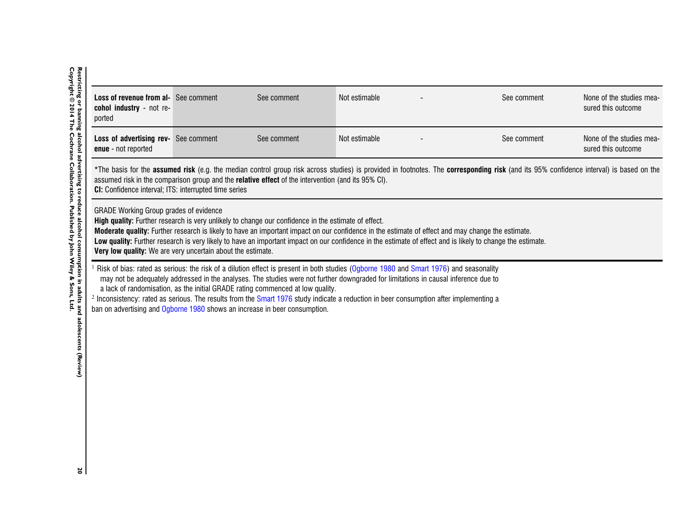| <b>Loss of revenue from al-</b> See comment<br>cohol industry - not re-<br>ported                                                                                                                                                                                                                                                                                                                                                                                                                                                                                                                               |             | See comment                                                                                         | Not estimable                                                                                                                                                                                                                                                                                                   | See comment | None of the studies mea-<br>sured this outcome |  |
|-----------------------------------------------------------------------------------------------------------------------------------------------------------------------------------------------------------------------------------------------------------------------------------------------------------------------------------------------------------------------------------------------------------------------------------------------------------------------------------------------------------------------------------------------------------------------------------------------------------------|-------------|-----------------------------------------------------------------------------------------------------|-----------------------------------------------------------------------------------------------------------------------------------------------------------------------------------------------------------------------------------------------------------------------------------------------------------------|-------------|------------------------------------------------|--|
| Loss of advertising rev-<br>enue - not reported                                                                                                                                                                                                                                                                                                                                                                                                                                                                                                                                                                 | See comment | See comment                                                                                         | Not estimable                                                                                                                                                                                                                                                                                                   | See comment | None of the studies mea-<br>sured this outcome |  |
| *The basis for the assumed risk (e.g. the median control group risk across studies) is provided in footnotes. The corresponding risk (and its 95% confidence interval) is based on the<br>assumed risk in the comparison group and the relative effect of the intervention (and its 95% CI).<br>CI: Confidence interval; ITS: interrupted time series                                                                                                                                                                                                                                                           |             |                                                                                                     |                                                                                                                                                                                                                                                                                                                 |             |                                                |  |
| <b>GRADE Working Group grades of evidence</b><br>Very low quality: We are very uncertain about the estimate.                                                                                                                                                                                                                                                                                                                                                                                                                                                                                                    |             | High quality: Further research is very unlikely to change our confidence in the estimate of effect. | Moderate quality: Further research is likely to have an important impact on our confidence in the estimate of effect and may change the estimate.<br>Low quality: Further research is very likely to have an important impact on our confidence in the estimate of effect and is likely to change the estimate. |             |                                                |  |
| <sup>1</sup> Risk of bias: rated as serious: the risk of a dilution effect is present in both studies (Ogborne 1980 and Smart 1976) and seasonality<br>may not be adequately addressed in the analyses. The studies were not further downgraded for limitations in causal inference due to<br>a lack of randomisation, as the initial GRADE rating commenced at low quality.<br><sup>2</sup> Inconsistency: rated as serious. The results from the Smart 1976 study indicate a reduction in beer consumption after implementing a<br>ban on advertising and Ogborne 1980 shows an increase in beer consumption. |             |                                                                                                     |                                                                                                                                                                                                                                                                                                                 |             |                                                |  |
|                                                                                                                                                                                                                                                                                                                                                                                                                                                                                                                                                                                                                 |             |                                                                                                     |                                                                                                                                                                                                                                                                                                                 |             |                                                |  |
|                                                                                                                                                                                                                                                                                                                                                                                                                                                                                                                                                                                                                 |             |                                                                                                     |                                                                                                                                                                                                                                                                                                                 |             |                                                |  |

 $5<sup>o</sup>$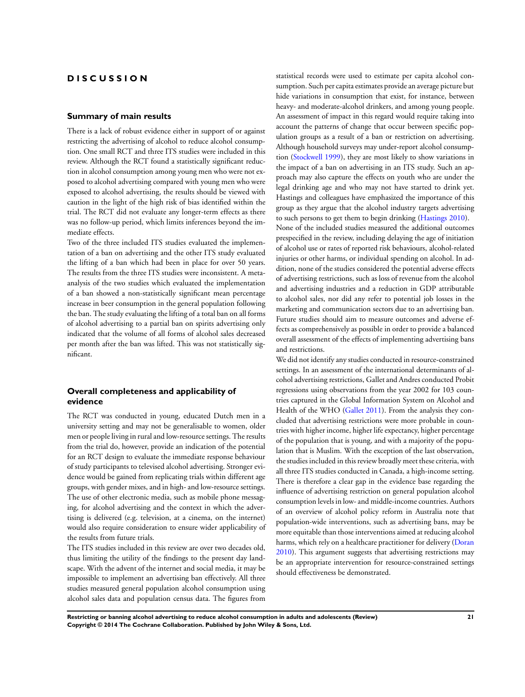# **D I S C U S S I O N**

## **Summary of main results**

There is a lack of robust evidence either in support of or against restricting the advertising of alcohol to reduce alcohol consumption. One small RCT and three ITS studies were included in this review. Although the RCT found a statistically significant reduction in alcohol consumption among young men who were not exposed to alcohol advertising compared with young men who were exposed to alcohol advertising, the results should be viewed with caution in the light of the high risk of bias identified within the trial. The RCT did not evaluate any longer-term effects as there was no follow-up period, which limits inferences beyond the immediate effects.

Two of the three included ITS studies evaluated the implementation of a ban on advertising and the other ITS study evaluated the lifting of a ban which had been in place for over 50 years. The results from the three ITS studies were inconsistent. A metaanalysis of the two studies which evaluated the implementation of a ban showed a non-statistically significant mean percentage increase in beer consumption in the general population following the ban. The study evaluating the lifting of a total ban on all forms of alcohol advertising to a partial ban on spirits advertising only indicated that the volume of all forms of alcohol sales decreased per month after the ban was lifted. This was not statistically significant.

# **Overall completeness and applicability of evidence**

The RCT was conducted in young, educated Dutch men in a university setting and may not be generalisable to women, older men or people living in rural and low-resource settings. The results from the trial do, however, provide an indication of the potential for an RCT design to evaluate the immediate response behaviour of study participants to televised alcohol advertising. Stronger evidence would be gained from replicating trials within different age groups, with gender mixes, and in high- and low-resource settings. The use of other electronic media, such as mobile phone messaging, for alcohol advertising and the context in which the advertising is delivered (e.g. television, at a cinema, on the internet) would also require consideration to ensure wider applicability of the results from future trials.

The ITS studies included in this review are over two decades old, thus limiting the utility of the findings to the present day landscape. With the advent of the internet and social media, it may be impossible to implement an advertising ban effectively. All three studies measured general population alcohol consumption using alcohol sales data and population census data. The figures from

statistical records were used to estimate per capita alcohol consumption. Such per capita estimates provide an average picture but hide variations in consumption that exist, for instance, between heavy- and moderate-alcohol drinkers, and among young people. An assessment of impact in this regard would require taking into account the patterns of change that occur between specific population groups as a result of a ban or restriction on advertising. Although household surveys may under-report alcohol consumption ([Stockwell 1999\)](#page-25-0), they are most likely to show variations in the impact of a ban on advertising in an ITS study. Such an approach may also capture the effects on youth who are under the legal drinking age and who may not have started to drink yet. Hastings and colleagues have emphasized the importance of this group as they argue that the alcohol industry targets advertising to such persons to get them to begin drinking [\(Hastings 2010\)](#page-25-0).

None of the included studies measured the additional outcomes prespecified in the review, including delaying the age of initiation of alcohol use or rates of reported risk behaviours, alcohol-related injuries or other harms, or individual spending on alcohol. In addition, none of the studies considered the potential adverse effects of advertising restrictions, such as loss of revenue from the alcohol and advertising industries and a reduction in GDP attributable to alcohol sales, nor did any refer to potential job losses in the marketing and communication sectors due to an advertising ban. Future studies should aim to measure outcomes and adverse effects as comprehensively as possible in order to provide a balanced overall assessment of the effects of implementing advertising bans and restrictions.

We did not identify any studies conducted in resource-constrained settings. In an assessment of the international determinants of alcohol advertising restrictions, Gallet and Andres conducted Probit regressions using observations from the year 2002 for 103 countries captured in the Global Information System on Alcohol and Health of the WHO ([Gallet 2011](#page-25-0)). From the analysis they concluded that advertising restrictions were more probable in countries with higher income, higher life expectancy, higher percentage of the population that is young, and with a majority of the population that is Muslim. With the exception of the last observation, the studies included in this review broadly meet these criteria, with all three ITS studies conducted in Canada, a high-income setting. There is therefore a clear gap in the evidence base regarding the influence of advertising restriction on general population alcohol consumption levels in low- and middle-income countries. Authors of an overview of alcohol policy reform in Australia note that population-wide interventions, such as advertising bans, may be more equitable than those interventions aimed at reducing alcohol harms, which rely on a healthcare practitioner for delivery ([Doran](#page-25-0) [2010](#page-25-0)). This argument suggests that advertising restrictions may be an appropriate intervention for resource-constrained settings should effectiveness be demonstrated.

**Restricting or banning alcohol advertising to reduce alcohol consumption in adults and adolescents (Review) 21 Copyright © 2014 The Cochrane Collaboration. Published by John Wiley & Sons, Ltd.**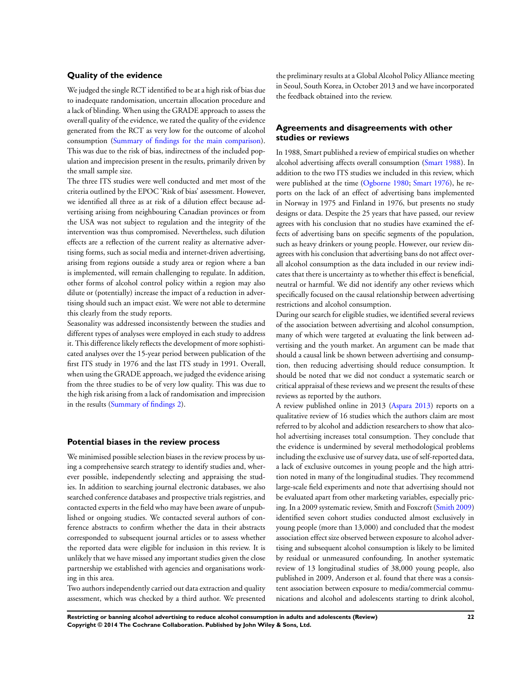# **Quality of the evidence**

We judged the single RCT identified to be at a high risk of bias due to inadequate randomisation, uncertain allocation procedure and a lack of blinding. When using the GRADE approach to assess the overall quality of the evidence, we rated the quality of the evidence generated from the RCT as very low for the outcome of alcohol consumption [\(Summary of findings for the main comparison](#page-5-0)). This was due to the risk of bias, indirectness of the included population and imprecision present in the results, primarily driven by the small sample size.

The three ITS studies were well conducted and met most of the criteria outlined by the EPOC 'Risk of bias' assessment. However, we identified all three as at risk of a dilution effect because advertising arising from neighbouring Canadian provinces or from the USA was not subject to regulation and the integrity of the intervention was thus compromised. Nevertheless, such dilution effects are a reflection of the current reality as alternative advertising forms, such as social media and internet-driven advertising, arising from regions outside a study area or region where a ban is implemented, will remain challenging to regulate. In addition, other forms of alcohol control policy within a region may also dilute or (potentially) increase the impact of a reduction in advertising should such an impact exist. We were not able to determine this clearly from the study reports.

Seasonality was addressed inconsistently between the studies and different types of analyses were employed in each study to address it. This difference likely reflects the development of more sophisticated analyses over the 15-year period between publication of the first ITS study in 1976 and the last ITS study in 1991. Overall, when using the GRADE approach, we judged the evidence arising from the three studies to be of very low quality. This was due to the high risk arising from a lack of randomisation and imprecision in the results ([Summary of findings 2\)](#page-20-0).

## **Potential biases in the review process**

We minimised possible selection biases in the review process by using a comprehensive search strategy to identify studies and, wherever possible, independently selecting and appraising the studies. In addition to searching journal electronic databases, we also searched conference databases and prospective trials registries, and contacted experts in the field who may have been aware of unpublished or ongoing studies. We contacted several authors of conference abstracts to confirm whether the data in their abstracts corresponded to subsequent journal articles or to assess whether the reported data were eligible for inclusion in this review. It is unlikely that we have missed any important studies given the close partnership we established with agencies and organisations working in this area.

Two authors independently carried out data extraction and quality assessment, which was checked by a third author. We presented the preliminary results at a Global Alcohol Policy Alliance meeting in Seoul, South Korea, in October 2013 and we have incorporated the feedback obtained into the review.

# **Agreements and disagreements with other studies or reviews**

In 1988, Smart published a review of empirical studies on whether alcohol advertising affects overall consumption ([Smart 1988\)](#page-25-0). In addition to the two ITS studies we included in this review, which were published at the time [\(Ogborne 1980](#page-25-0); [Smart 1976](#page-25-0)), he reports on the lack of an effect of advertising bans implemented in Norway in 1975 and Finland in 1976, but presents no study designs or data. Despite the 25 years that have passed, our review agrees with his conclusion that no studies have examined the effects of advertising bans on specific segments of the population, such as heavy drinkers or young people. However, our review disagrees with his conclusion that advertising bans do not affect overall alcohol consumption as the data included in our review indicates that there is uncertainty as to whether this effect is beneficial, neutral or harmful. We did not identify any other reviews which specifically focused on the causal relationship between advertising restrictions and alcohol consumption.

During our search for eligible studies, we identified several reviews of the association between advertising and alcohol consumption, many of which were targeted at evaluating the link between advertising and the youth market. An argument can be made that should a causal link be shown between advertising and consumption, then reducing advertising should reduce consumption. It should be noted that we did not conduct a systematic search or critical appraisal of these reviews and we present the results of these reviews as reported by the authors.

A review published online in 2013 [\(Aspara 2013\)](#page-25-0) reports on a qualitative review of 16 studies which the authors claim are most referred to by alcohol and addiction researchers to show that alcohol advertising increases total consumption. They conclude that the evidence is undermined by several methodological problems including the exclusive use of survey data, use of self-reported data, a lack of exclusive outcomes in young people and the high attrition noted in many of the longitudinal studies. They recommend large-scale field experiments and note that advertising should not be evaluated apart from other marketing variables, especially pricing. In a 2009 systematic review, Smith and Foxcroft ([Smith 2009](#page-25-0)) identified seven cohort studies conducted almost exclusively in young people (more than 13,000) and concluded that the modest association effect size observed between exposure to alcohol advertising and subsequent alcohol consumption is likely to be limited by residual or unmeasured confounding. In another systematic review of 13 longitudinal studies of 38,000 young people, also published in 2009, Anderson et al. found that there was a consistent association between exposure to media/commercial communications and alcohol and adolescents starting to drink alcohol,

**Restricting or banning alcohol advertising to reduce alcohol consumption in adults and adolescents (Review) 22 Copyright © 2014 The Cochrane Collaboration. Published by John Wiley & Sons, Ltd.**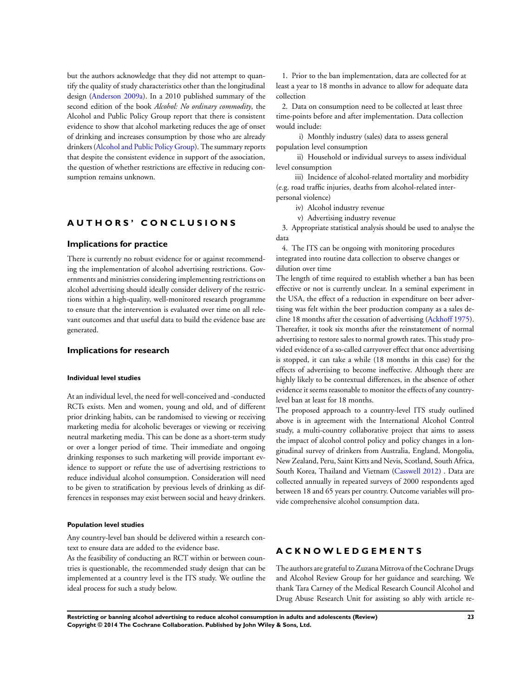but the authors acknowledge that they did not attempt to quantify the quality of study characteristics other than the longitudinal design [\(Anderson 2009a](#page-25-0)). In a 2010 published summary of the second edition of the book *Alcohol: No ordinary commodity*, the Alcohol and Public Policy Group report that there is consistent evidence to show that alcohol marketing reduces the age of onset of drinking and increases consumption by those who are already drinkers ([Alcohol and Public Policy Group\)](#page-25-0). The summary reports that despite the consistent evidence in support of the association, the question of whether restrictions are effective in reducing consumption remains unknown.

# **A U T H O R S ' C O N C L U S I O N S**

## **Implications for practice**

There is currently no robust evidence for or against recommending the implementation of alcohol advertising restrictions. Governments and ministries considering implementing restrictions on alcohol advertising should ideally consider delivery of the restrictions within a high-quality, well-monitored research programme to ensure that the intervention is evaluated over time on all relevant outcomes and that useful data to build the evidence base are generated.

## **Implications for research**

#### **Individual level studies**

At an individual level, the need for well-conceived and -conducted RCTs exists. Men and women, young and old, and of different prior drinking habits, can be randomised to viewing or receiving marketing media for alcoholic beverages or viewing or receiving neutral marketing media. This can be done as a short-term study or over a longer period of time. Their immediate and ongoing drinking responses to such marketing will provide important evidence to support or refute the use of advertising restrictions to reduce individual alcohol consumption. Consideration will need to be given to stratification by previous levels of drinking as differences in responses may exist between social and heavy drinkers.

#### **Population level studies**

Any country-level ban should be delivered within a research context to ensure data are added to the evidence base.

As the feasibility of conducting an RCT within or between countries is questionable, the recommended study design that can be implemented at a country level is the ITS study. We outline the ideal process for such a study below.

1. Prior to the ban implementation, data are collected for at least a year to 18 months in advance to allow for adequate data collection

2. Data on consumption need to be collected at least three time-points before and after implementation. Data collection would include:

i) Monthly industry (sales) data to assess general population level consumption

ii) Household or individual surveys to assess individual level consumption

iii) Incidence of alcohol-related mortality and morbidity (e.g. road traffic injuries, deaths from alcohol-related interpersonal violence)

- iv) Alcohol industry revenue
- v) Advertising industry revenue

3. Appropriate statistical analysis should be used to analyse the data

4. The ITS can be ongoing with monitoring procedures integrated into routine data collection to observe changes or dilution over time

The length of time required to establish whether a ban has been effective or not is currently unclear. In a seminal experiment in the USA, the effect of a reduction in expenditure on beer advertising was felt within the beer production company as a sales decline 18 months after the cessation of advertising ([Ackhoff 1975](#page-25-0)). Thereafter, it took six months after the reinstatement of normal advertising to restore sales to normal growth rates. This study provided evidence of a so-called carryover effect that once advertising is stopped, it can take a while (18 months in this case) for the effects of advertising to become ineffective. Although there are highly likely to be contextual differences, in the absence of other evidence it seems reasonable to monitor the effects of any countrylevel ban at least for 18 months.

The proposed approach to a country-level ITS study outlined above is in agreement with the International Alcohol Control study, a multi-country collaborative project that aims to assess the impact of alcohol control policy and policy changes in a longitudinal survey of drinkers from Australia, England, Mongolia, New Zealand, Peru, Saint Kitts and Nevis, Scotland, South Africa, South Korea, Thailand and Vietnam ([Casswell 2012\)](#page-25-0) . Data are collected annually in repeated surveys of 2000 respondents aged between 18 and 65 years per country. Outcome variables will provide comprehensive alcohol consumption data.

# **A C K N O W L E D G E M E N T S**

The authors are grateful to Zuzana Mitrova of the Cochrane Drugs and Alcohol Review Group for her guidance and searching. We thank Tara Carney of the Medical Research Council Alcohol and Drug Abuse Research Unit for assisting so ably with article re-

**Restricting or banning alcohol advertising to reduce alcohol consumption in adults and adolescents (Review) 23 Copyright © 2014 The Cochrane Collaboration. Published by John Wiley & Sons, Ltd.**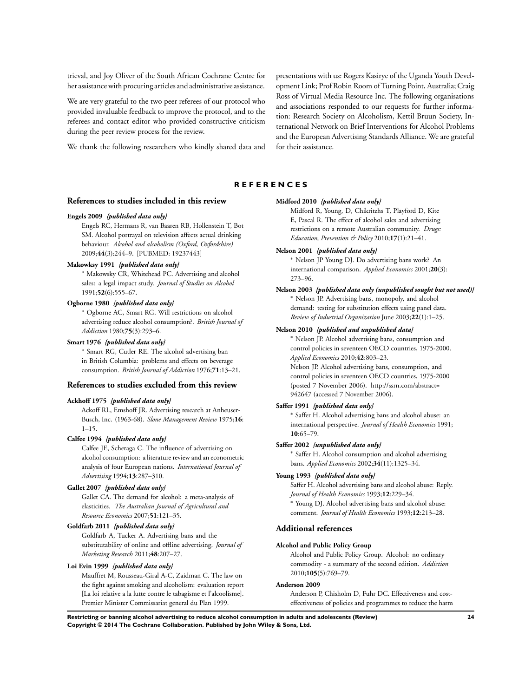<span id="page-25-0"></span>trieval, and Joy Oliver of the South African Cochrane Centre for her assistance with procuring articles and administrative assistance.

We are very grateful to the two peer referees of our protocol who provided invaluable feedback to improve the protocol, and to the referees and contact editor who provided constructive criticism during the peer review process for the review.

We thank the following researchers who kindly shared data and

presentations with us: Rogers Kasirye of the Uganda Youth Development Link; Prof Robin Room of Turning Point, Australia; Craig Ross of Virtual Media Resource Inc. The following organisations and associations responded to our requests for further information: Research Society on Alcoholism, Kettil Bruun Society, International Network on Brief Interventions for Alcohol Problems and the European Advertising Standards Alliance. We are grateful for their assistance.

#### **R E F E R E N C E S**

## **References to studies included in this review**

#### **Engels 2009** *{published data only}*

Engels RC, Hermans R, van Baaren RB, Hollenstein T, Bot SM. Alcohol portrayal on television affects actual drinking behaviour. *Alcohol and alcoholism (Oxford, Oxfordshire)* 2009;**44**(3):244–9. [PUBMED: 19237443]

#### **Makowksy 1991** *{published data only}*

<sup>∗</sup> Makowsky CR, Whitehead PC. Advertising and alcohol sales: a legal impact study. *Journal of Studies on Alcohol* 1991;**52**(6):555–67.

#### **Ogborne 1980** *{published data only}*

<sup>∗</sup> Ogborne AC, Smart RG. Will restrictions on alcohol advertising reduce alcohol consumption?. *British Journal of Addiction* 1980;**75**(3):293–6.

#### **Smart 1976** *{published data only}*

<sup>∗</sup> Smart RG, Cutler RE. The alcohol advertising ban in British Columbia: problems and effects on beverage consumption. *British Journal of Addiction* 1976;**71**:13–21.

#### **References to studies excluded from this review**

# **Ackhoff 1975** *{published data only}*

Ackoff RL, Emshoff JR. Advertising research at Anheuser-Busch, Inc. (1963-68). *Slone Management Review* 1975;**16**:  $1 - 15$ .

#### **Calfee 1994** *{published data only}*

Calfee JE, Scheraga C. The influence of advertising on alcohol consumption: a literature review and an econometric analysis of four European nations. *International Journal of Advertising* 1994;**13**:287–310.

#### **Gallet 2007** *{published data only}*

Gallet CA. The demand for alcohol: a meta-analysis of elasticities. *The Australian Journal of Agricultural and Resource Economics* 2007;**51**:121–35.

#### **Goldfarb 2011** *{published data only}*

Goldfarb A, Tucker A. Advertising bans and the substitutability of online and offline advertising. *Journal of Marketing Research* 2011;**48**:207–27.

#### **Loi Evin 1999** *{published data only}*

Mauffret M, Rousseau-Giral A-C, Zaidman C. The law on the fight against smoking and alcoholism: evaluation report [La loi relative a la lutte contre le tabagisme et l'alcoolisme]. Premier Minister Commissariat general du Plan 1999.

#### **Midford 2010** *{published data only}*

Midford R, Young, D, Chikritzhs T, Playford D, Kite E, Pascal R. The effect of alcohol sales and advertising restrictions on a remote Australian community. *Drugs: Education, Prevention & Policy* 2010;**17**(1):21–41.

#### **Nelson 2001** *{published data only}*

<sup>∗</sup> Nelson JP Young DJ. Do advertising bans work? An international comparison. *Applied Economics* 2001;**20**(3): 273–96.

#### **Nelson 2003** *{published data only (unpublished sought but not used)}* <sup>∗</sup> Nelson JP. Advertising bans, monopoly, and alcohol

demand: testing for substitution effects using panel data. *Review of Industrial Organization* June 2003;**22**(1):1–25.

#### **Nelson 2010** *{published and unpublished data}*

<sup>∗</sup> Nelson JP. Alcohol advertising bans, consumption and control policies in seventeen OECD countries, 1975-2000. *Applied Economics* 2010;**42**:803–23.

Nelson JP. Alcohol advertising bans, consumption, and control policies in seventeen OECD countries, 1975-2000 (posted 7 November 2006). http://ssrn.com/abstract= 942647 (accessed 7 November 2006).

#### **Saffer 1991** *{published data only}*

<sup>∗</sup> Saffer H. Alcohol advertising bans and alcohol abuse: an international perspective. *Journal of Health Economics* 1991; **10**:65–79.

#### **Saffer 2002** *{unpublished data only}*

<sup>∗</sup> Saffer H. Alcohol consumption and alcohol advertising bans. *Applied Economics* 2002;**34**(11):1325–34.

#### **Young 1993** *{published data only}*

Saffer H. Alcohol advertising bans and alcohol abuse: Reply. *Journal of Health Economics* 1993;**12**:229–34.

<sup>∗</sup> Young DJ. Alcohol advertising bans and alcohol abuse: comment. *Journal of Health Economics* 1993;**12**:213–28.

#### **Additional references**

#### **Alcohol and Public Policy Group**

Alcohol and Public Policy Group. Alcohol: no ordinary commodity - a summary of the second edition. *Addiction* 2010;**105**(5):769–79.

## **Anderson 2009**

Anderson P, Chisholm D, Fuhr DC. Effectiveness and costeffectiveness of policies and programmes to reduce the harm

**Restricting or banning alcohol advertising to reduce alcohol consumption in adults and adolescents (Review) 24 Copyright © 2014 The Cochrane Collaboration. Published by John Wiley & Sons, Ltd.**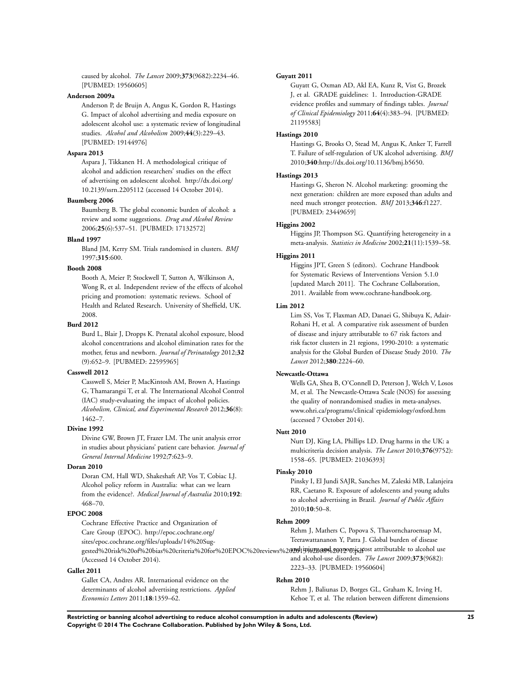caused by alcohol. *The Lancet* 2009;**373**(9682):2234–46. [PUBMED: 19560605]

#### **Anderson 2009a**

Anderson P, de Bruijn A, Angus K, Gordon R, Hastings G. Impact of alcohol advertising and media exposure on adolescent alcohol use: a systematic review of longitudinal studies. *Alcohol and Alcoholism* 2009;**44**(3):229–43. [PUBMED: 19144976]

#### **Aspara 2013**

Aspara J, Tikkanen H. A methodological critique of alcohol and addiction researchers' studies on the effect of advertising on adolescent alcohol. http://dx.doi.org/ 10.2139/ssrn.2205112 (accessed 14 October 2014).

## **Baumberg 2006**

Baumberg B. The global economic burden of alcohol: a review and some suggestions. *Drug and Alcohol Review* 2006;**25**(6):537–51. [PUBMED: 17132572]

#### **Bland 1997**

Bland JM, Kerry SM. Trials randomised in clusters. *BMJ* 1997;**315**:600.

# **Booth 2008**

Booth A, Meier P, Stockwell T, Sutton A, Wilkinson A, Wong R, et al. Independent review of the effects of alcohol pricing and promotion: systematic reviews. School of Health and Related Research. University of Sheffield, UK. 2008.

#### **Burd 2012**

Burd L, Blair J, Dropps K. Prenatal alcohol exposure, blood alcohol concentrations and alcohol elimination rates for the mother, fetus and newborn. *Journal of Perinatology* 2012;**32** (9):652–9. [PUBMED: 22595965]

#### **Casswell 2012**

Casswell S, Meier P, MacKintosh AM, Brown A, Hastings G, Thamarangsi T, et al. The International Alcohol Control (IAC) study-evaluating the impact of alcohol policies. *Alcoholism, Clinical, and Experimental Research* 2012;**36**(8): 1462–7.

#### **Divine 1992**

Divine GW, Brown JT, Frazer LM. The unit analysis error in studies about physicians' patient care behavior. *Journal of General Internal Medicine* 1992;**7**:623–9.

#### **Doran 2010**

Doran CM, Hall WD, Shakeshaft AP, Vos T, Cobiac LJ. Alcohol policy reform in Australia: what can we learn from the evidence?. *Medical Journal of Australia* 2010;**192**: 468–70.

# **EPOC 2008**

Cochrane Effective Practice and Organization of Care Group (EPOC). http://epoc.cochrane.org/ sites/epoc.cochrane.org/files/uploads/14%20Sug-(Accessed 14 October 2014).

#### **Gallet 2011**

Gallet CA, Andres AR. International evidence on the determinants of alcohol advertising restrictions. *Applied Economics Letters* 2011;**18**:1359–62.

#### **Guyatt 2011**

Guyatt G, Oxman AD, Akl EA, Kunz R, Vist G, Brozek J, et al. GRADE guidelines: 1. Introduction-GRADE evidence profiles and summary of findings tables. *Journal of Clinical Epidemiology* 2011;**64**(4):383–94. [PUBMED: 21195583]

## **Hastings 2010**

Hastings G, Brooks O, Stead M, Angus K, Anker T, Farrell T. Failure of self-regulation of UK alcohol advertising. *BMJ* 2010;**340**:http://dx.doi.org/10.1136/bmj.b5650.

#### **Hastings 2013**

Hastings G, Sheron N. Alcohol marketing: grooming the next generation: children are more exposed than adults and need much stronger protection. *BMJ* 2013;**346**:f1227. [PUBMED: 23449659]

#### **Higgins 2002**

Higgins JP, Thompson SG. Quantifying heterogeneity in a meta-analysis. *Statistics in Medicine* 2002;**21**(11):1539–58.

#### **Higgins 2011**

Higgins JPT, Green S (editors). Cochrane Handbook for Systematic Reviews of Interventions Version 5.1.0 [updated March 2011]. The Cochrane Collaboration, 2011. Available from www.cochrane-handbook.org.

#### **Lim 2012**

Lim SS, Vos T, Flaxman AD, Danaei G, Shibuya K, Adair-Rohani H, et al. A comparative risk assessment of burden of disease and injury attributable to 67 risk factors and risk factor clusters in 21 regions, 1990-2010: a systematic analysis for the Global Burden of Disease Study 2010. *The Lancet* 2012;**380**:2224–60.

#### **Newcastle-Ottawa**

Wells GA, Shea B, O'Connell D, Peterson J, Welch V, Losos M, et al. The Newcastle-Ottawa Scale (NOS) for assessing the quality of nonrandomised studies in meta-analyses. www.ohri.ca/programs/clinical˙epidemiology/oxford.htm (accessed 7 October 2014).

#### **Nutt 2010**

Nutt DJ, King LA, Phillips LD. Drug harms in the UK: a multicriteria decision analysis. *The Lancet* 2010;**376**(9752): 1558–65. [PUBMED: 21036393]

#### **Pinsky 2010**

Pinsky I, El Jundi SAJR, Sanches M, Zaleski MB, Lalanjeira RR, Caetano R. Exposure of adolescents and young adults to alcohol advertising in Brazil. *Journal of Public Affairs* 2010;**10**:50–8.

#### **Rehm 2009**

Rehm J, Mathers C, Popova S, Thavorncharoensap M, Teerawattananon Y, Patra J. Global burden of disease

gested%20risk%20of%20bias%20criteria%20for%20EPOC%20reviews%2**020lj5yiy2p03%lj5yiy2fo**st attributable to alcohol use and alcohol-use disorders. *The Lancet* 2009;**373**(9682): 2223–33. [PUBMED: 19560604]

#### **Rehm 2010**

Rehm J, Baliunas D, Borges GL, Graham K, Irving H, Kehoe T, et al. The relation between different dimensions

**Restricting or banning alcohol advertising to reduce alcohol consumption in adults and adolescents (Review) 25 Copyright © 2014 The Cochrane Collaboration. Published by John Wiley & Sons, Ltd.**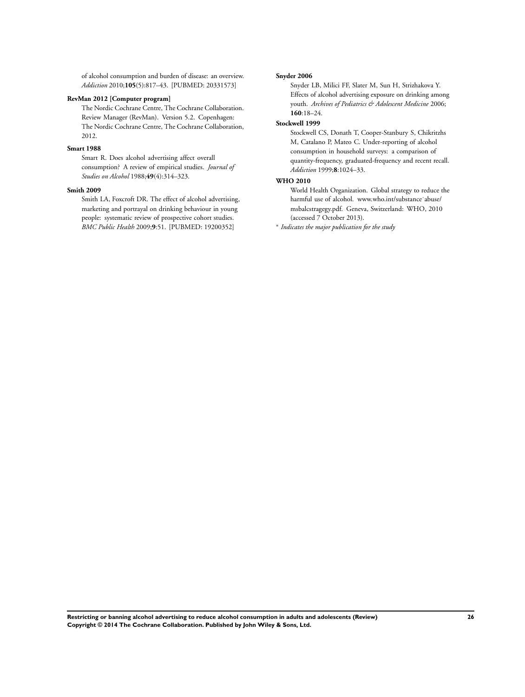of alcohol consumption and burden of disease: an overview. *Addiction* 2010;**105**(5):817–43. [PUBMED: 20331573]

#### **RevMan 2012 [Computer program]**

The Nordic Cochrane Centre, The Cochrane Collaboration. Review Manager (RevMan). Version 5.2. Copenhagen: The Nordic Cochrane Centre, The Cochrane Collaboration, 2012.

# **Smart 1988**

Smart R. Does alcohol advertising affect overall consumption? A review of empirical studies. *Journal of Studies on Alcohol* 1988;**49**(4):314–323.

# **Smith 2009**

Smith LA, Foxcroft DR. The effect of alcohol advertising, marketing and portrayal on drinking behaviour in young people: systematic review of prospective cohort studies. *BMC Public Health* 2009;**9**:51. [PUBMED: 19200352]

#### **Snyder 2006**

Snyder LB, Milici FF, Slater M, Sun H, Strizhakova Y. Effects of alcohol advertising exposure on drinking among youth. *Archives of Pediatrics & Adolescent Medicine* 2006; **160**:18–24.

#### **Stockwell 1999**

Stockwell CS, Donath T, Cooper-Stanbury S, Chikritzhs M, Catalano P, Mateo C. Under-reporting of alcohol consumption in household surveys: a comparison of quantity-frequency, graduated-frequency and recent recall. *Addiction* 1999;**8**:1024–33.

# **WHO 2010**

World Health Organization. Global strategy to reduce the harmful use of alcohol. www.who.int/substance˙abuse/ msbalcstragegy.pdf. Geneva, Switzerland: WHO, 2010 (accessed 7 October 2013).

∗ *Indicates the major publication for the study*

**Restricting or banning alcohol advertising to reduce alcohol consumption in adults and adolescents (Review) 26 Copyright © 2014 The Cochrane Collaboration. Published by John Wiley & Sons, Ltd.**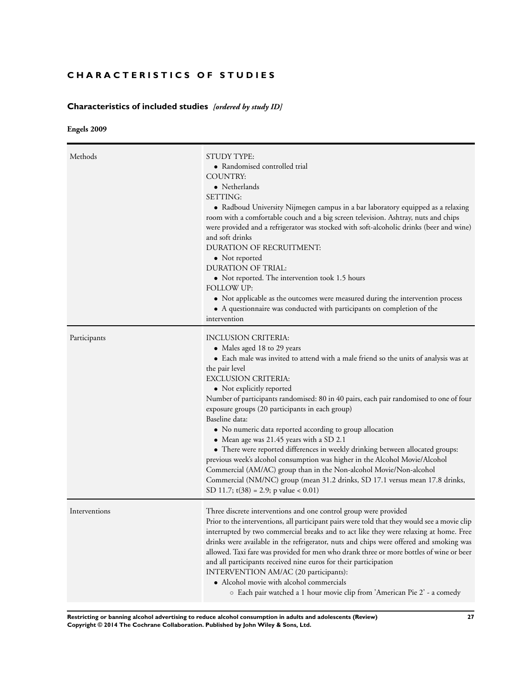# <span id="page-28-0"></span>**CHARACTERISTICS OF STUDIES**

# **Characteristics of included studies** *[ordered by study ID]*

**Engels 2009**

| Methods       | STUDY TYPE:<br>• Randomised controlled trial<br>COUNTRY:<br>• Netherlands<br><b>SETTING:</b><br>• Radboud University Nijmegen campus in a bar laboratory equipped as a relaxing<br>room with a comfortable couch and a big screen television. Ashtray, nuts and chips<br>were provided and a refrigerator was stocked with soft-alcoholic drinks (beer and wine)<br>and soft drinks<br>DURATION OF RECRUITMENT:<br>• Not reported<br>DURATION OF TRIAL:<br>• Not reported. The intervention took 1.5 hours<br>FOLLOW UP:<br>• Not applicable as the outcomes were measured during the intervention process<br>• A questionnaire was conducted with participants on completion of the<br>intervention                                                                                                                                                              |
|---------------|-------------------------------------------------------------------------------------------------------------------------------------------------------------------------------------------------------------------------------------------------------------------------------------------------------------------------------------------------------------------------------------------------------------------------------------------------------------------------------------------------------------------------------------------------------------------------------------------------------------------------------------------------------------------------------------------------------------------------------------------------------------------------------------------------------------------------------------------------------------------|
| Participants  | INCLUSION CRITERIA:<br>• Males aged 18 to 29 years<br>• Each male was invited to attend with a male friend so the units of analysis was at<br>the pair level<br><b>EXCLUSION CRITERIA:</b><br>• Not explicitly reported<br>Number of participants randomised: 80 in 40 pairs, each pair randomised to one of four<br>exposure groups (20 participants in each group)<br>Baseline data:<br>• No numeric data reported according to group allocation<br>• Mean age was 21.45 years with a SD 2.1<br>• There were reported differences in weekly drinking between allocated groups:<br>previous week's alcohol consumption was higher in the Alcohol Movie/Alcohol<br>Commercial (AM/AC) group than in the Non-alcohol Movie/Non-alcohol<br>Commercial (NM/NC) group (mean 31.2 drinks, SD 17.1 versus mean 17.8 drinks,<br>SD 11.7; $t(38) = 2.9$ ; p value < 0.01) |
| Interventions | Three discrete interventions and one control group were provided<br>Prior to the interventions, all participant pairs were told that they would see a movie clip<br>interrupted by two commercial breaks and to act like they were relaxing at home. Free<br>drinks were available in the refrigerator, nuts and chips were offered and smoking was<br>allowed. Taxi fare was provided for men who drank three or more bottles of wine or beer<br>and all participants received nine euros for their participation<br>INTERVENTION AM/AC (20 participants):<br>• Alcohol movie with alcohol commercials<br>○ Each pair watched a 1 hour movie clip from 'American Pie 2' - a comedy                                                                                                                                                                               |

**Restricting or banning alcohol advertising to reduce alcohol consumption in adults and adolescents (Review) 27 Copyright © 2014 The Cochrane Collaboration. Published by John Wiley & Sons, Ltd.**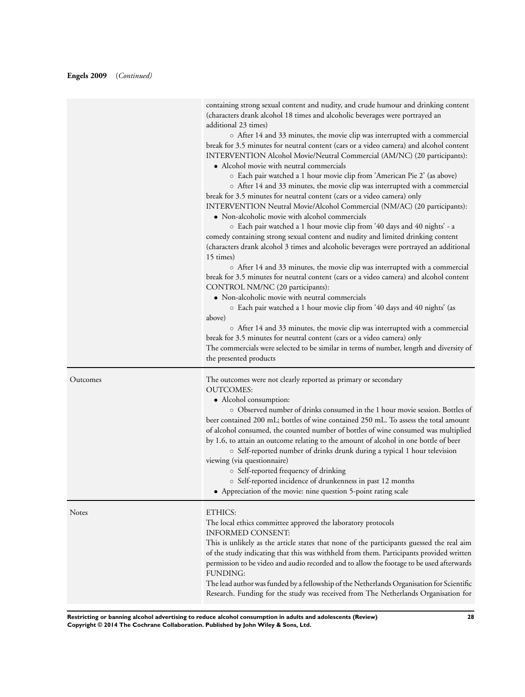|          | containing strong sexual content and nudity, and crude humour and drinking content<br>(characters drank alcohol 18 times and alcoholic beverages were portrayed an<br>additional 23 times)<br>○ After 14 and 33 minutes, the movie clip was interrupted with a commercial<br>break for 3.5 minutes for neutral content (cars or a video camera) and alcohol content<br>INTERVENTION Alcohol Movie/Neutral Commercial (AM/NC) (20 participants):<br>• Alcohol movie with neutral commercials<br>o Each pair watched a 1 hour movie clip from 'American Pie 2' (as above)<br>o After 14 and 33 minutes, the movie clip was interrupted with a commercial<br>break for 3.5 minutes for neutral content (cars or a video camera) only<br>INTERVENTION Neutral Movie/Alcohol Commercial (NM/AC) (20 participants):<br>• Non-alcoholic movie with alcohol commercials<br>○ Each pair watched a 1 hour movie clip from '40 days and 40 nights' - a<br>comedy containing strong sexual content and nudity and limited drinking content<br>(characters drank alcohol 3 times and alcoholic beverages were portrayed an additional<br>15 times)<br>$\circ$ After 14 and 33 minutes, the movie clip was interrupted with a commercial<br>break for 3.5 minutes for neutral content (cars or a video camera) and alcohol content<br>CONTROL NM/NC (20 participants):<br>• Non-alcoholic movie with neutral commercials<br>o Each pair watched a 1 hour movie clip from '40 days and 40 nights' (as<br>above)<br>o After 14 and 33 minutes, the movie clip was interrupted with a commercial<br>break for 3.5 minutes for neutral content (cars or a video camera) only<br>The commercials were selected to be similar in terms of number, length and diversity of<br>the presented products |
|----------|---------------------------------------------------------------------------------------------------------------------------------------------------------------------------------------------------------------------------------------------------------------------------------------------------------------------------------------------------------------------------------------------------------------------------------------------------------------------------------------------------------------------------------------------------------------------------------------------------------------------------------------------------------------------------------------------------------------------------------------------------------------------------------------------------------------------------------------------------------------------------------------------------------------------------------------------------------------------------------------------------------------------------------------------------------------------------------------------------------------------------------------------------------------------------------------------------------------------------------------------------------------------------------------------------------------------------------------------------------------------------------------------------------------------------------------------------------------------------------------------------------------------------------------------------------------------------------------------------------------------------------------------------------------------------------------------------------------------------------------------------------------------------------|
| Outcomes | The outcomes were not clearly reported as primary or secondary<br><b>OUTCOMES:</b><br>• Alcohol consumption:<br>○ Observed number of drinks consumed in the 1 hour movie session. Bottles of<br>beer contained 200 mL; bottles of wine contained 250 mL. To assess the total amount<br>of alcohol consumed, the counted number of bottles of wine consumed was multiplied<br>by 1.6, to attain an outcome relating to the amount of alcohol in one bottle of beer<br>○ Self-reported number of drinks drunk during a typical 1 hour television<br>viewing (via questionnaire)<br>o Self-reported frequency of drinking<br>○ Self-reported incidence of drunkenness in past 12 months<br>• Appreciation of the movie: nine question 5-point rating scale                                                                                                                                                                                                                                                                                                                                                                                                                                                                                                                                                                                                                                                                                                                                                                                                                                                                                                                                                                                                                         |
| Notes    | ETHICS:<br>The local ethics committee approved the laboratory protocols<br><b>INFORMED CONSENT:</b><br>This is unlikely as the article states that none of the participants guessed the real aim<br>of the study indicating that this was withheld from them. Participants provided written<br>permission to be video and audio recorded and to allow the footage to be used afterwards<br>FUNDING:<br>The lead author was funded by a fellowship of the Netherlands Organisation for Scientific<br>Research. Funding for the study was received from The Netherlands Organisation for                                                                                                                                                                                                                                                                                                                                                                                                                                                                                                                                                                                                                                                                                                                                                                                                                                                                                                                                                                                                                                                                                                                                                                                          |

**Restricting or banning alcohol advertising to reduce alcohol consumption in adults and adolescents (Review) 28 Copyright © 2014 The Cochrane Collaboration. Published by John Wiley & Sons, Ltd.**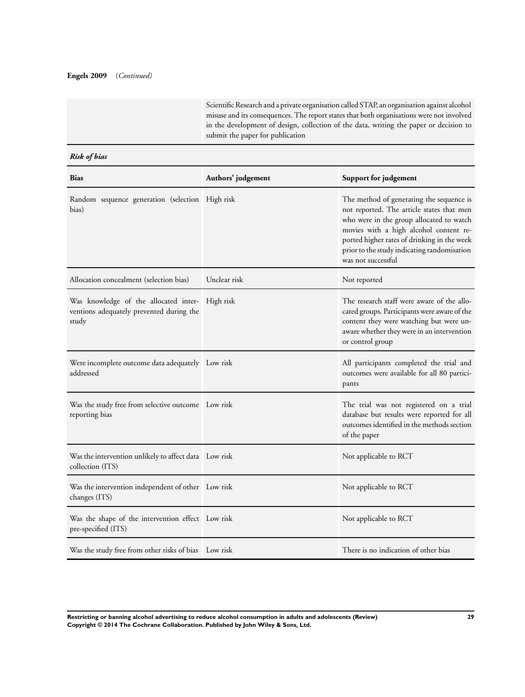| Scientific Research and a private organisation called STAP, an organisation against alcohol |
|---------------------------------------------------------------------------------------------|
| misuse and its consequences. The report states that both organisations were not involved    |
| in the development of design, collection of the data, writing the paper or decision to      |
| submit the paper for publication                                                            |

# *Risk of bias*

| <b>Bias</b>                                                                                          | Authors' judgement | Support for judgement                                                                                                                                                                                                                                                                           |
|------------------------------------------------------------------------------------------------------|--------------------|-------------------------------------------------------------------------------------------------------------------------------------------------------------------------------------------------------------------------------------------------------------------------------------------------|
| Random sequence generation (selection High risk<br>bias)                                             |                    | The method of generating the sequence is<br>not reported. The article states that men<br>who were in the group allocated to watch<br>movies with a high alcohol content re-<br>ported higher rates of drinking in the week<br>prior to the study indicating randomisation<br>was not successful |
| Allocation concealment (selection bias)                                                              | Unclear risk       | Not reported                                                                                                                                                                                                                                                                                    |
| Was knowledge of the allocated inter- High risk<br>ventions adequately prevented during the<br>study |                    | The research staff were aware of the allo-<br>cated groups. Participants were aware of the<br>content they were watching but were un-<br>aware whether they were in an intervention<br>or control group                                                                                         |
| Were incomplete outcome data adequately Low risk<br>addressed                                        |                    | All participants completed the trial and<br>outcomes were available for all 80 partici-<br>pants                                                                                                                                                                                                |
| Was the study free from selective outcome Low risk<br>reporting bias                                 |                    | The trial was not registered on a trial<br>database but results were reported for all<br>outcomes identified in the methods section<br>of the paper                                                                                                                                             |
| Was the intervention unlikely to affect data Low risk<br>collection (ITS)                            |                    | Not applicable to RCT                                                                                                                                                                                                                                                                           |
| Was the intervention independent of other Low risk<br>changes (ITS)                                  |                    | Not applicable to RCT                                                                                                                                                                                                                                                                           |
| Was the shape of the intervention effect Low risk<br>pre-specified (ITS)                             |                    | Not applicable to RCT                                                                                                                                                                                                                                                                           |
| Was the study free from other risks of bias Low risk                                                 |                    | There is no indication of other bias                                                                                                                                                                                                                                                            |

**Restricting or banning alcohol advertising to reduce alcohol consumption in adults and adolescents (Review) 29 Copyright © 2014 The Cochrane Collaboration. Published by John Wiley & Sons, Ltd.**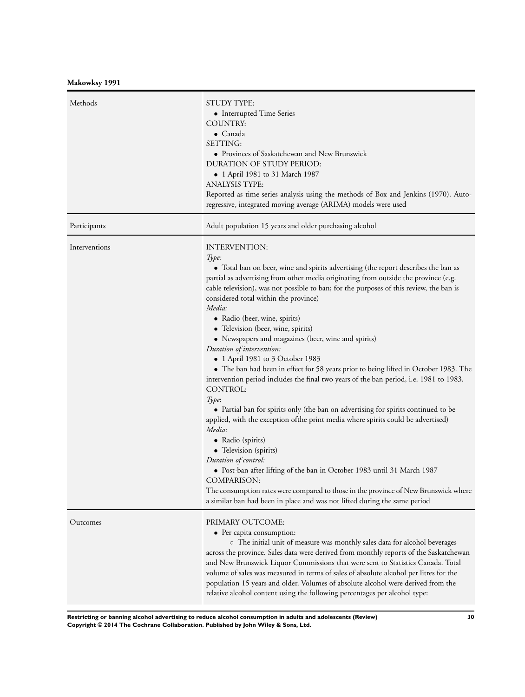# **Makowksy 1991**

| Methods       | STUDY TYPE:<br>• Interrupted Time Series<br>COUNTRY:<br>$\bullet$ Canada<br>SETTING:<br>• Provinces of Saskatchewan and New Brunswick<br>DURATION OF STUDY PERIOD:<br>• 1 April 1981 to 31 March 1987<br><b>ANALYSIS TYPE:</b><br>Reported as time series analysis using the methods of Box and Jenkins (1970). Auto-<br>regressive, integrated moving average (ARIMA) models were used                                                                                                                                                                                                                                                                                                                                                                                                                                                                                                                                                                                                                                                                                                                                                                                                                                                                                                  |
|---------------|------------------------------------------------------------------------------------------------------------------------------------------------------------------------------------------------------------------------------------------------------------------------------------------------------------------------------------------------------------------------------------------------------------------------------------------------------------------------------------------------------------------------------------------------------------------------------------------------------------------------------------------------------------------------------------------------------------------------------------------------------------------------------------------------------------------------------------------------------------------------------------------------------------------------------------------------------------------------------------------------------------------------------------------------------------------------------------------------------------------------------------------------------------------------------------------------------------------------------------------------------------------------------------------|
| Participants  | Adult population 15 years and older purchasing alcohol                                                                                                                                                                                                                                                                                                                                                                                                                                                                                                                                                                                                                                                                                                                                                                                                                                                                                                                                                                                                                                                                                                                                                                                                                                   |
| Interventions | <b>INTERVENTION:</b><br>Type:<br>• Total ban on beer, wine and spirits advertising (the report describes the ban as<br>partial as advertising from other media originating from outside the province (e.g.<br>cable television), was not possible to ban; for the purposes of this review, the ban is<br>considered total within the province)<br>Media:<br>• Radio (beer, wine, spirits)<br>• Television (beer, wine, spirits)<br>• Newspapers and magazines (beer, wine and spirits)<br>Duration of intervention:<br>• 1 April 1981 to 3 October 1983<br>• The ban had been in effect for 58 years prior to being lifted in October 1983. The<br>intervention period includes the final two years of the ban period, i.e. 1981 to 1983.<br>CONTROL:<br>Type:<br>• Partial ban for spirits only (the ban on advertising for spirits continued to be<br>applied, with the exception of the print media where spirits could be advertised)<br>Media:<br>• Radio (spirits)<br>• Television (spirits)<br>Duration of control:<br>• Post-ban after lifting of the ban in October 1983 until 31 March 1987<br>COMPARISON:<br>The consumption rates were compared to those in the province of New Brunswick where<br>a similar ban had been in place and was not lifted during the same period |
| Outcomes      | PRIMARY OUTCOME:<br>• Per capita consumption:<br>o The initial unit of measure was monthly sales data for alcohol beverages<br>across the province. Sales data were derived from monthly reports of the Saskatchewan<br>and New Brunswick Liquor Commissions that were sent to Statistics Canada. Total<br>volume of sales was measured in terms of sales of absolute alcohol per litres for the<br>population 15 years and older. Volumes of absolute alcohol were derived from the<br>relative alcohol content using the following percentages per alcohol type:                                                                                                                                                                                                                                                                                                                                                                                                                                                                                                                                                                                                                                                                                                                       |

**Restricting or banning alcohol advertising to reduce alcohol consumption in adults and adolescents (Review) 30 Copyright © 2014 The Cochrane Collaboration. Published by John Wiley & Sons, Ltd.**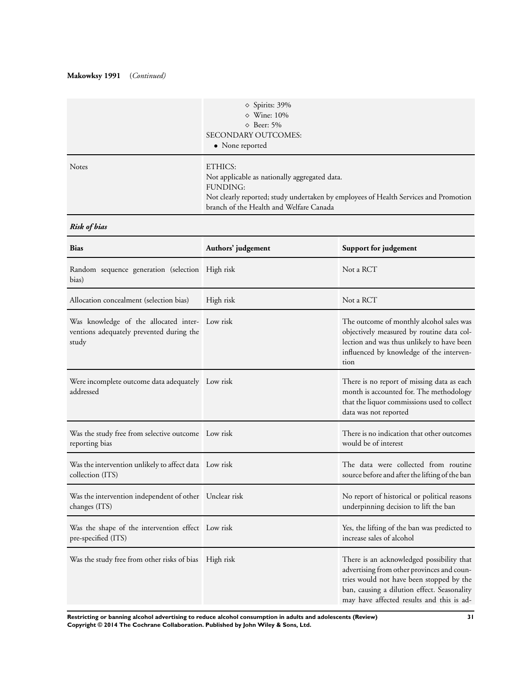# **Makowksy 1991** (*Continued)*

|              | $\diamond$ Spirits: 39%<br>$\Diamond$ Wine: 10%<br>$\Diamond$ Beer: 5%<br>SECONDARY OUTCOMES:<br>• None reported                                                                                               |
|--------------|----------------------------------------------------------------------------------------------------------------------------------------------------------------------------------------------------------------|
| <b>Notes</b> | ETHICS:<br>Not applicable as nationally aggregated data.<br><b>FUNDING:</b><br>Not clearly reported; study undertaken by employees of Health Services and Promotion<br>branch of the Health and Welfare Canada |

# *Risk of bias*

| <b>Bias</b>                                                                                         | Authors' judgement | Support for judgement                                                                                                                                                                                                           |
|-----------------------------------------------------------------------------------------------------|--------------------|---------------------------------------------------------------------------------------------------------------------------------------------------------------------------------------------------------------------------------|
| Random sequence generation (selection High risk<br>bias)                                            |                    | Not a RCT                                                                                                                                                                                                                       |
| Allocation concealment (selection bias)                                                             | High risk          | Not a RCT                                                                                                                                                                                                                       |
| Was knowledge of the allocated inter- Low risk<br>ventions adequately prevented during the<br>study |                    | The outcome of monthly alcohol sales was<br>objectively measured by routine data col-<br>lection and was thus unlikely to have been<br>influenced by knowledge of the interven-<br>tion                                         |
| Were incomplete outcome data adequately Low risk<br>addressed                                       |                    | There is no report of missing data as each<br>month is accounted for. The methodology<br>that the liquor commissions used to collect<br>data was not reported                                                                   |
| Was the study free from selective outcome Low risk<br>reporting bias                                |                    | There is no indication that other outcomes<br>would be of interest                                                                                                                                                              |
| Was the intervention unlikely to affect data Low risk<br>collection (ITS)                           |                    | The data were collected from routine<br>source before and after the lifting of the ban                                                                                                                                          |
| Was the intervention independent of other Unclear risk<br>changes (ITS)                             |                    | No report of historical or political reasons<br>underpinning decision to lift the ban                                                                                                                                           |
| Was the shape of the intervention effect Low risk<br>pre-specified (ITS)                            |                    | Yes, the lifting of the ban was predicted to<br>increase sales of alcohol                                                                                                                                                       |
| Was the study free from other risks of bias High risk                                               |                    | There is an acknowledged possibility that<br>advertising from other provinces and coun-<br>tries would not have been stopped by the<br>ban, causing a dilution effect. Seasonality<br>may have affected results and this is ad- |

**Restricting or banning alcohol advertising to reduce alcohol consumption in adults and adolescents (Review) 31 Copyright © 2014 The Cochrane Collaboration. Published by John Wiley & Sons, Ltd.**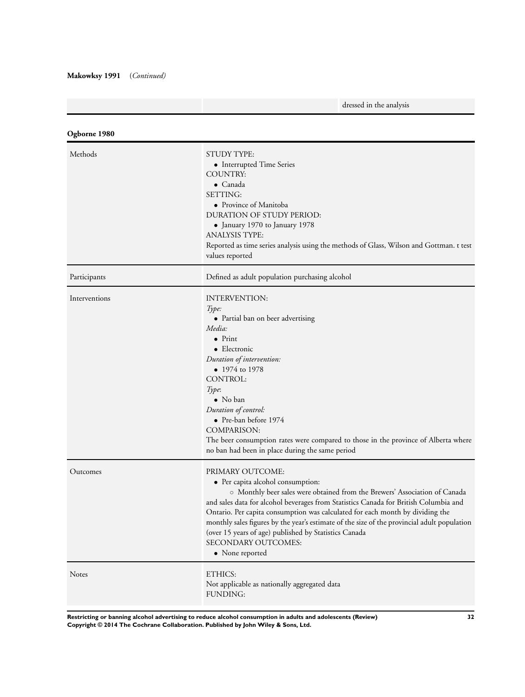dressed in the analysis

| Ogborne 1980  |                                                                                                                                                                                                                                                                                                                                                                                                                                                                                                                |
|---------------|----------------------------------------------------------------------------------------------------------------------------------------------------------------------------------------------------------------------------------------------------------------------------------------------------------------------------------------------------------------------------------------------------------------------------------------------------------------------------------------------------------------|
| Methods       | STUDY TYPE:<br>• Interrupted Time Series<br><b>COUNTRY:</b><br>$\bullet$ Canada<br>SETTING:<br>• Province of Manitoba<br>DURATION OF STUDY PERIOD:<br>• January 1970 to January 1978<br><b>ANALYSIS TYPE:</b><br>Reported as time series analysis using the methods of Glass, Wilson and Gottman. t test<br>values reported                                                                                                                                                                                    |
| Participants  | Defined as adult population purchasing alcohol                                                                                                                                                                                                                                                                                                                                                                                                                                                                 |
| Interventions | INTERVENTION:<br>Type:<br>• Partial ban on beer advertising<br>Media:<br>$\bullet$ Print<br>• Electronic<br>Duration of intervention:<br>• 1974 to 1978<br>CONTROL:<br>Type:<br>$\bullet$ No ban<br>Duration of control:<br>• Pre-ban before 1974<br><b>COMPARISON:</b><br>The beer consumption rates were compared to those in the province of Alberta where<br>no ban had been in place during the same period                                                                                               |
| Outcomes      | PRIMARY OUTCOME:<br>• Per capita alcohol consumption:<br>o Monthly beer sales were obtained from the Brewers' Association of Canada<br>and sales data for alcohol beverages from Statistics Canada for British Columbia and<br>Ontario. Per capita consumption was calculated for each month by dividing the<br>monthly sales figures by the year's estimate of the size of the provincial adult population<br>(over 15 years of age) published by Statistics Canada<br>SECONDARY OUTCOMES:<br>• None reported |
| Notes         | ETHICS:<br>Not applicable as nationally aggregated data<br>FUNDING:                                                                                                                                                                                                                                                                                                                                                                                                                                            |

**Restricting or banning alcohol advertising to reduce alcohol consumption in adults and adolescents (Review) 32 Copyright © 2014 The Cochrane Collaboration. Published by John Wiley & Sons, Ltd.**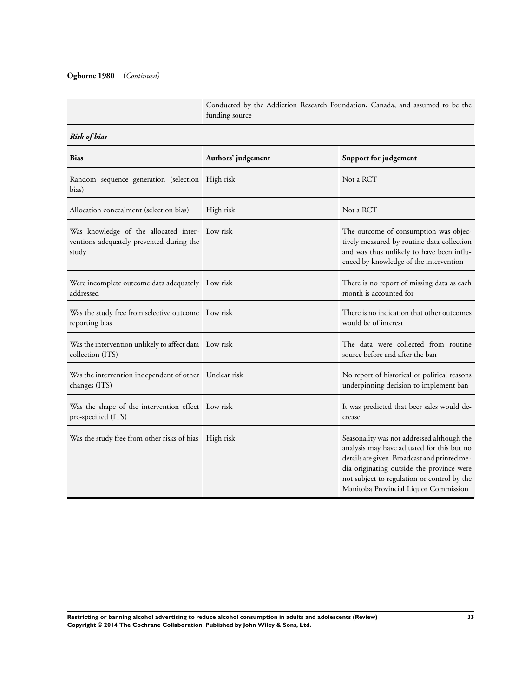Conducted by the Addiction Research Foundation, Canada, and assumed to be the funding source

# *Risk of bias*

| <b>Bias</b>                                                                                         | Authors' judgement | Support for judgement                                                                                                                                                                                                                                                         |  |
|-----------------------------------------------------------------------------------------------------|--------------------|-------------------------------------------------------------------------------------------------------------------------------------------------------------------------------------------------------------------------------------------------------------------------------|--|
| Random sequence generation (selection High risk<br>bias)                                            |                    | Not a RCT                                                                                                                                                                                                                                                                     |  |
| Allocation concealment (selection bias)                                                             | High risk          | Not a RCT                                                                                                                                                                                                                                                                     |  |
| Was knowledge of the allocated inter- Low risk<br>ventions adequately prevented during the<br>study |                    | The outcome of consumption was objec-<br>tively measured by routine data collection<br>and was thus unlikely to have been influ-<br>enced by knowledge of the intervention                                                                                                    |  |
| Were incomplete outcome data adequately Low risk<br>addressed                                       |                    | There is no report of missing data as each<br>month is accounted for                                                                                                                                                                                                          |  |
| Was the study free from selective outcome Low risk<br>reporting bias                                |                    | There is no indication that other outcomes<br>would be of interest                                                                                                                                                                                                            |  |
| Was the intervention unlikely to affect data Low risk<br>collection (ITS)                           |                    | The data were collected from routine<br>source before and after the ban                                                                                                                                                                                                       |  |
| Was the intervention independent of other Unclear risk<br>changes (ITS)                             |                    | No report of historical or political reasons<br>underpinning decision to implement ban                                                                                                                                                                                        |  |
| Was the shape of the intervention effect Low risk<br>pre-specified (ITS)                            |                    | It was predicted that beer sales would de-<br>crease                                                                                                                                                                                                                          |  |
| Was the study free from other risks of bias High risk                                               |                    | Seasonality was not addressed although the<br>analysis may have adjusted for this but no<br>details are given. Broadcast and printed me-<br>dia originating outside the province were<br>not subject to regulation or control by the<br>Manitoba Provincial Liquor Commission |  |

**Restricting or banning alcohol advertising to reduce alcohol consumption in adults and adolescents (Review) 33 Copyright © 2014 The Cochrane Collaboration. Published by John Wiley & Sons, Ltd.**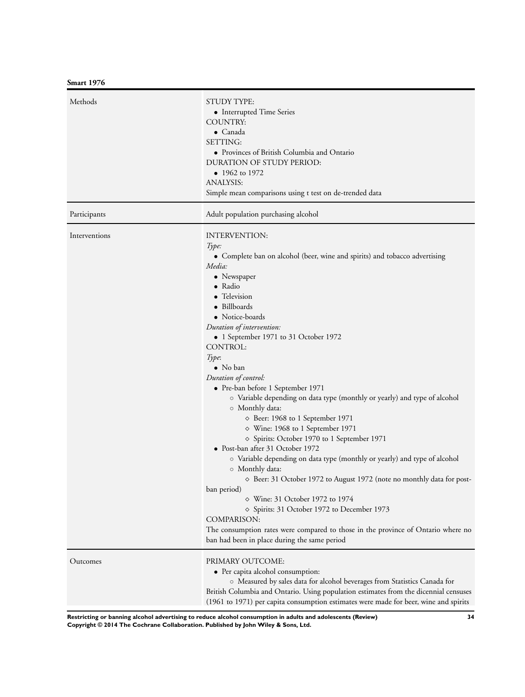| Methods       | <b>STUDY TYPE:</b><br>• Interrupted Time Series<br><b>COUNTRY:</b><br>$\bullet$ Canada<br>SETTING:<br>• Provinces of British Columbia and Ontario<br>DURATION OF STUDY PERIOD:<br>• 1962 to 1972<br>ANALYSIS:<br>Simple mean comparisons using t test on de-trended data                                                                                                                                                                                                                                                                                                                                                                                                                                                                                                                                                                                                                                                                                                                                                                                                         |
|---------------|----------------------------------------------------------------------------------------------------------------------------------------------------------------------------------------------------------------------------------------------------------------------------------------------------------------------------------------------------------------------------------------------------------------------------------------------------------------------------------------------------------------------------------------------------------------------------------------------------------------------------------------------------------------------------------------------------------------------------------------------------------------------------------------------------------------------------------------------------------------------------------------------------------------------------------------------------------------------------------------------------------------------------------------------------------------------------------|
| Participants  | Adult population purchasing alcohol                                                                                                                                                                                                                                                                                                                                                                                                                                                                                                                                                                                                                                                                                                                                                                                                                                                                                                                                                                                                                                              |
| Interventions | <b>INTERVENTION:</b><br>Type:<br>• Complete ban on alcohol (beer, wine and spirits) and tobacco advertising<br>Media:<br>• Newspaper<br>• Radio<br>• Television<br>· Billboards<br>• Notice-boards<br>Duration of intervention:<br>• 1 September 1971 to 31 October 1972<br>CONTROL:<br>Type:<br>$\bullet$ No ban<br>Duration of control:<br>• Pre-ban before 1 September 1971<br>o Variable depending on data type (monthly or yearly) and type of alcohol<br>○ Monthly data:<br>◇ Beer: 1968 to 1 September 1971<br>◇ Wine: 1968 to 1 September 1971<br>◇ Spirits: October 1970 to 1 September 1971<br>• Post-ban after 31 October 1972<br>o Variable depending on data type (monthly or yearly) and type of alcohol<br>○ Monthly data:<br>◇ Beer: 31 October 1972 to August 1972 (note no monthly data for post-<br>ban period)<br>$\diamond$ Wine: 31 October 1972 to 1974<br>◇ Spirits: 31 October 1972 to December 1973<br>COMPARISON:<br>The consumption rates were compared to those in the province of Ontario where no<br>ban had been in place during the same period |
| Outcomes      | PRIMARY OUTCOME:<br>• Per capita alcohol consumption:<br>o Measured by sales data for alcohol beverages from Statistics Canada for<br>British Columbia and Ontario. Using population estimates from the dicennial censuses<br>(1961 to 1971) per capita consumption estimates were made for beer, wine and spirits                                                                                                                                                                                                                                                                                                                                                                                                                                                                                                                                                                                                                                                                                                                                                               |

**Restricting or banning alcohol advertising to reduce alcohol consumption in adults and adolescents (Review) 34 Copyright © 2014 The Cochrane Collaboration. Published by John Wiley & Sons, Ltd.**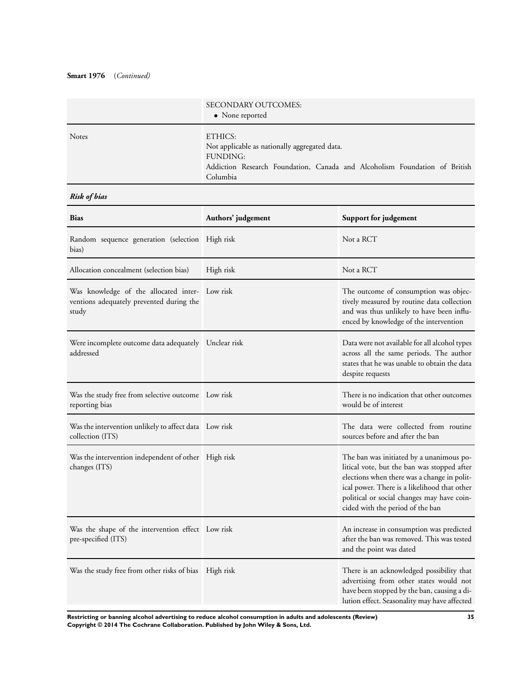|                                                                                                     | SECONDARY OUTCOMES:<br>• None reported                                                                                                                                |                                                                                                                                                                                                                                                                          |  |  |  |  |  |
|-----------------------------------------------------------------------------------------------------|-----------------------------------------------------------------------------------------------------------------------------------------------------------------------|--------------------------------------------------------------------------------------------------------------------------------------------------------------------------------------------------------------------------------------------------------------------------|--|--|--|--|--|
| Notes                                                                                               | ETHICS:<br>Not applicable as nationally aggregated data.<br><b>FUNDING:</b><br>Addiction Research Foundation, Canada and Alcoholism Foundation of British<br>Columbia |                                                                                                                                                                                                                                                                          |  |  |  |  |  |
| <b>Risk of bias</b>                                                                                 |                                                                                                                                                                       |                                                                                                                                                                                                                                                                          |  |  |  |  |  |
| <b>Bias</b>                                                                                         | Authors' judgement                                                                                                                                                    | Support for judgement                                                                                                                                                                                                                                                    |  |  |  |  |  |
| Random sequence generation (selection High risk<br>bias)                                            |                                                                                                                                                                       | Not a RCT                                                                                                                                                                                                                                                                |  |  |  |  |  |
| Allocation concealment (selection bias)                                                             | High risk                                                                                                                                                             | Not a RCT                                                                                                                                                                                                                                                                |  |  |  |  |  |
| Was knowledge of the allocated inter- Low risk<br>ventions adequately prevented during the<br>study |                                                                                                                                                                       | The outcome of consumption was objec-<br>tively measured by routine data collection<br>and was thus unlikely to have been influ-<br>enced by knowledge of the intervention                                                                                               |  |  |  |  |  |
| Were incomplete outcome data adequately Unclear risk<br>addressed                                   |                                                                                                                                                                       | Data were not available for all alcohol types<br>across all the same periods. The author<br>states that he was unable to obtain the data<br>despite requests                                                                                                             |  |  |  |  |  |
| Was the study free from selective outcome Low risk<br>reporting bias                                |                                                                                                                                                                       | There is no indication that other outcomes<br>would be of interest                                                                                                                                                                                                       |  |  |  |  |  |
| Was the intervention unlikely to affect data Low risk<br>collection (ITS)                           |                                                                                                                                                                       | The data were collected from routine<br>sources before and after the ban                                                                                                                                                                                                 |  |  |  |  |  |
| Was the intervention independent of other High risk<br>changes (ITS)                                |                                                                                                                                                                       | The ban was initiated by a unanimous po-<br>litical vote, but the ban was stopped after<br>elections when there was a change in polit-<br>ical power. There is a likelihood that other<br>political or social changes may have coin-<br>cided with the period of the ban |  |  |  |  |  |
| Was the shape of the intervention effect Low risk<br>pre-specified (ITS)                            |                                                                                                                                                                       | An increase in consumption was predicted<br>after the ban was removed. This was tested<br>and the point was dated                                                                                                                                                        |  |  |  |  |  |
| Was the study free from other risks of bias                                                         | High risk                                                                                                                                                             | There is an acknowledged possibility that<br>advertising from other states would not<br>have been stopped by the ban, causing a di-<br>lution effect. Seasonality may have affected                                                                                      |  |  |  |  |  |

**Restricting or banning alcohol advertising to reduce alcohol consumption in adults and adolescents (Review) 35 Copyright © 2014 The Cochrane Collaboration. Published by John Wiley & Sons, Ltd.**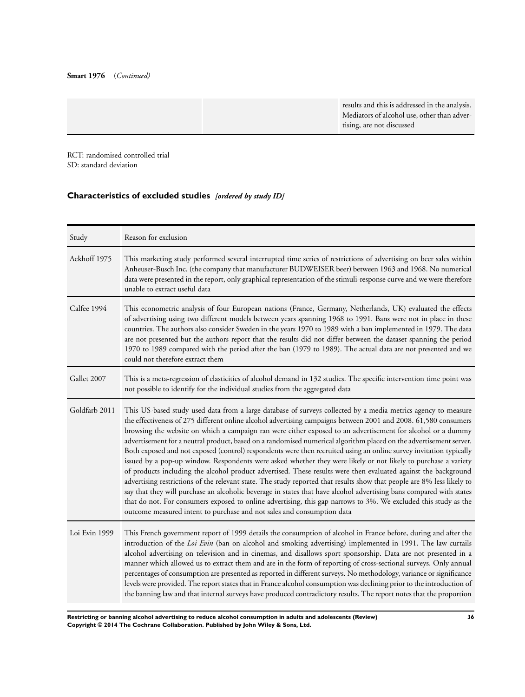results and this is addressed in the analysis. Mediators of alcohol use, other than advertising, are not discussed

<span id="page-37-0"></span>RCT: randomised controlled trial SD: standard deviation

# **Characteristics of excluded studies** *[ordered by study ID]*

| Study         | Reason for exclusion                                                                                                                                                                                                                                                                                                                                                                                                                                                                                                                                                                                                                                                                                                                                                                                                                                                                                                                                                                                                                                                                                                                                                                                                                                                          |
|---------------|-------------------------------------------------------------------------------------------------------------------------------------------------------------------------------------------------------------------------------------------------------------------------------------------------------------------------------------------------------------------------------------------------------------------------------------------------------------------------------------------------------------------------------------------------------------------------------------------------------------------------------------------------------------------------------------------------------------------------------------------------------------------------------------------------------------------------------------------------------------------------------------------------------------------------------------------------------------------------------------------------------------------------------------------------------------------------------------------------------------------------------------------------------------------------------------------------------------------------------------------------------------------------------|
| Ackhoff 1975  | This marketing study performed several interrupted time series of restrictions of advertising on beer sales within<br>Anheuser-Busch Inc. (the company that manufacturer BUDWEISER beer) between 1963 and 1968. No numerical<br>data were presented in the report, only graphical representation of the stimuli-response curve and we were therefore<br>unable to extract useful data                                                                                                                                                                                                                                                                                                                                                                                                                                                                                                                                                                                                                                                                                                                                                                                                                                                                                         |
| Calfee 1994   | This econometric analysis of four European nations (France, Germany, Netherlands, UK) evaluated the effects<br>of advertising using two different models between years spanning 1968 to 1991. Bans were not in place in these<br>countries. The authors also consider Sweden in the years 1970 to 1989 with a ban implemented in 1979. The data<br>are not presented but the authors report that the results did not differ between the dataset spanning the period<br>1970 to 1989 compared with the period after the ban (1979 to 1989). The actual data are not presented and we<br>could not therefore extract them                                                                                                                                                                                                                                                                                                                                                                                                                                                                                                                                                                                                                                                       |
| Gallet 2007   | This is a meta-regression of elasticities of alcohol demand in 132 studies. The specific intervention time point was<br>not possible to identify for the individual studies from the aggregated data                                                                                                                                                                                                                                                                                                                                                                                                                                                                                                                                                                                                                                                                                                                                                                                                                                                                                                                                                                                                                                                                          |
| Goldfarb 2011 | This US-based study used data from a large database of surveys collected by a media metrics agency to measure<br>the effectiveness of 275 different online alcohol advertising campaigns between 2001 and 2008. 61,580 consumers<br>browsing the website on which a campaign ran were either exposed to an advertisement for alcohol or a dummy<br>advertisement for a neutral product, based on a randomised numerical algorithm placed on the advertisement server.<br>Both exposed and not exposed (control) respondents were then recruited using an online survey invitation typically<br>issued by a pop-up window. Respondents were asked whether they were likely or not likely to purchase a variety<br>of products including the alcohol product advertised. These results were then evaluated against the background<br>advertising restrictions of the relevant state. The study reported that results show that people are 8% less likely to<br>say that they will purchase an alcoholic beverage in states that have alcohol advertising bans compared with states<br>that do not. For consumers exposed to online advertising, this gap narrows to 3%. We excluded this study as the<br>outcome measured intent to purchase and not sales and consumption data |
| Loi Evin 1999 | This French government report of 1999 details the consumption of alcohol in France before, during and after the<br>introduction of the Loi Evin (ban on alcohol and smoking advertising) implemented in 1991. The law curtails<br>alcohol advertising on television and in cinemas, and disallows sport sponsorship. Data are not presented in a<br>manner which allowed us to extract them and are in the form of reporting of cross-sectional surveys. Only annual<br>percentages of consumption are presented as reported in different surveys. No methodology, variance or significance<br>levels were provided. The report states that in France alcohol consumption was declining prior to the introduction of<br>the banning law and that internal surveys have produced contradictory results. The report notes that the proportion                                                                                                                                                                                                                                                                                                                                                                                                                                   |

**Restricting or banning alcohol advertising to reduce alcohol consumption in adults and adolescents (Review) 36 Copyright © 2014 The Cochrane Collaboration. Published by John Wiley & Sons, Ltd.**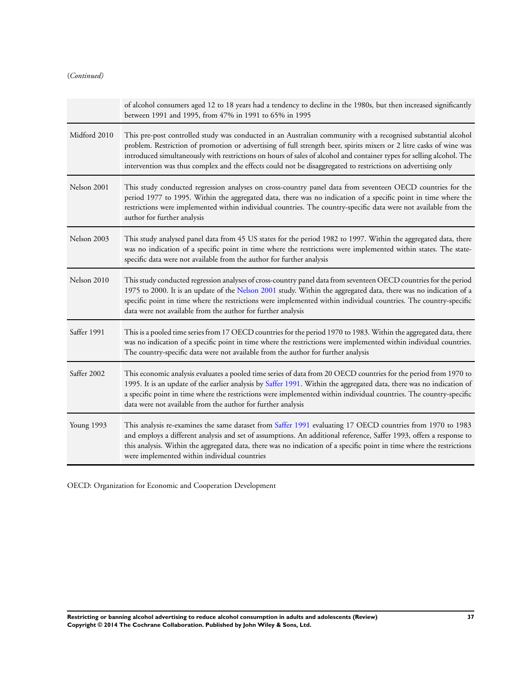|              | of alcohol consumers aged 12 to 18 years had a tendency to decline in the 1980s, but then increased significantly<br>between 1991 and 1995, from 47% in 1991 to 65% in 1995                                                                                                                                                                                                                                                                                                   |
|--------------|-------------------------------------------------------------------------------------------------------------------------------------------------------------------------------------------------------------------------------------------------------------------------------------------------------------------------------------------------------------------------------------------------------------------------------------------------------------------------------|
| Midford 2010 | This pre-post controlled study was conducted in an Australian community with a recognised substantial alcohol<br>problem. Restriction of promotion or advertising of full strength beer, spirits mixers or 2 litre casks of wine was<br>introduced simultaneously with restrictions on hours of sales of alcohol and container types for selling alcohol. The<br>intervention was thus complex and the effects could not be disaggregated to restrictions on advertising only |
| Nelson 2001  | This study conducted regression analyses on cross-country panel data from seventeen OECD countries for the<br>period 1977 to 1995. Within the aggregated data, there was no indication of a specific point in time where the<br>restrictions were implemented within individual countries. The country-specific data were not available from the<br>author for further analysis                                                                                               |
| Nelson 2003  | This study analysed panel data from 45 US states for the period 1982 to 1997. Within the aggregated data, there<br>was no indication of a specific point in time where the restrictions were implemented within states. The state-<br>specific data were not available from the author for further analysis                                                                                                                                                                   |
| Nelson 2010  | This study conducted regression analyses of cross-country panel data from seventeen OECD countries for the period<br>1975 to 2000. It is an update of the Nelson 2001 study. Within the aggregated data, there was no indication of a<br>specific point in time where the restrictions were implemented within individual countries. The country-specific<br>data were not available from the author for further analysis                                                     |
| Saffer 1991  | This is a pooled time series from 17 OECD countries for the period 1970 to 1983. Within the aggregated data, there<br>was no indication of a specific point in time where the restrictions were implemented within individual countries.<br>The country-specific data were not available from the author for further analysis                                                                                                                                                 |
| Saffer 2002  | This economic analysis evaluates a pooled time series of data from 20 OECD countries for the period from 1970 to<br>1995. It is an update of the earlier analysis by Saffer 1991. Within the aggregated data, there was no indication of<br>a specific point in time where the restrictions were implemented within individual countries. The country-specific<br>data were not available from the author for further analysis                                                |
| Young 1993   | This analysis re-examines the same dataset from Saffer 1991 evaluating 17 OECD countries from 1970 to 1983<br>and employs a different analysis and set of assumptions. An additional reference, Saffer 1993, offers a response to<br>this analysis. Within the aggregated data, there was no indication of a specific point in time where the restrictions<br>were implemented within individual countries                                                                    |

OECD: Organization for Economic and Cooperation Development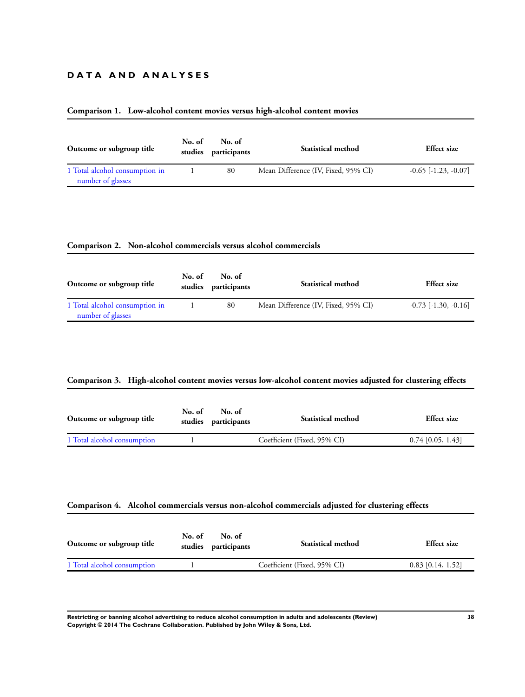# **D A T A A N D A N A L Y S E S**

| No. of | No. of | <b>Statistical method</b>           | <b>Effect</b> size            |
|--------|--------|-------------------------------------|-------------------------------|
|        | 80     | Mean Difference (IV, Fixed, 95% CI) | $-0.65$ [ $-1.23$ , $-0.07$ ] |
|        |        | studies participants                |                               |

# **Comparison 1. Low-alcohol content movies versus high-alcohol content movies**

#### **Comparison 2. Non-alcohol commercials versus alcohol commercials**

| Outcome or subgroup title      | No. of | No. of<br>studies participants | <b>Statistical method</b>           | <b>Effect</b> size            |
|--------------------------------|--------|--------------------------------|-------------------------------------|-------------------------------|
| 1 Total alcohol consumption in |        | 80                             | Mean Difference (IV, Fixed, 95% CI) | $-0.73$ [ $-1.30$ , $-0.16$ ] |
| number of glasses              |        |                                |                                     |                               |

# **Comparison 3. High-alcohol content movies versus low-alcohol content movies adjusted for clustering effects**

| Outcome or subgroup title   | No. of | No. of<br>studies participants | <b>Statistical method</b>   | <b>Effect</b> size  |
|-----------------------------|--------|--------------------------------|-----------------------------|---------------------|
| 1 Total alcohol consumption |        |                                | Coefficient (Fixed, 95% CI) | $0.74$ [0.05, 1.43] |

# **Comparison 4. Alcohol commercials versus non-alcohol commercials adjusted for clustering effects**

| Outcome or subgroup title   | No. of | No. of<br>studies participants | <b>Statistical method</b>   | <b>Effect</b> size  |
|-----------------------------|--------|--------------------------------|-----------------------------|---------------------|
| 1 Total alcohol consumption |        |                                | Coefficient (Fixed, 95% CI) | $0.83$ [0.14, 1.52] |

**Restricting or banning alcohol advertising to reduce alcohol consumption in adults and adolescents (Review) 38 Copyright © 2014 The Cochrane Collaboration. Published by John Wiley & Sons, Ltd.**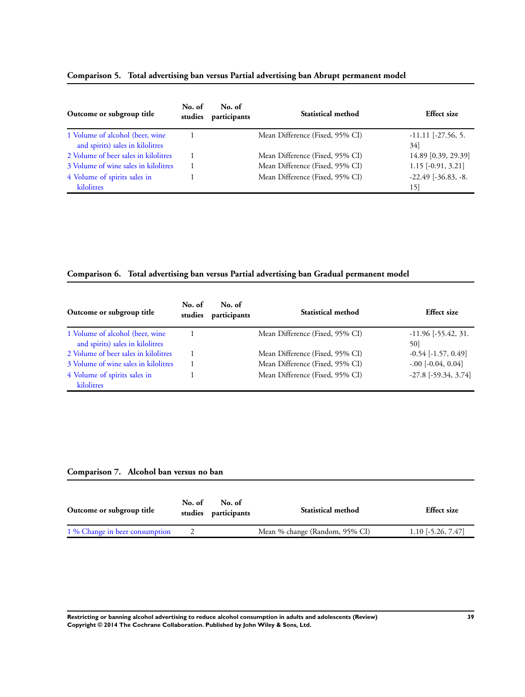| Comparison 5. Total advertising ban versus Partial advertising ban Abrupt permanent model |  |  |  |  |  |
|-------------------------------------------------------------------------------------------|--|--|--|--|--|
|                                                                                           |  |  |  |  |  |

| Outcome or subgroup title                                           | No. of<br>studies | No. of<br>participants | Statistical method              | <b>Effect size</b>               |
|---------------------------------------------------------------------|-------------------|------------------------|---------------------------------|----------------------------------|
| 1 Volume of alcohol (beer, wine<br>and spirits) sales in kilolitres |                   |                        | Mean Difference (Fixed, 95% CI) | $-11.11$ $[-27.56, 5.$<br>34]    |
| 2 Volume of beer sales in kilolitres                                |                   |                        | Mean Difference (Fixed, 95% CI) | 14.89 [0.39, 29.39]              |
| 3 Volume of wine sales in kilolitres                                |                   |                        | Mean Difference (Fixed, 95% CI) | $1.15$ [-0.91, 3.21]             |
| 4 Volume of spirits sales in<br>kilolitres                          |                   |                        | Mean Difference (Fixed, 95% CI) | $-22.49$ $[-36.83, -8]$ .<br>15] |

# **Comparison 6. Total advertising ban versus Partial advertising ban Gradual permanent model**

| Outcome or subgroup title                                           | No. of<br>studies | No. of<br>participants | Statistical method              | <b>Effect size</b>                |
|---------------------------------------------------------------------|-------------------|------------------------|---------------------------------|-----------------------------------|
| 1 Volume of alcohol (beer, wine<br>and spirits) sales in kilolitres |                   |                        | Mean Difference (Fixed, 95% CI) | $-11.96$ [ $-55.42, 31$ ].<br>501 |
| 2 Volume of beer sales in kilolitres                                |                   |                        | Mean Difference (Fixed, 95% CI) | $-0.54$ [ $-1.57, 0.49$ ]         |
| 3 Volume of wine sales in kilolitres                                |                   |                        | Mean Difference (Fixed, 95% CI) | $-.00$ [ $-0.04$ , $0.04$ ]       |
| 4 Volume of spirits sales in<br>kilolitres                          |                   |                        | Mean Difference (Fixed, 95% CI) | $-27.8$ [ $-59.34$ , $3.74$ ]     |

# **Comparison 7. Alcohol ban versus no ban**

| Outcome or subgroup title      | No. of | No. of<br>studies participants | <b>Statistical method</b>      | <b>Effect</b> size          |
|--------------------------------|--------|--------------------------------|--------------------------------|-----------------------------|
| 1 % Change in beer consumption |        |                                | Mean % change (Random, 95% CI) | $1.10$ [ $-5.26$ , $7.47$ ] |

**Restricting or banning alcohol advertising to reduce alcohol consumption in adults and adolescents (Review) 39 Copyright © 2014 The Cochrane Collaboration. Published by John Wiley & Sons, Ltd.**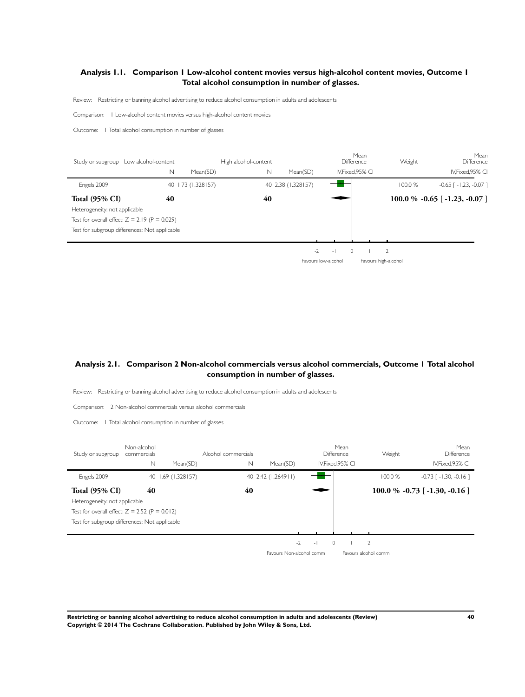# <span id="page-41-0"></span>**Analysis 1.1. Comparison 1 Low-alcohol content movies versus high-alcohol content movies, Outcome 1 Total alcohol consumption in number of glasses.**

Review: Restricting or banning alcohol advertising to reduce alcohol consumption in adults and adolescents

Comparison: 1 Low-alcohol content movies versus high-alcohol content movies

Outcome: 1 Total alcohol consumption in number of glasses

| Study or subgroup                               | Low alcohol-content |                    | High alcohol-content |                    |                     | Mean<br>Difference | Weight               | Mear<br>Difference                   |
|-------------------------------------------------|---------------------|--------------------|----------------------|--------------------|---------------------|--------------------|----------------------|--------------------------------------|
|                                                 | Ν                   | Mean(SD)           | N                    | Mean(SD)           |                     | IV, Fixed, 95% CI  |                      | IV,Fixed,95% C                       |
| Engels 2009                                     |                     | 40 1.73 (1.328157) |                      | 40 2.38 (1.328157) |                     |                    | 100.0 %              | $-0.65$ $\lceil -1.23, -0.07 \rceil$ |
| <b>Total (95% CI)</b>                           | 40                  |                    | 40                   |                    |                     |                    |                      | 100.0 % -0.65 [ $-1.23, -0.07$ ]     |
| Heterogeneity: not applicable                   |                     |                    |                      |                    |                     |                    |                      |                                      |
| Test for overall effect: $Z = 2.19$ (P = 0.029) |                     |                    |                      |                    |                     |                    |                      |                                      |
| Test for subgroup differences: Not applicable   |                     |                    |                      |                    |                     |                    |                      |                                      |
|                                                 |                     |                    |                      |                    |                     |                    |                      |                                      |
|                                                 |                     |                    |                      |                    | $-2$<br>н.          | $\circ$            |                      |                                      |
|                                                 |                     |                    |                      |                    | Favours low-alcohol |                    | Favours high-alcohol |                                      |

# **Analysis 2.1. Comparison 2 Non-alcohol commercials versus alcohol commercials, Outcome 1 Total alcohol consumption in number of glasses.**

Review: Restricting or banning alcohol advertising to reduce alcohol consumption in adults and adolescents

Comparison: 2 Non-alcohol commercials versus alcohol commercials

Outcome: 1 Total alcohol consumption in number of glasses

| Study or subgroup                               | Non-alcohol<br>commercials    |                   | Alcohol commercials |                          |                | Mean<br>Difference |                | Weight               | Mean<br>Difference            |  |
|-------------------------------------------------|-------------------------------|-------------------|---------------------|--------------------------|----------------|--------------------|----------------|----------------------|-------------------------------|--|
|                                                 | $\mathbb N$                   | Mean(SD)          | N                   | Mean(SD)                 |                | IV, Fixed, 95% CI  |                |                      | IV, Fixed, 95% CI             |  |
| Engels 2009                                     | 40                            | $1.69$ (1.328157) |                     | 40 2.42 (1.264911)       |                |                    |                | 100.0%               | $-0.73$ [ $-1.30$ , $-0.16$ ] |  |
| <b>Total (95% CI)</b>                           | 40                            |                   | 40                  |                          |                |                    |                |                      | 100.0 % -0.73 [-1.30, -0.16]  |  |
|                                                 | Heterogeneity: not applicable |                   |                     |                          |                |                    |                |                      |                               |  |
| Test for overall effect: $Z = 2.52$ (P = 0.012) |                               |                   |                     |                          |                |                    |                |                      |                               |  |
| Test for subgroup differences: Not applicable   |                               |                   |                     |                          |                |                    |                |                      |                               |  |
|                                                 |                               |                   |                     |                          |                |                    |                |                      |                               |  |
|                                                 |                               |                   |                     | $-2$                     | $\overline{a}$ | $\circ$            | $\overline{2}$ |                      |                               |  |
|                                                 |                               |                   |                     | Favours Non-alcohol comm |                |                    |                | Favours alcohol comm |                               |  |

**Restricting or banning alcohol advertising to reduce alcohol consumption in adults and adolescents (Review) 40 Copyright © 2014 The Cochrane Collaboration. Published by John Wiley & Sons, Ltd.**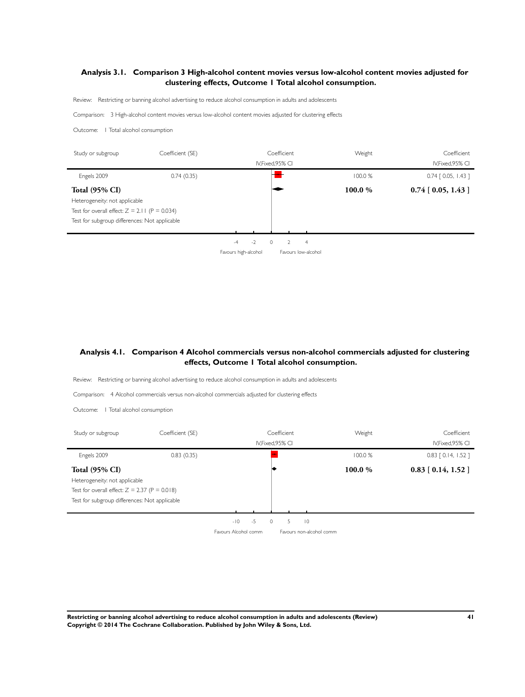# <span id="page-42-0"></span>**Analysis 3.1. Comparison 3 High-alcohol content movies versus low-alcohol content movies adjusted for clustering effects, Outcome 1 Total alcohol consumption.**

Review: Restricting or banning alcohol advertising to reduce alcohol consumption in adults and adolescents

Comparison: 3 High-alcohol content movies versus low-alcohol content movies adjusted for clustering effects

Outcome: 1 Total alcohol consumption

| Study or subgroup                               | Coefficient (SE) |                      |      |         | Coefficient       |                     | Weight  | Coefficient           |
|-------------------------------------------------|------------------|----------------------|------|---------|-------------------|---------------------|---------|-----------------------|
|                                                 |                  |                      |      |         | IV, Fixed, 95% CI |                     |         | IV, Fixed, 95% CI     |
| Engels 2009                                     | 0.74(0.35)       |                      |      |         |                   |                     | 100.0 % | $0.74$ $[0.05, 1.43]$ |
| <b>Total (95% CI)</b>                           |                  |                      |      |         |                   |                     | 100.0%  | $0.74$ [ 0.05, 1.43 ] |
| Heterogeneity: not applicable                   |                  |                      |      |         |                   |                     |         |                       |
| Test for overall effect: $Z = 2.11$ (P = 0.034) |                  |                      |      |         |                   |                     |         |                       |
| Test for subgroup differences: Not applicable   |                  |                      |      |         |                   |                     |         |                       |
|                                                 |                  |                      |      |         |                   |                     |         |                       |
|                                                 |                  | $-4$                 | $-2$ | $\circ$ |                   | $\overline{4}$      |         |                       |
|                                                 |                  | Favours high-alcohol |      |         |                   | Favours low-alcohol |         |                       |

# **Analysis 4.1. Comparison 4 Alcohol commercials versus non-alcohol commercials adjusted for clustering effects, Outcome 1 Total alcohol consumption.**

Review: Restricting or banning alcohol advertising to reduce alcohol consumption in adults and adolescents

Comparison: 4 Alcohol commercials versus non-alcohol commercials adjusted for clustering effects

Outcome: 1 Total alcohol consumption

J.

| Study or subgroup                               | Coefficient (SE) | Coefficient<br>IV, Fixed, 95% CI |      |         |   |                          | Weight  | Coefficient<br>IV, Fixed, 95% CI |
|-------------------------------------------------|------------------|----------------------------------|------|---------|---|--------------------------|---------|----------------------------------|
| Engels 2009                                     | 0.83(0.35)       |                                  |      |         |   |                          | 100.0 % | $0.83$ [ 0.14, 1.52 ]            |
| <b>Total (95% CI)</b>                           |                  |                                  |      |         |   |                          | 100.0%  | $0.83$ [ 0.14, 1.52 ]            |
| Heterogeneity: not applicable                   |                  |                                  |      |         |   |                          |         |                                  |
| Test for overall effect: $Z = 2.37$ (P = 0.018) |                  |                                  |      |         |   |                          |         |                                  |
| Test for subgroup differences: Not applicable   |                  |                                  |      |         |   |                          |         |                                  |
|                                                 |                  |                                  |      |         |   |                          |         |                                  |
|                                                 |                  | $-10$                            | $-5$ | $\circ$ | 5 | $ 0\rangle$              |         |                                  |
|                                                 |                  | Favours Alcohol comm             |      |         |   | Favours non-alcohol comm |         |                                  |

**Restricting or banning alcohol advertising to reduce alcohol consumption in adults and adolescents (Review) 41 Copyright © 2014 The Cochrane Collaboration. Published by John Wiley & Sons, Ltd.**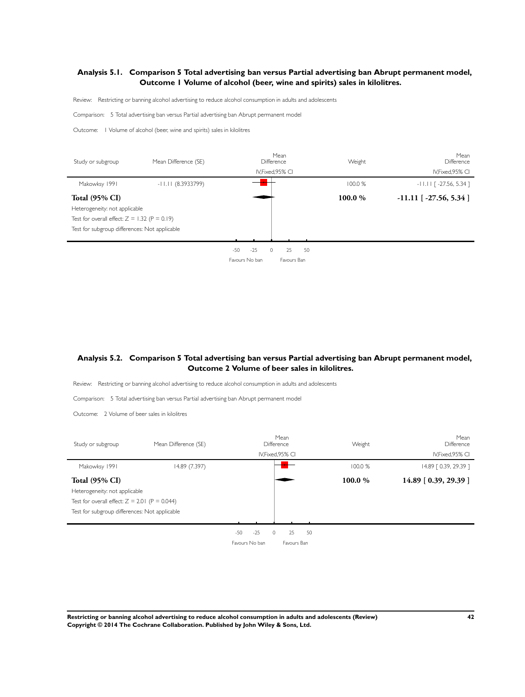# <span id="page-43-0"></span>**Analysis 5.1. Comparison 5 Total advertising ban versus Partial advertising ban Abrupt permanent model, Outcome 1 Volume of alcohol (beer, wine and spirits) sales in kilolitres.**

Review: Restricting or banning alcohol advertising to reduce alcohol consumption in adults and adolescents

Comparison: 5 Total advertising ban versus Partial advertising ban Abrupt permanent model

Outcome: 1 Volume of alcohol (beer, wine and spirits) sales in kilolitres



# **Analysis 5.2. Comparison 5 Total advertising ban versus Partial advertising ban Abrupt permanent model, Outcome 2 Volume of beer sales in kilolitres.**

Review: Restricting or banning alcohol advertising to reduce alcohol consumption in adults and adolescents

Comparison: 5 Total advertising ban versus Partial advertising ban Abrupt permanent model

Outcome: 2 Volume of beer sales in kilolitres

| Study or subgroup                               | Mean Difference (SE) |                | Mean<br>Difference |    | Weight  | Mean<br>Difference      |
|-------------------------------------------------|----------------------|----------------|--------------------|----|---------|-------------------------|
|                                                 |                      |                | IV, Fixed, 95% CI  |    |         | IV, Fixed, 95% CI       |
| Makowksy 1991                                   | 14.89 (7.397)        |                |                    |    | 100.0 % | 14.89 [0.39, 29.39]     |
| <b>Total (95% CI)</b>                           |                      |                |                    |    | 100.0%  | $14.89$ [ 0.39, 29.39 ] |
| Heterogeneity: not applicable                   |                      |                |                    |    |         |                         |
| Test for overall effect: $Z = 2.01$ (P = 0.044) |                      |                |                    |    |         |                         |
| Test for subgroup differences: Not applicable   |                      |                |                    |    |         |                         |
|                                                 |                      |                |                    |    |         |                         |
|                                                 |                      | $-50$<br>$-25$ | 25<br>$\Omega$     | 50 |         |                         |
|                                                 |                      | Favours No ban | Favours Ban        |    |         |                         |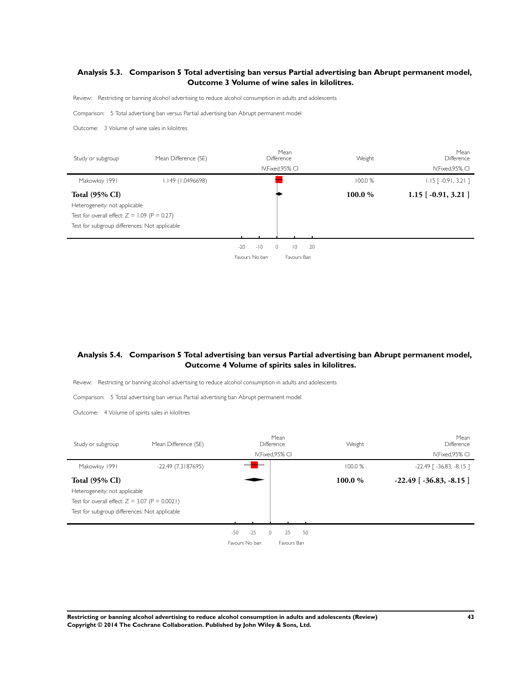# <span id="page-44-0"></span>**Analysis 5.3. Comparison 5 Total advertising ban versus Partial advertising ban Abrupt permanent model, Outcome 3 Volume of wine sales in kilolitres.**

Review: Restricting or banning alcohol advertising to reduce alcohol consumption in adults and adolescents

Comparison: 5 Total advertising ban versus Partial advertising ban Abrupt permanent model

Outcome: 3 Volume of wine sales in kilolitres



# **Analysis 5.4. Comparison 5 Total advertising ban versus Partial advertising ban Abrupt permanent model, Outcome 4 Volume of spirits sales in kilolitres.**

Review: Restricting or banning alcohol adver tising to reduce alcohol consumption in adults and adolescents

Comparison: 5 Total advertising ban versus Partial advertising ban Abrupt permanent model

Outcome: 4 Volume of spirits sales in kilolitres

| Study or subgroup                                | Mean Difference (SE) | Mean<br>Difference |                         | Weight   | Mean<br>Difference |    |         |                                 |
|--------------------------------------------------|----------------------|--------------------|-------------------------|----------|--------------------|----|---------|---------------------------------|
|                                                  |                      |                    |                         |          | IV, Fixed, 95% CI  |    |         | IV, Fixed, 95% CI               |
| Makowksy 1991                                    | $-22.49(7.3187695)$  |                    |                         |          |                    |    | 100.0%  | $-22.49$ [ $-36.83$ , $-8.15$ ] |
| <b>Total (95% CI)</b>                            |                      |                    |                         |          |                    |    | 100.0 % | $-22.49$ [ $-36.83, -8.15$ ]    |
| Heterogeneity: not applicable                    |                      |                    |                         |          |                    |    |         |                                 |
| Test for overall effect: $Z = 3.07$ (P = 0.0021) |                      |                    |                         |          |                    |    |         |                                 |
| Test for subgroup differences: Not applicable    |                      |                    |                         |          |                    |    |         |                                 |
|                                                  |                      |                    |                         |          |                    |    |         |                                 |
|                                                  |                      | $-50$              | $-25$<br>Favours No ban | $\Omega$ | 25<br>Favours Ban  | 50 |         |                                 |
|                                                  |                      |                    |                         |          |                    |    |         |                                 |

**Restricting or banning alcohol advertising to reduce alcohol consumption in adults and adolescents (Review) 43 Copyright © 2014 The Cochrane Collaboration. Published by John Wiley & Sons, Ltd.**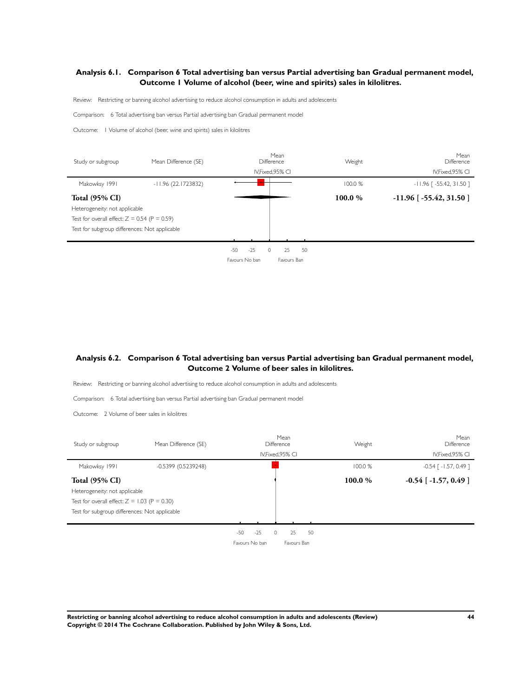# <span id="page-45-0"></span>**Analysis 6.1. Comparison 6 Total advertising ban versus Partial advertising ban Gradual permanent model, Outcome 1 Volume of alcohol (beer, wine and spirits) sales in kilolitres.**

Review: Restricting or banning alcohol advertising to reduce alcohol consumption in adults and adolescents

Comparison: 6 Total advertising ban versus Partial advertising ban Gradual permanent model

Outcome: 1 Volume of alcohol (beer, wine and spirits) sales in kilolitres



# **Analysis 6.2. Comparison 6 Total advertising ban versus Partial advertising ban Gradual permanent model, Outcome 2 Volume of beer sales in kilolitres.**

Review: Restricting or banning alcohol advertising to reduce alcohol consumption in adults and adolescents

Comparison: 6 Total advertising ban versus Partial advertising ban Gradual permanent model

Outcome: 2 Volume of beer sales in kilolitres

| Study or subgroup                                                                                                                                         | Mean Difference (SE) |       |                         | Difference | Mean<br>IV, Fixed, 95% CI |    | Weight | Mean<br>Difference<br>IV, Fixed, 95% CI |
|-----------------------------------------------------------------------------------------------------------------------------------------------------------|----------------------|-------|-------------------------|------------|---------------------------|----|--------|-----------------------------------------|
| Makowksy 1991                                                                                                                                             | -0.5399 (0.5239248)  |       |                         |            |                           |    | 100.0% | $-0.54$ [ $-1.57$ , 0.49]               |
| <b>Total (95% CI)</b><br>Heterogeneity: not applicable<br>Test for overall effect: $Z = 1.03$ (P = 0.30)<br>Test for subgroup differences: Not applicable |                      |       |                         |            |                           |    | 100.0% | $-0.54$ [ $-1.57$ , 0.49 ]              |
|                                                                                                                                                           |                      | $-50$ | $-25$<br>Favours No ban | $\Omega$   | 25<br>Favours Ban         | 50 |        |                                         |

**Restricting or banning alcohol advertising to reduce alcohol consumption in adults and adolescents (Review) 44 Copyright © 2014 The Cochrane Collaboration. Published by John Wiley & Sons, Ltd.**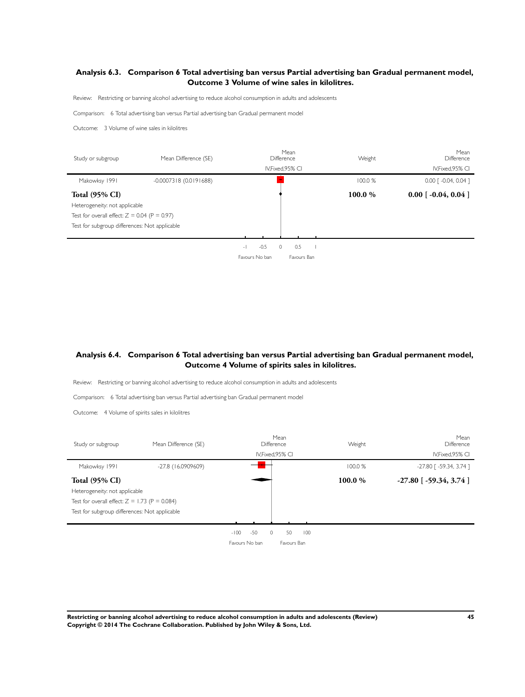# <span id="page-46-0"></span>**Analysis 6.3. Comparison 6 Total advertising ban versus Partial advertising ban Gradual permanent model, Outcome 3 Volume of wine sales in kilolitres.**

Review: Restricting or banning alcohol advertising to reduce alcohol consumption in adults and adolescents

Comparison: 6 Total advertising ban versus Partial advertising ban Gradual permanent model

Outcome: 3 Volume of wine sales in kilolitres

Î.

| Mean Difference (SE)<br>Study or subgroup      |                         |                          |                | Mean<br>Difference<br>IV, Fixed, 95% CI | Weight  | Mean<br>Difference                 |
|------------------------------------------------|-------------------------|--------------------------|----------------|-----------------------------------------|---------|------------------------------------|
|                                                |                         |                          |                |                                         |         | IV, Fixed, 95% CI                  |
| Makowksy 1991                                  | $-0.0007318(0.0191688)$ |                          |                |                                         | 100.0 % | $0.00$ $\lceil -0.04, 0.04 \rceil$ |
| <b>Total (95% CI)</b>                          |                         |                          |                |                                         | 100.0%  | $0.00$ [ -0.04, 0.04 ]             |
| Heterogeneity: not applicable                  |                         |                          |                |                                         |         |                                    |
| Test for overall effect: $Z = 0.04$ (P = 0.97) |                         |                          |                |                                         |         |                                    |
| Test for subgroup differences: Not applicable  |                         |                          |                |                                         |         |                                    |
|                                                |                         |                          |                |                                         |         |                                    |
|                                                |                         | $\overline{\phantom{a}}$ | $-0.5$         | 0.5<br>$\Omega$                         |         |                                    |
|                                                |                         |                          | Favours No ban | Favours Ban                             |         |                                    |

# **Analysis 6.4. Comparison 6 Total advertising ban versus Partial advertising ban Gradual permanent model, Outcome 4 Volume of spirits sales in kilolitres.**

Review: Restricting or banning alcohol advertising to reduce alcohol consumption in adults and adolescents

Comparison: 6 Total advertising ban versus Partial advertising ban Gradual permanent model

Outcome: 4 Volume of spirits sales in kilolitres

| Study or subgroup                               | Mean Difference (SE) | Mean<br>Difference                      | Weight | Mean<br>Difference           |
|-------------------------------------------------|----------------------|-----------------------------------------|--------|------------------------------|
|                                                 |                      | IV, Fixed, 95% CI                       |        | IV, Fixed, 95% CI            |
| Makowksy 1991                                   | $-27.8$ (16.0909609) |                                         | 100.0% | $-27.80$ [ $-59.34$ , 3.74 ] |
| <b>Total (95% CI)</b>                           |                      |                                         | 100.0% | $-27.80$ [ $-59.34$ , 3.74 ] |
| Heterogeneity: not applicable                   |                      |                                         |        |                              |
| Test for overall effect: $Z = 1.73$ (P = 0.084) |                      |                                         |        |                              |
| Test for subgroup differences: Not applicable   |                      |                                         |        |                              |
|                                                 |                      |                                         |        |                              |
|                                                 |                      | $-50$<br>$-100$<br>$\circ$<br>50<br>100 |        |                              |
|                                                 |                      | Favours No ban<br>Favours Ban           |        |                              |

**Restricting or banning alcohol advertising to reduce alcohol consumption in adults and adolescents (Review) 45 Copyright © 2014 The Cochrane Collaboration. Published by John Wiley & Sons, Ltd.**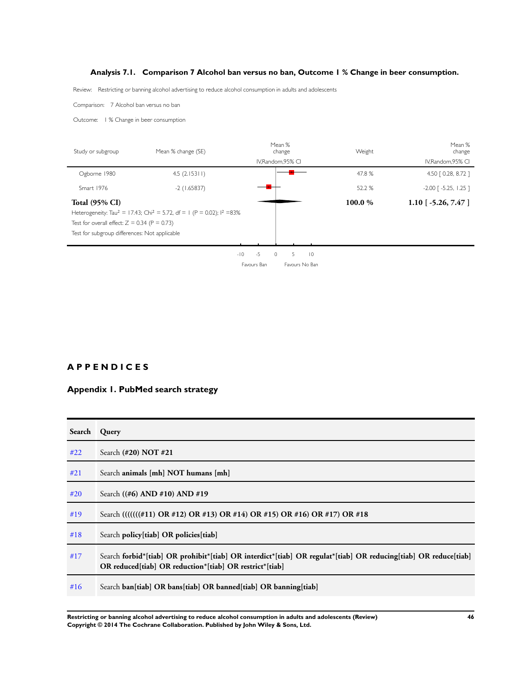# **Analysis 7.1. Comparison 7 Alcohol ban versus no ban, Outcome 1 % Change in beer consumption.**

<span id="page-47-0"></span>Review: Restricting or banning alcohol advertising to reduce alcohol consumption in adults and adolescents

Comparison: 7 Alcohol ban versus no ban

Outcome: 1 % Change in beer consumption

| Study or subgroup                                                                                        | Mean % change (SE) |               | Mean %<br>change |                | Weight  | Mean %<br>change            |
|----------------------------------------------------------------------------------------------------------|--------------------|---------------|------------------|----------------|---------|-----------------------------|
|                                                                                                          |                    |               | IV.Random.95% CI |                |         | IV, Random, 95% CI          |
| Ogborne 1980                                                                                             | 4.5(2.15311)       |               |                  |                | 47.8%   | 4.50 [ 0.28, 8.72 ]         |
| Smart 1976                                                                                               | $-2(1.65837)$      |               |                  |                | 52.2 %  | $-2.00$ $[-5.25, 1.25]$     |
| <b>Total (95% CI)</b>                                                                                    |                    |               |                  |                | 100.0 % | $1.10$ [ $-5.26$ , $7.47$ ] |
| Heterogeneity: Tau <sup>2</sup> = 17.43; Chi <sup>2</sup> = 5.72, df = 1 (P = 0.02); l <sup>2</sup> =83% |                    |               |                  |                |         |                             |
| Test for overall effect: $Z = 0.34$ (P = 0.73)                                                           |                    |               |                  |                |         |                             |
| Test for subgroup differences: Not applicable                                                            |                    |               |                  |                |         |                             |
|                                                                                                          |                    |               |                  |                |         |                             |
|                                                                                                          |                    | $-5$<br>$-10$ | 5<br>$\mathbf 0$ | $\overline{0}$ |         |                             |
|                                                                                                          |                    | Favours Ban   |                  | Favours No Ban |         |                             |

# **A P P E N D I C E S**

# **Appendix 1. PubMed search strategy**

| Search | Query                                                                                                                                                                         |
|--------|-------------------------------------------------------------------------------------------------------------------------------------------------------------------------------|
| #22    | Search (#20) NOT #21                                                                                                                                                          |
| #21    | Search animals [mh] NOT humans [mh]                                                                                                                                           |
| #20    | Search ((#6) AND #10) AND #19                                                                                                                                                 |
| #19    | Search (((((((#11) OR #12) OR #13) OR #14) OR #15) OR #16) OR #17) OR #18                                                                                                     |
| #18    | Search policy[tiab] OR policies[tiab]                                                                                                                                         |
| #17    | Search forbid*[tiab] OR prohibit*[tiab] OR interdict*[tiab] OR regulat*[tiab] OR reducing[tiab] OR reduce[tiab]<br>OR reduced [tiab] OR reduction* [tiab] OR restrict* [tiab] |
| #16    | Search ban[tiab] OR bans[tiab] OR banned[tiab] OR banning[tiab]                                                                                                               |

**Restricting or banning alcohol advertising to reduce alcohol consumption in adults and adolescents (Review) 46 Copyright © 2014 The Cochrane Collaboration. Published by John Wiley & Sons, Ltd.**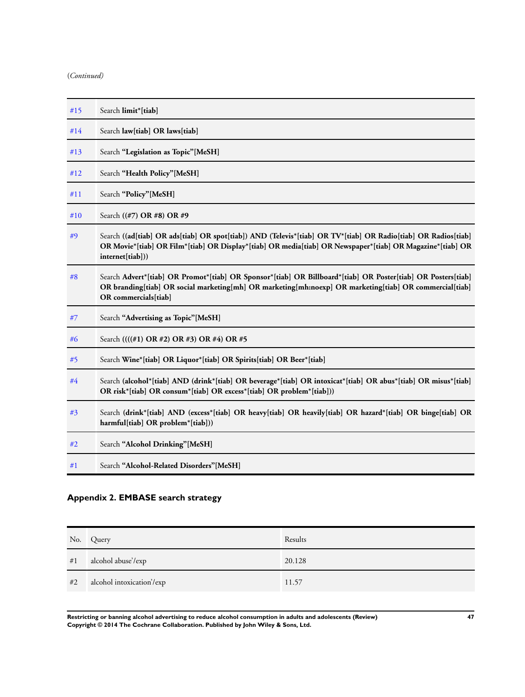<span id="page-48-0"></span>

| #15 | Search limit*[tiab]                                                                                                                                                                                                                             |
|-----|-------------------------------------------------------------------------------------------------------------------------------------------------------------------------------------------------------------------------------------------------|
| #14 | Search law[tiab] OR laws[tiab]                                                                                                                                                                                                                  |
| #13 | Search "Legislation as Topic"[MeSH]                                                                                                                                                                                                             |
| #12 | Search "Health Policy"[MeSH]                                                                                                                                                                                                                    |
| #11 | Search "Policy" [MeSH]                                                                                                                                                                                                                          |
| #10 | Search ((#7) OR #8) OR #9                                                                                                                                                                                                                       |
| #9  | Search ((ad[tiab] OR ads[tiab] OR spot[tiab]) AND (Televis*[tiab] OR TV*[tiab] OR Radio[tiab] OR Radios[tiab]<br>OR Movie*[tiab] OR Film*[tiab] OR Display*[tiab] OR media[tiab] OR Newspaper*[tiab] OR Magazine*[tiab] OR<br>internet[tiab]))  |
| #8  | Search Advert*[tiab] OR Promot*[tiab] OR Sponsor*[tiab] OR Billboard*[tiab] OR Poster[tiab] OR Posters[tiab]<br>OR branding[tiab] OR social marketing[mh] OR marketing[mh:noexp] OR marketing[tiab] OR commercial[tiab]<br>OR commercials[tiab] |
| #7  | Search "Advertising as Topic"[MeSH]                                                                                                                                                                                                             |
| #6  | Search ((((#1) OR #2) OR #3) OR #4) OR #5                                                                                                                                                                                                       |
| #5  | Search Wine*[tiab] OR Liquor*[tiab] OR Spirits[tiab] OR Beer*[tiab]                                                                                                                                                                             |
| #4  | Search (alcohol*[tiab] AND (drink*[tiab] OR beverage*[tiab] OR intoxicat*[tiab] OR abus*[tiab] OR misus*[tiab]<br>OR risk*[tiab] OR consum*[tiab] OR excess*[tiab] OR problem*[tiab]))                                                          |
| #3  | Search (drink*[tiab] AND (excess*[tiab] OR heavy[tiab] OR heavily[tiab] OR hazard*[tiab] OR binge[tiab] OR<br>harmful[tiab] OR problem*[tiab]))                                                                                                 |
| #2  | Search "Alcohol Drinking"[MeSH]                                                                                                                                                                                                                 |
| #1  | Search "Alcohol-Related Disorders"[MeSH]                                                                                                                                                                                                        |

# **Appendix 2. EMBASE search strategy**

| No. | Query                     | Results |
|-----|---------------------------|---------|
| #1  | alcohol abuse'/exp        | 20.128  |
| #2  | alcohol intoxication'/exp | 11.57   |

**Restricting or banning alcohol advertising to reduce alcohol consumption in adults and adolescents (Review) 47 Copyright © 2014 The Cochrane Collaboration. Published by John Wiley & Sons, Ltd.**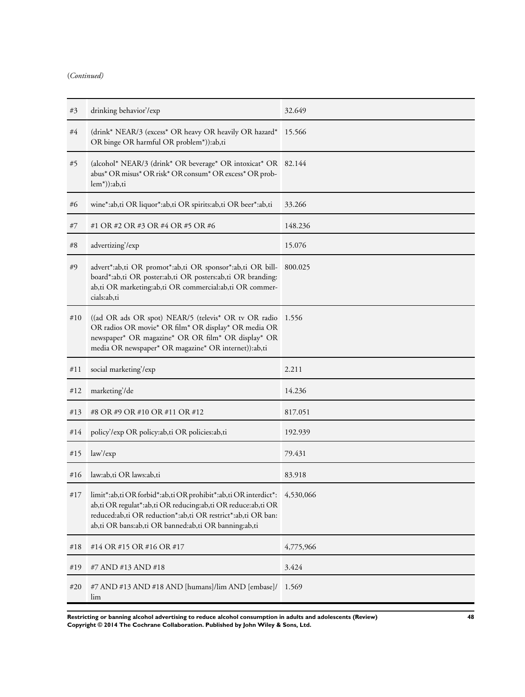| #3  | drinking behavior'/exp                                                                                                                                                                                                                                            | 32.649    |
|-----|-------------------------------------------------------------------------------------------------------------------------------------------------------------------------------------------------------------------------------------------------------------------|-----------|
| #4  | (drink* NEAR/3 (excess* OR heavy OR heavily OR hazard*<br>OR binge OR harmful OR problem*)):ab,ti                                                                                                                                                                 | 15.566    |
| #5  | (alcohol* NEAR/3 (drink* OR beverage* OR intoxicat* OR 82.144<br>abus* OR misus* OR risk* OR consum* OR excess* OR prob-<br>lem*)):ab,ti                                                                                                                          |           |
| #6  | wine*:ab,ti OR liquor*:ab,ti OR spirits:ab,ti OR beer*:ab,ti                                                                                                                                                                                                      | 33.266    |
| #7  | #1 OR #2 OR #3 OR #4 OR #5 OR #6                                                                                                                                                                                                                                  | 148.236   |
| #8  | advertizing'/exp                                                                                                                                                                                                                                                  | 15.076    |
| #9  | advert*:ab,ti OR promot*:ab,ti OR sponsor*:ab,ti OR bill-<br>board*:ab,ti OR poster:ab,ti OR posters:ab,ti OR branding:<br>ab,ti OR marketing:ab,ti OR commercial:ab,ti OR commer-<br>cials:ab,ti                                                                 | 800.025   |
| #10 | ((ad OR ads OR spot) NEAR/5 (televis* OR tv OR radio 1.556<br>OR radios OR movie* OR film* OR display* OR media OR<br>newspaper* OR magazine* OR OR film* OR display* OR<br>media OR newspaper* OR magazine* OR internet)):ab,ti                                  |           |
| #11 | social marketing'/exp                                                                                                                                                                                                                                             | 2.211     |
| #12 | marketing'/de                                                                                                                                                                                                                                                     | 14.236    |
| #13 | #8 OR #9 OR #10 OR #11 OR #12                                                                                                                                                                                                                                     | 817.051   |
| #14 | policy'/exp OR policy:ab,ti OR policies:ab,ti                                                                                                                                                                                                                     | 192.939   |
| #15 | law'/exp                                                                                                                                                                                                                                                          | 79.431    |
| #16 | law:ab,ti OR laws:ab,ti                                                                                                                                                                                                                                           | 83.918    |
| #17 | limit*:ab,ti OR forbid*:ab,ti OR prohibit*:ab,ti OR interdict*: 4,530,066<br>ab,ti OR regulat*:ab,ti OR reducing:ab,ti OR reduce:ab,ti OR<br>reduced:ab,ti OR reduction*:ab,ti OR restrict*:ab,ti OR ban:<br>ab,ti OR bans:ab,ti OR banned:ab,ti OR banning:ab,ti |           |
| #18 | #14 OR #15 OR #16 OR #17                                                                                                                                                                                                                                          | 4,775,966 |
| #19 | #7 AND #13 AND #18                                                                                                                                                                                                                                                | 3.424     |
| #20 | #7 AND #13 AND #18 AND [humans]/lim AND [embase]/ 1.569<br>lim                                                                                                                                                                                                    |           |

**Restricting or banning alcohol advertising to reduce alcohol consumption in adults and adolescents (Review) 48 Copyright © 2014 The Cochrane Collaboration. Published by John Wiley & Sons, Ltd.**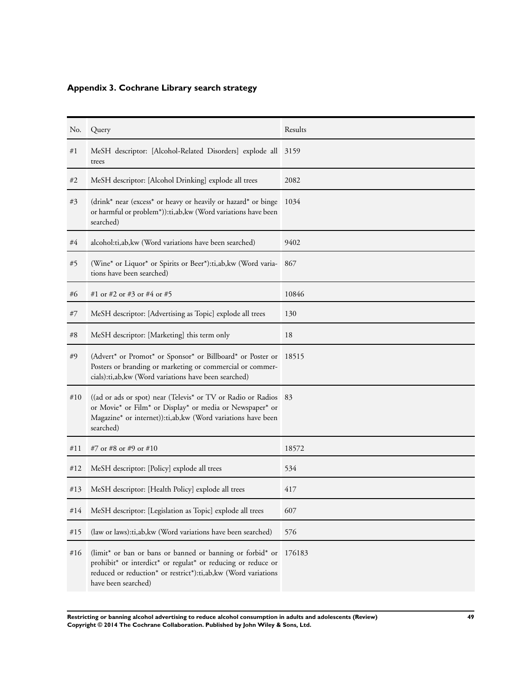<span id="page-50-0"></span>**Appendix 3. Cochrane Library search strategy**

| No. | Query                                                                                                                                                                                                             | Results |
|-----|-------------------------------------------------------------------------------------------------------------------------------------------------------------------------------------------------------------------|---------|
| #1  | MeSH descriptor: [Alcohol-Related Disorders] explode all 3159<br>trees                                                                                                                                            |         |
| #2  | MeSH descriptor: [Alcohol Drinking] explode all trees                                                                                                                                                             | 2082    |
| #3  | (drink* near (excess* or heavy or heavily or hazard* or binge<br>or harmful or problem*)):ti,ab,kw (Word variations have been<br>searched)                                                                        | 1034    |
| #4  | alcohol:ti,ab, kw (Word variations have been searched)                                                                                                                                                            | 9402    |
| #5  | (Wine* or Liquor* or Spirits or Beer*):ti,ab,kw (Word varia-<br>tions have been searched)                                                                                                                         | 867     |
| #6  | #1 or #2 or #3 or #4 or #5                                                                                                                                                                                        | 10846   |
| #7  | MeSH descriptor: [Advertising as Topic] explode all trees                                                                                                                                                         | 130     |
| #8  | MeSH descriptor: [Marketing] this term only                                                                                                                                                                       | 18      |
| #9  | (Advert* or Promot* or Sponsor* or Billboard* or Poster or<br>Posters or branding or marketing or commercial or commer-<br>cials):ti,ab, kw (Word variations have been searched)                                  | 18515   |
| #10 | ((ad or ads or spot) near (Televis* or TV or Radio or Radios 83<br>or Movie* or Film* or Display* or media or Newspaper* or<br>Magazine* or internet)):ti,ab,kw (Word variations have been<br>searched)           |         |
| #11 | #7 or #8 or #9 or #10                                                                                                                                                                                             | 18572   |
| #12 | MeSH descriptor: [Policy] explode all trees                                                                                                                                                                       | 534     |
| #13 | MeSH descriptor: [Health Policy] explode all trees                                                                                                                                                                | 417     |
|     | #14 MeSH descriptor: [Legislation as Topic] explode all trees                                                                                                                                                     | 607     |
| #15 | (law or laws):ti,ab, kw (Word variations have been searched)                                                                                                                                                      | 576     |
| #16 | (limit* or ban or bans or banned or banning or forbid* or<br>prohibit* or interdict* or regulat* or reducing or reduce or<br>reduced or reduction* or restrict*):ti,ab,kw (Word variations<br>have been searched) | 176183  |

**Restricting or banning alcohol advertising to reduce alcohol consumption in adults and adolescents (Review) 49 Copyright © 2014 The Cochrane Collaboration. Published by John Wiley & Sons, Ltd.**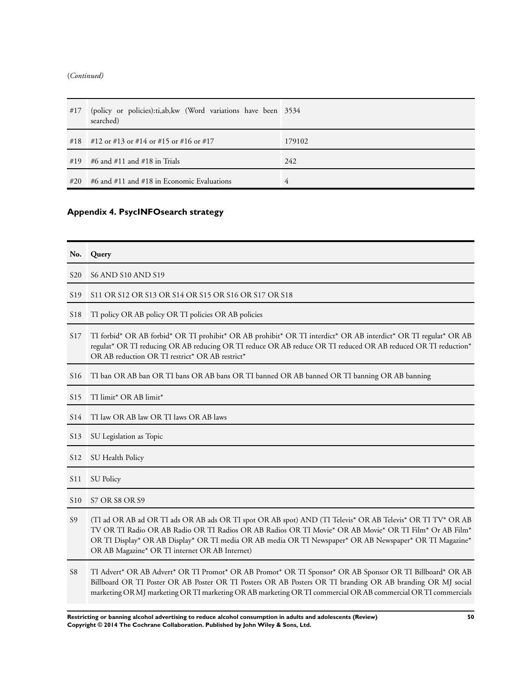<span id="page-51-0"></span>

| #17 | (policy or policies):ti,ab, kw (Word variations have been 3534<br>searched) |        |
|-----|-----------------------------------------------------------------------------|--------|
| #18 | #12 or #13 or #14 or #15 or #16 or #17                                      | 179102 |
| #19 | $\#6$ and $\#11$ and $\#18$ in Trials                                       | 242    |
| #20 | $#6$ and $#11$ and $#18$ in Economic Evaluations                            | 4      |

# **Appendix 4. PsycINFOsearch strategy**

**No. Query**

- S20 S6 AND S10 AND S19
- S19 S11 OR S12 OR S13 OR S14 OR S15 OR S16 OR S17 OR S18
- S18 TI policy OR AB policy OR TI policies OR AB policies
- S17 TI forbid\* OR AB forbid\* OR TI prohibit\* OR AB prohibit\* OR TI interdict\* OR AB interdict\* OR TI regulat\* OR AB regulat\* OR TI reducing OR AB reducing OR TI reduce OR AB reduce OR TI reduced OR AB reduced OR TI reduction\* OR AB reduction OR TI restrict\* OR AB restrict\*
- S16 TI ban OR AB ban OR TI bans OR AB bans OR TI banned OR AB banned OR TI banning OR AB banning
- S15 TI limit\* OR AB limit\*
- S14 TI law OR AB law OR TI laws OR AB laws
- S13 SU Legislation as Topic
- S12 SU Health Policy
- S11 SU Policy
- S10 S7 OR S8 OR S9
- S9 (TI ad OR AB ad OR TI ads OR AB ads OR TI spot OR AB spot) AND (TI Televis\* OR AB Televis\* OR TI TV\* OR AB TV OR TI Radio OR AB Radio OR TI Radios OR AB Radios OR TI Movie\* OR AB Movie\* OR TI Film\* Or AB Film\* OR TI Display\* OR AB Display\* OR TI media OR AB media OR TI Newspaper\* OR AB Newspaper\* OR TI Magazine\* OR AB Magazine\* OR TI internet OR AB Internet)
- S8 TI Advert\* OR AB Advert\* OR TI Promot\* OR AB Promot\* OR TI Sponsor\* OR AB Sponsor OR TI Billboard\* OR AB Billboard OR TI Poster OR AB Poster OR TI Posters OR AB Posters OR TI branding OR AB branding OR MJ social marketing OR MJ marketing OR TI marketing OR AB marketing OR TI commercial OR AB commercial OR TI commercials

**Restricting or banning alcohol advertising to reduce alcohol consumption in adults and adolescents (Review) 50 Copyright © 2014 The Cochrane Collaboration. Published by John Wiley & Sons, Ltd.**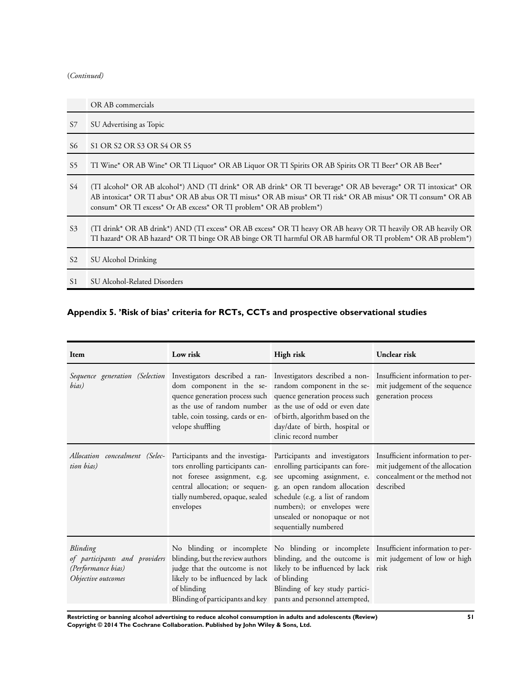<span id="page-52-0"></span>

|                | OR AB commercials                                                                                                                                                                                                                                                                                                                                              |
|----------------|----------------------------------------------------------------------------------------------------------------------------------------------------------------------------------------------------------------------------------------------------------------------------------------------------------------------------------------------------------------|
| S7             | SU Advertising as Topic                                                                                                                                                                                                                                                                                                                                        |
| S6             | S1 OR S2 OR S3 OR S4 OR S5                                                                                                                                                                                                                                                                                                                                     |
| S <sub>5</sub> | TI Wine* OR AB Wine* OR TI Liquor* OR AB Liquor OR TI Spirits OR AB Spirits OR TI Beer* OR AB Beer*                                                                                                                                                                                                                                                            |
| S4             | (TI alcohol* OR AB alcohol*) AND (TI drink* OR AB drink* OR TI beverage* OR AB beverage* OR TI intoxicat* OR<br>AB intoxicat* OR TI abus* OR AB abus OR TI misus* OR AB misus* OR TI risk* OR AB misus* OR TI consum* OR AB<br>consum <sup>*</sup> OR TI excess <sup>*</sup> Or AB excess <sup>*</sup> OR TI problem <sup>*</sup> OR AB problem <sup>*</sup> ) |
| S <sub>3</sub> | (TI drink* OR AB drink*) AND (TI excess* OR AB excess* OR TI heavy OR AB heavy OR TI heavily OR AB heavily OR<br>TI hazard* OR AB hazard* OR TI binge OR AB binge OR TI harmful OR AB harmful OR TI problem* OR AB problem*)                                                                                                                                   |
| S <sub>2</sub> | SU Alcohol Drinking                                                                                                                                                                                                                                                                                                                                            |
| S <sub>1</sub> | SU Alcohol-Related Disorders                                                                                                                                                                                                                                                                                                                                   |

# **Appendix 5. 'Risk of bias' criteria for RCTs, CCTs and prospective observational studies**

| Item                                                                                  | Low risk                                                   | High risk                                                                                                                                                                                                                                                                                                                                                                                                                                                                                                                        | Unclear risk |
|---------------------------------------------------------------------------------------|------------------------------------------------------------|----------------------------------------------------------------------------------------------------------------------------------------------------------------------------------------------------------------------------------------------------------------------------------------------------------------------------------------------------------------------------------------------------------------------------------------------------------------------------------------------------------------------------------|--------------|
| bias)                                                                                 | velope shuffling                                           | Sequence generation (Selection Investigators described a ran- Investigators described a non- Insufficient information to per-<br>dom component in the se- random component in the se- mit judgement of the sequence<br>quence generation process such quence generation process such generation process<br>as the use of random number as the use of odd or even date<br>table, coin tossing, cards or en- of birth, algorithm based on the<br>day/date of birth, hospital or<br>clinic record number                            |              |
| tion bias)                                                                            | tors enrolling participants can-<br>envelopes              | Allocation concealment (Selec- Participants and the investiga- Participants and investigators Insufficient information to per-<br>enrolling participants can fore- mit judgement of the allocation<br>not foresee assignment, e.g. see upcoming assignment, e. concealment or the method not<br>central allocation; or sequen- g. an open random allocation described<br>tially numbered, opaque, sealed schedule (e.g. a list of random<br>numbers); or envelopes were<br>unsealed or nonopaque or not<br>sequentially numbered |              |
| Blinding<br>of participants and providers<br>(Performance bias)<br>Objective outcomes | likely to be influenced by lack of blinding<br>of blinding | No blinding or incomplete No blinding or incomplete Insufficient information to per-<br>blinding, but the review authors blinding, and the outcome is mit judgement of low or high<br>judge that the outcome is not likely to be influenced by lack risk<br>Blinding of key study partici-<br>Blinding of participants and key pants and personnel attempted,                                                                                                                                                                    |              |

**Restricting or banning alcohol advertising to reduce alcohol consumption in adults and adolescents (Review) 51 Copyright © 2014 The Cochrane Collaboration. Published by John Wiley & Sons, Ltd.**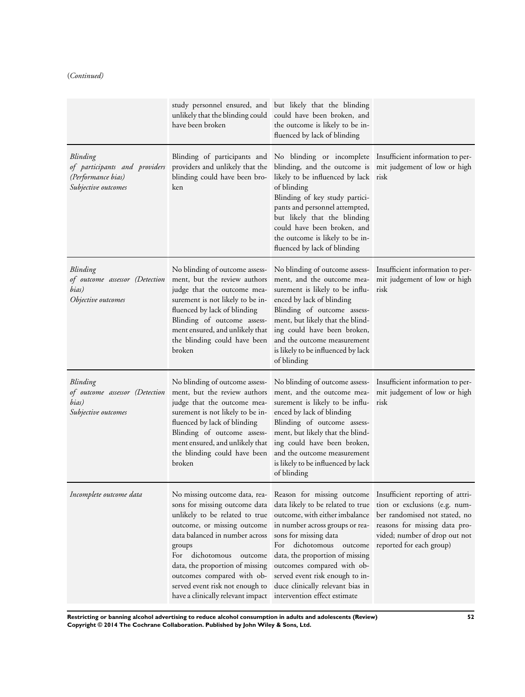|                                                                                        | study personnel ensured, and but likely that the blinding<br>unlikely that the blinding could<br>have been broken                                                                                                                                                                                                                                     | could have been broken, and<br>the outcome is likely to be in-<br>fluenced by lack of blinding                                                                                                                                                                                                                                                                                                                    |                                                                                                                                                                                                  |
|----------------------------------------------------------------------------------------|-------------------------------------------------------------------------------------------------------------------------------------------------------------------------------------------------------------------------------------------------------------------------------------------------------------------------------------------------------|-------------------------------------------------------------------------------------------------------------------------------------------------------------------------------------------------------------------------------------------------------------------------------------------------------------------------------------------------------------------------------------------------------------------|--------------------------------------------------------------------------------------------------------------------------------------------------------------------------------------------------|
| Blinding<br>of participants and providers<br>(Performance bias)<br>Subjective outcomes | providers and unlikely that the<br>blinding could have been bro-<br>ken                                                                                                                                                                                                                                                                               | Blinding of participants and No blinding or incomplete Insufficient information to per-<br>blinding, and the outcome is mit judgement of low or high<br>likely to be influenced by lack risk<br>of blinding<br>Blinding of key study partici-<br>pants and personnel attempted,<br>but likely that the blinding<br>could have been broken, and<br>the outcome is likely to be in-<br>fluenced by lack of blinding |                                                                                                                                                                                                  |
| Blinding<br>of outcome assessor (Detection<br>bias)<br>Objective outcomes              | No blinding of outcome assess-<br>ment, but the review authors<br>judge that the outcome mea-<br>surement is not likely to be in-<br>fluenced by lack of blinding<br>Blinding of outcome assess-<br>ment ensured, and unlikely that<br>the blinding could have been<br>broken                                                                         | No blinding of outcome assess- Insufficient information to per-<br>ment, and the outcome mea-<br>surement is likely to be influ-<br>enced by lack of blinding<br>Blinding of outcome assess-<br>ment, but likely that the blind-<br>ing could have been broken,<br>and the outcome measurement<br>is likely to be influenced by lack<br>of blinding                                                               | mit judgement of low or high<br>risk                                                                                                                                                             |
| Blinding<br>of outcome assessor (Detection<br>bias)<br>Subjective outcomes             | No blinding of outcome assess-<br>ment, but the review authors<br>judge that the outcome mea-<br>surement is not likely to be in-<br>fluenced by lack of blinding<br>Blinding of outcome assess-<br>ment ensured, and unlikely that<br>the blinding could have been<br>broken                                                                         | No blinding of outcome assess-<br>ment, and the outcome mea-<br>surement is likely to be influ- risk<br>enced by lack of blinding<br>Blinding of outcome assess-<br>ment, but likely that the blind-<br>ing could have been broken,<br>and the outcome measurement<br>is likely to be influenced by lack<br>of blinding                                                                                           | Insufficient information to per-<br>mit judgement of low or high                                                                                                                                 |
| Incomplete outcome data                                                                | No missing outcome data, rea-<br>sons for missing outcome data<br>unlikely to be related to true<br>outcome, or missing outcome<br>data balanced in number across<br>groups<br>For<br>dichotomous<br>outcome<br>data, the proportion of missing<br>outcomes compared with ob-<br>served event risk not enough to<br>have a clinically relevant impact | Reason for missing outcome<br>data likely to be related to true<br>outcome, with either imbalance<br>in number across groups or rea-<br>sons for missing data<br>dichotomous<br>For<br>outcome<br>data, the proportion of missing<br>outcomes compared with ob-<br>served event risk enough to in-<br>duce clinically relevant bias in<br>intervention effect estimate                                            | Insufficient reporting of attri-<br>tion or exclusions (e.g. num-<br>ber randomised not stated, no<br>reasons for missing data pro-<br>vided; number of drop out not<br>reported for each group) |

**Restricting or banning alcohol advertising to reduce alcohol consumption in adults and adolescents (Review) 52 Copyright © 2014 The Cochrane Collaboration. Published by John Wiley & Sons, Ltd.**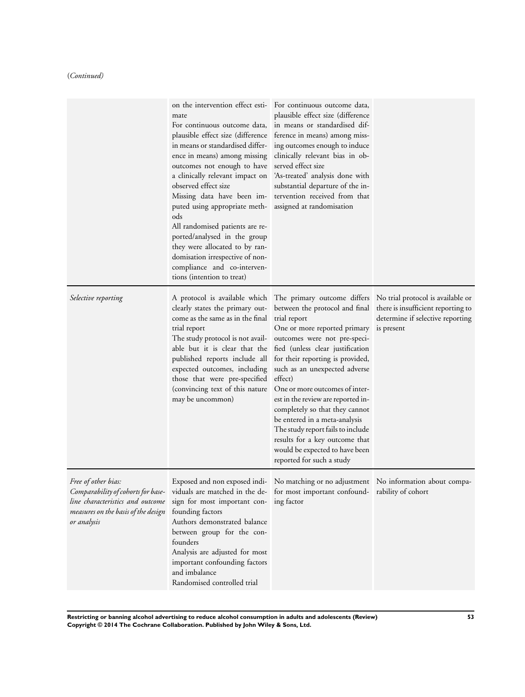|                                                                           | on the intervention effect esti- For continuous outcome data,<br>mate<br>For continuous outcome data,<br>plausible effect size (difference<br>in means or standardised differ-<br>ence in means) among missing<br>outcomes not enough to have<br>a clinically relevant impact on<br>observed effect size<br>Missing data have been im-<br>puted using appropriate meth-<br>ods<br>All randomised patients are re-<br>ported/analysed in the group<br>they were allocated to by ran-<br>domisation irrespective of non-<br>compliance and co-interven-<br>tions (intention to treat) | plausible effect size (difference<br>in means or standardised dif-<br>ference in means) among miss-<br>ing outcomes enough to induce<br>clinically relevant bias in ob-<br>served effect size<br>'As-treated' analysis done with<br>substantial departure of the in-<br>tervention received from that<br>assigned at randomisation                                                                                                                                                                                                               |                                                                                      |
|---------------------------------------------------------------------------|-------------------------------------------------------------------------------------------------------------------------------------------------------------------------------------------------------------------------------------------------------------------------------------------------------------------------------------------------------------------------------------------------------------------------------------------------------------------------------------------------------------------------------------------------------------------------------------|--------------------------------------------------------------------------------------------------------------------------------------------------------------------------------------------------------------------------------------------------------------------------------------------------------------------------------------------------------------------------------------------------------------------------------------------------------------------------------------------------------------------------------------------------|--------------------------------------------------------------------------------------|
| Selective reporting                                                       | A protocol is available which<br>clearly states the primary out-<br>come as the same as in the final<br>trial report<br>The study protocol is not avail-<br>able but it is clear that the<br>published reports include all for their reporting is provided,<br>expected outcomes, including<br>those that were pre-specified<br>(convincing text of this nature<br>may be uncommon)                                                                                                                                                                                                 | The primary outcome differs No trial protocol is available or<br>between the protocol and final<br>trial report<br>One or more reported primary<br>outcomes were not pre-speci-<br>fied (unless clear justification<br>such as an unexpected adverse<br>effect)<br>One or more outcomes of inter-<br>est in the review are reported in-<br>completely so that they cannot<br>be entered in a meta-analysis<br>The study report fails to include<br>results for a key outcome that<br>would be expected to have been<br>reported for such a study | there is insufficient reporting to<br>determine if selective reporting<br>is present |
| Free of other bias:<br>measures on the basis of the design<br>or analysis | Comparability of cohorts for base-viduals are matched in the de- for most important confound-rability of cohort<br>line characteristics and outcome sign for most important con- ing factor<br>founding factors<br>Authors demonstrated balance<br>between group for the con-<br>founders<br>Analysis are adjusted for most<br>important confounding factors<br>and imbalance<br>Randomised controlled trial                                                                                                                                                                        | Exposed and non exposed indi- No matching or no adjustment No information about compa-                                                                                                                                                                                                                                                                                                                                                                                                                                                           |                                                                                      |

**Restricting or banning alcohol advertising to reduce alcohol consumption in adults and adolescents (Review) 53 Copyright © 2014 The Cochrane Collaboration. Published by John Wiley & Sons, Ltd.**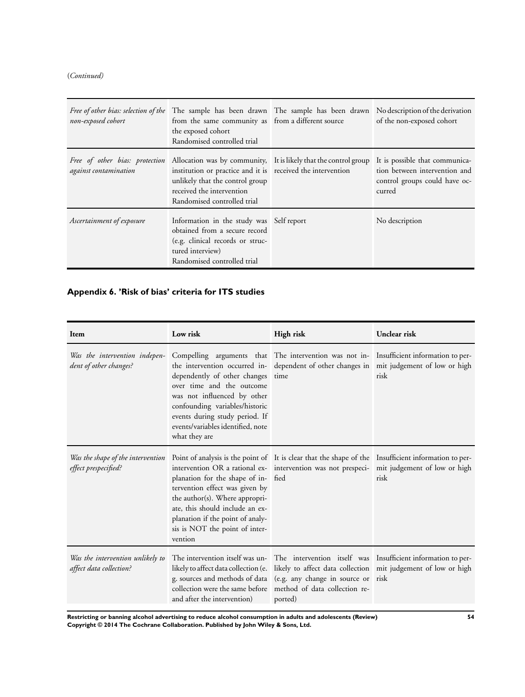<span id="page-55-0"></span>

| non-exposed cohort        | from the same community as from a different source<br>the exposed cohort<br>Randomised controlled trial                                                                                                                                                              | Free of other bias: selection of the The sample has been drawn The sample has been drawn | No description of the derivation<br>of the non-exposed cohort                                              |
|---------------------------|----------------------------------------------------------------------------------------------------------------------------------------------------------------------------------------------------------------------------------------------------------------------|------------------------------------------------------------------------------------------|------------------------------------------------------------------------------------------------------------|
| against contamination     | <i>Free of other bias: protection</i> Allocation was by community, It is likely that the control group<br>institution or practice and it is received the intervention<br>unlikely that the control group<br>received the intervention<br>Randomised controlled trial |                                                                                          | It is possible that communica-<br>tion between intervention and<br>control groups could have oc-<br>curred |
| Ascertainment of exposure | Information in the study was Self report<br>obtained from a secure record<br>(e.g. clinical records or struc-<br>tured interview)<br>Randomised controlled trial                                                                                                     |                                                                                          | No description                                                                                             |

# **Appendix 6. 'Risk of bias' criteria for ITS studies**

| Item                                                        | Low risk                                                                                                                                                                                                               | High risk                                                                                                                                                                                                     | Unclear risk |
|-------------------------------------------------------------|------------------------------------------------------------------------------------------------------------------------------------------------------------------------------------------------------------------------|---------------------------------------------------------------------------------------------------------------------------------------------------------------------------------------------------------------|--------------|
| Was the intervention indepen-<br>dent of other changes?     | dependently of other changes<br>over time and the outcome<br>was not influenced by other<br>confounding variables/historic<br>events during study period. If<br>events/variables identified, note<br>what they are     | Compelling arguments that The intervention was not in- Insufficient information to per-<br>the intervention occurred in- dependent of other changes in mit judgement of low or high<br>time                   | risk         |
| Was the shape of the intervention<br>effect prespecified?   | planation for the shape of in-<br>tervention effect was given by<br>the author(s). Where appropri-<br>ate, this should include an ex-<br>planation if the point of analy-<br>sis is NOT the point of inter-<br>vention | Point of analysis is the point of It is clear that the shape of the Insufficient information to per-<br>intervention OR a rational ex- intervention was not prespeci- mit judgement of low or high            | risk         |
| Was the intervention unlikely to<br>affect data collection? | The intervention itself was un-<br>likely to affect data collection (e.<br>collection were the same before method of data collection re-<br>and after the intervention)                                                | The intervention itself was Insufficient information to per-<br>likely to affect data collection mit judgement of low or high<br>g. sources and methods of data (e.g. any change in source or risk<br>ported) |              |

**Restricting or banning alcohol advertising to reduce alcohol consumption in adults and adolescents (Review) 54 Copyright © 2014 The Cochrane Collaboration. Published by John Wiley & Sons, Ltd.**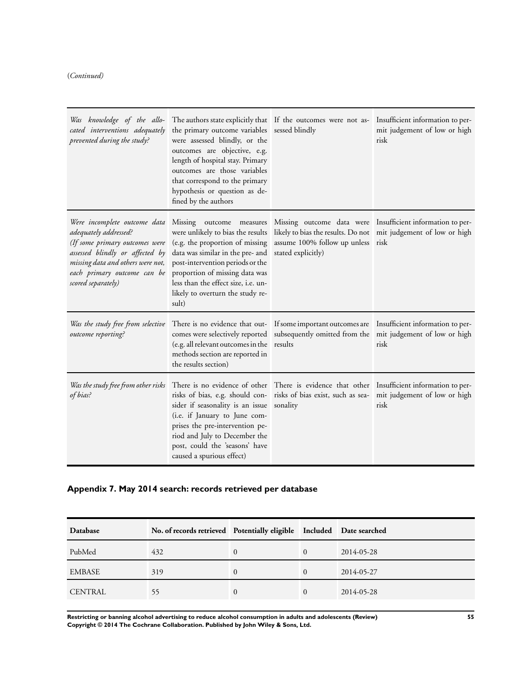<span id="page-56-0"></span>

| Was knowledge of the allo-<br>cated interventions adequately<br>prevented during the study?                                                                                                                          | the primary outcome variables sessed blindly<br>were assessed blindly, or the<br>outcomes are objective, e.g.<br>length of hospital stay. Primary<br>outcomes are those variables<br>that correspond to the primary<br>hypothesis or question as de-<br>fined by the authors                   | The authors state explicitly that If the outcomes were not as-                                                                                                                                | Insufficient information to per-<br>mit judgement of low or high<br>risk |
|----------------------------------------------------------------------------------------------------------------------------------------------------------------------------------------------------------------------|------------------------------------------------------------------------------------------------------------------------------------------------------------------------------------------------------------------------------------------------------------------------------------------------|-----------------------------------------------------------------------------------------------------------------------------------------------------------------------------------------------|--------------------------------------------------------------------------|
| Were incomplete outcome data<br>adequately addressed?<br>(If some primary outcomes were<br>assessed blindly or affected by<br>missing data and others were not,<br>each primary outcome can be<br>scored separately) | Missing outcome measures<br>were unlikely to bias the results<br>(e.g. the proportion of missing<br>data was similar in the pre- and<br>post-intervention periods or the<br>proportion of missing data was<br>less than the effect size, i.e. un-<br>likely to overturn the study re-<br>sult) | Missing outcome data were Insufficient information to per-<br>assume 100% follow up unless risk<br>stated explicitly)                                                                         | likely to bias the results. Do not mit judgement of low or high          |
| Was the study free from selective<br>outcome reporting?                                                                                                                                                              | (e.g. all relevant outcomes in the results<br>methods section are reported in<br>the results section)                                                                                                                                                                                          | There is no evidence that out- If some important outcomes are Insufficient information to per-<br>comes were selectively reported subsequently omitted from the mit judgement of low or high  | risk                                                                     |
| Was the study free from other risks<br>of bias?                                                                                                                                                                      | sider if seasonality is an issue sonality<br>(i.e. if January to June com-<br>prises the pre-intervention pe-<br>riod and July to December the<br>post, could the 'seasons' have<br>caused a spurious effect)                                                                                  | There is no evidence of other There is evidence that other Insufficient information to per-<br>risks of bias, e.g. should con- risks of bias exist, such as sea- mit judgement of low or high | risk                                                                     |

# **Appendix 7. May 2014 search: records retrieved per database**

| Database       | No. of records retrieved Potentially eligible Included Date searched |          |          |            |
|----------------|----------------------------------------------------------------------|----------|----------|------------|
| PubMed         | 432                                                                  | $\Omega$ | $\Omega$ | 2014-05-28 |
| EMBASE         | 319                                                                  | $\Omega$ | $\Omega$ | 2014-05-27 |
| <b>CENTRAL</b> | 55                                                                   | $\Omega$ | $\Omega$ | 2014-05-28 |

**Restricting or banning alcohol advertising to reduce alcohol consumption in adults and adolescents (Review) 55 Copyright © 2014 The Cochrane Collaboration. Published by John Wiley & Sons, Ltd.**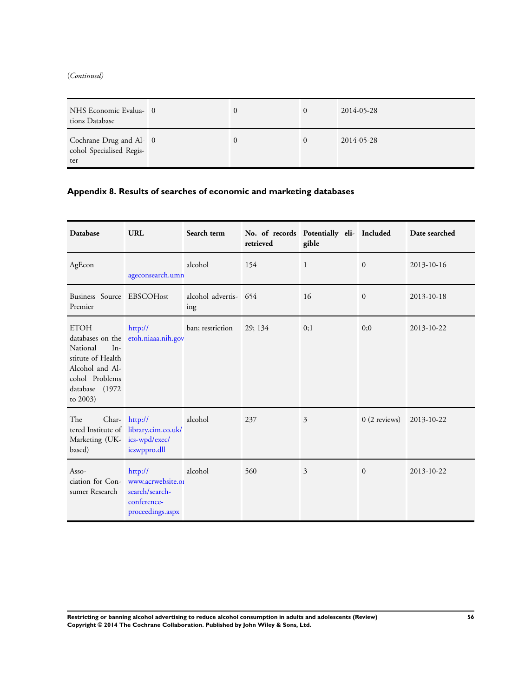<span id="page-57-0"></span>

| NHS Economic Evalua- 0<br>tions Database                   | $\Omega$ | $\Omega$ | 2014-05-28 |
|------------------------------------------------------------|----------|----------|------------|
| Cochrane Drug and Al- 0<br>cohol Specialised Regis-<br>ter |          | $\Omega$ | 2014-05-28 |

# **Appendix 8. Results of searches of economic and marketing databases**

| Database                                                                                                                                     | <b>URL</b>                                                                        | Search term                  | retrieved | No. of records Potentially eli- Included<br>gible |                  | Date searched |
|----------------------------------------------------------------------------------------------------------------------------------------------|-----------------------------------------------------------------------------------|------------------------------|-----------|---------------------------------------------------|------------------|---------------|
| AgEcon                                                                                                                                       | ageconsearch.umn                                                                  | alcohol                      | 154       | $\mathbf{1}$                                      | $\mathbf{0}$     | 2013-10-16    |
| Business Source EBSCOHost<br>Premier                                                                                                         |                                                                                   | alcohol advertis- 654<br>ing |           | 16                                                | $\boldsymbol{0}$ | 2013-10-18    |
| <b>ETOH</b><br>databases on the<br>National<br>$In-$<br>stitute of Health<br>Alcohol and Al-<br>cohol Problems<br>database (1972<br>to 2003) | http://<br>etoh.niaaa.nih.gov                                                     | ban; restriction             | 29; 134   | 0;1                                               | 0;0              | 2013-10-22    |
| The<br>Marketing (UK- ics-wpd/exec/<br>based)                                                                                                | Char- http://<br>tered Institute of library.cim.co.uk/<br>icswppro.dll            | alcohol                      | 237       | 3                                                 | $0(2$ reviews)   | 2013-10-22    |
| Asso-<br>ciation for Con-<br>sumer Research                                                                                                  | http://<br>www.acrwebsite.or<br>search/search-<br>conference-<br>proceedings.aspx | alcohol                      | 560       | 3                                                 | $\mathbf{0}$     | 2013-10-22    |

**Restricting or banning alcohol advertising to reduce alcohol consumption in adults and adolescents (Review) 56 Copyright © 2014 The Cochrane Collaboration. Published by John Wiley & Sons, Ltd.**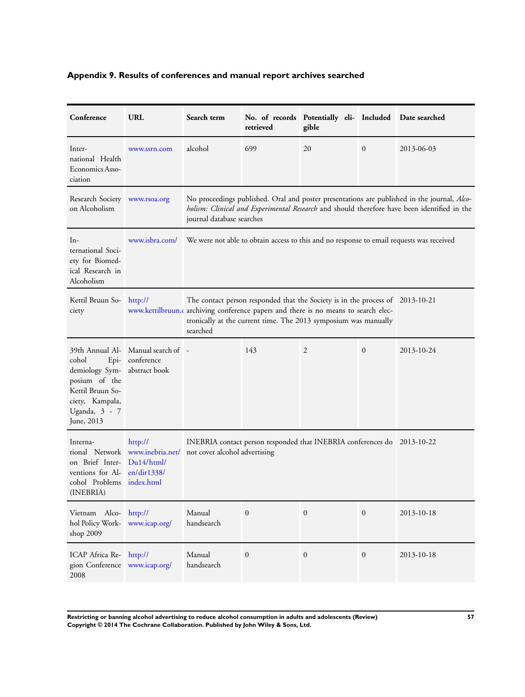# <span id="page-58-0"></span>**Appendix 9. Results of conferences and manual report archives searched**

| Conference                                                                                                     | URL                                                                   | Search term                                                                                              | retrieved        | No. of records Potentially eli- Included Date searched<br>gible                                                                                                                                                                         |                  |                                                                                                                                                                                            |
|----------------------------------------------------------------------------------------------------------------|-----------------------------------------------------------------------|----------------------------------------------------------------------------------------------------------|------------------|-----------------------------------------------------------------------------------------------------------------------------------------------------------------------------------------------------------------------------------------|------------------|--------------------------------------------------------------------------------------------------------------------------------------------------------------------------------------------|
| Inter-<br>national Health<br>Economics Asso-<br>ciation                                                        | www.ssrn.com                                                          | alcohol                                                                                                  | 699              | 20                                                                                                                                                                                                                                      | $\mathbf{0}$     | 2013-06-03                                                                                                                                                                                 |
| Research Society www.rsoa.org<br>on Alcoholism                                                                 |                                                                       | journal database searches                                                                                |                  |                                                                                                                                                                                                                                         |                  | No proceedings published. Oral and poster presentations are published in the journal, Alco-<br>holism: Clinical and Experimental Research and should therefore have been identified in the |
| In-<br>ternational Soci-<br>ety for Biomed-<br>ical Research in<br>Alcoholism                                  | www.isbra.com/                                                        |                                                                                                          |                  |                                                                                                                                                                                                                                         |                  | We were not able to obtain access to this and no response to email requests was received                                                                                                   |
| Kettil Bruun So-<br>ciety                                                                                      | http://                                                               | searched                                                                                                 |                  | The contact person responded that the Society is in the process of 2013-10-21<br>www.kettilbruun.c archiving conference papers and there is no means to search elec-<br>tronically at the current time. The 2013 symposium was manually |                  |                                                                                                                                                                                            |
| cohol<br>demiology Sym-<br>posium of the<br>Kettil Bruun So-<br>ciety, Kampala,<br>Uganda, 3 - 7<br>June, 2013 | 39th Annual Al- Manual search of -<br>Epi-conference<br>abstract book |                                                                                                          | 143              | $\overline{2}$                                                                                                                                                                                                                          | $\mathbf{0}$     | 2013-10-24                                                                                                                                                                                 |
| Interna-<br>on Brief Inter-<br>ventions for Al- en/dir1338/<br>cohol Problems index.html<br>(INEBRIA)          | http://<br>tional Network www.inebria.net/<br>Du14/html/              | INEBRIA contact person responded that INEBRIA conferences do 2013-10-22<br>not cover alcohol advertising |                  |                                                                                                                                                                                                                                         |                  |                                                                                                                                                                                            |
| Vietnam Alco- http://<br>hol Policy Work- www.icap.org/<br>shop 2009                                           |                                                                       | Manual<br>handsearch                                                                                     | $\overline{0}$   | $\mathbf{0}$                                                                                                                                                                                                                            | $\mathbf{0}$     | 2013-10-18                                                                                                                                                                                 |
| ICAP Africa Re-<br>gion Conference www.icap.org/<br>2008                                                       | http://                                                               | Manual<br>handsearch                                                                                     | $\boldsymbol{0}$ | $\boldsymbol{0}$                                                                                                                                                                                                                        | $\boldsymbol{0}$ | 2013-10-18                                                                                                                                                                                 |

**Restricting or banning alcohol advertising to reduce alcohol consumption in adults and adolescents (Review) 57 Copyright © 2014 The Cochrane Collaboration. Published by John Wiley & Sons, Ltd.**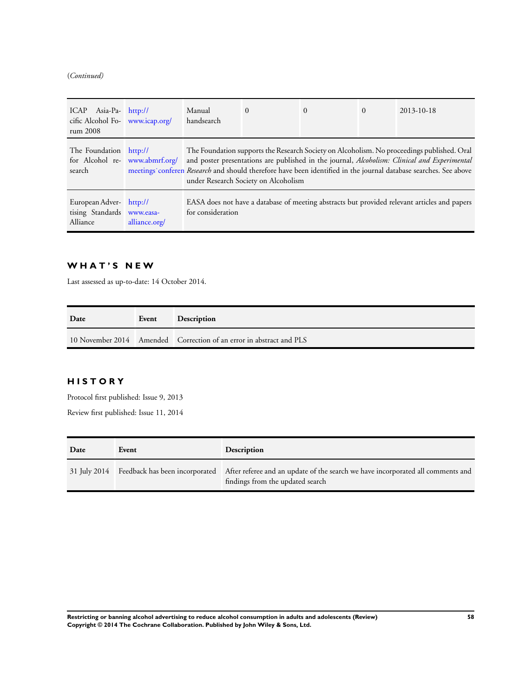| Asia-Pa- $h_{\text{ttp:}}/$<br>ICAP<br>cific Alcohol Fo- www.icap.org/<br>rum 2008 |                                           | Manual<br>handsearch | $\overline{0}$                       | $\theta$ | $\mathbf{0}$ | 2013-10-18                                                                                                                                                                                                                                                                                                     |
|------------------------------------------------------------------------------------|-------------------------------------------|----------------------|--------------------------------------|----------|--------------|----------------------------------------------------------------------------------------------------------------------------------------------------------------------------------------------------------------------------------------------------------------------------------------------------------------|
| The Foundation<br>search                                                           | http://<br>for Alcohol re- www.abmrf.org/ |                      | under Research Society on Alcoholism |          |              | The Foundation supports the Research Society on Alcoholism. No proceedings published. Oral<br>and poster presentations are published in the journal, Alcoholism: Clinical and Experimental<br>meetings conferen Research and should therefore have been identified in the journal database searches. See above |
| European Adver- http://<br>tising Standards www.easa-<br>Alliance                  | alliance.org/                             | for consideration    |                                      |          |              | EASA does not have a database of meeting abstracts but provided relevant articles and papers                                                                                                                                                                                                                   |

# **W H A T ' S N E W**

Last assessed as up-to-date: 14 October 2014.

| Date | Event | <b>Description</b>                                                  |
|------|-------|---------------------------------------------------------------------|
|      |       | 10 November 2014 Amended Correction of an error in abstract and PLS |

# **H I S T O R Y**

Protocol first published: Issue 9, 2013

Review first published: Issue 11, 2014

| Date | Event | Description                                                                                                                                                     |
|------|-------|-----------------------------------------------------------------------------------------------------------------------------------------------------------------|
|      |       | 31 July 2014 Feedback has been incorporated After referee and an update of the search we have incorporated all comments and<br>findings from the updated search |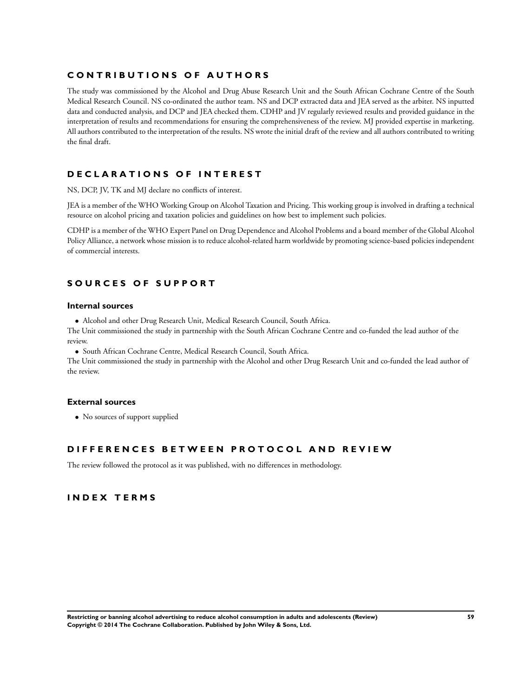# **C O N T R I B U T I O N S O F A U T H O R S**

The study was commissioned by the Alcohol and Drug Abuse Research Unit and the South African Cochrane Centre of the South Medical Research Council. NS co-ordinated the author team. NS and DCP extracted data and JEA served as the arbiter. NS inputted data and conducted analysis, and DCP and JEA checked them. CDHP and JV regularly reviewed results and provided guidance in the interpretation of results and recommendations for ensuring the comprehensiveness of the review. MJ provided expertise in marketing. All authors contributed to the interpretation of the results. NS wrote the initial draft of the review and all authors contributed to writing the final draft.

# **D E C L A R A T I O N S O F I N T E R E S T**

NS, DCP, JV, TK and MJ declare no conflicts of interest.

JEA is a member of the WHO Working Group on Alcohol Taxation and Pricing. This working group is involved in drafting a technical resource on alcohol pricing and taxation policies and guidelines on how best to implement such policies.

CDHP is a member of the WHO Expert Panel on Drug Dependence and Alcohol Problems and a board member of the Global Alcohol Policy Alliance, a network whose mission is to reduce alcohol-related harm worldwide by promoting science-based policies independent of commercial interests.

# **S O U R C E S O F S U P P O R T**

## **Internal sources**

• Alcohol and other Drug Research Unit, Medical Research Council, South Africa.

The Unit commissioned the study in partnership with the South African Cochrane Centre and co-funded the lead author of the review.

• South African Cochrane Centre, Medical Research Council, South Africa.

The Unit commissioned the study in partnership with the Alcohol and other Drug Research Unit and co-funded the lead author of the review.

## **External sources**

• No sources of support supplied

# D I F F E R E N C E S B E T W E E N P R O T O C O L A N D R E V I E W

The review followed the protocol as it was published, with no differences in methodology.

# **I N D E X T E R M S**